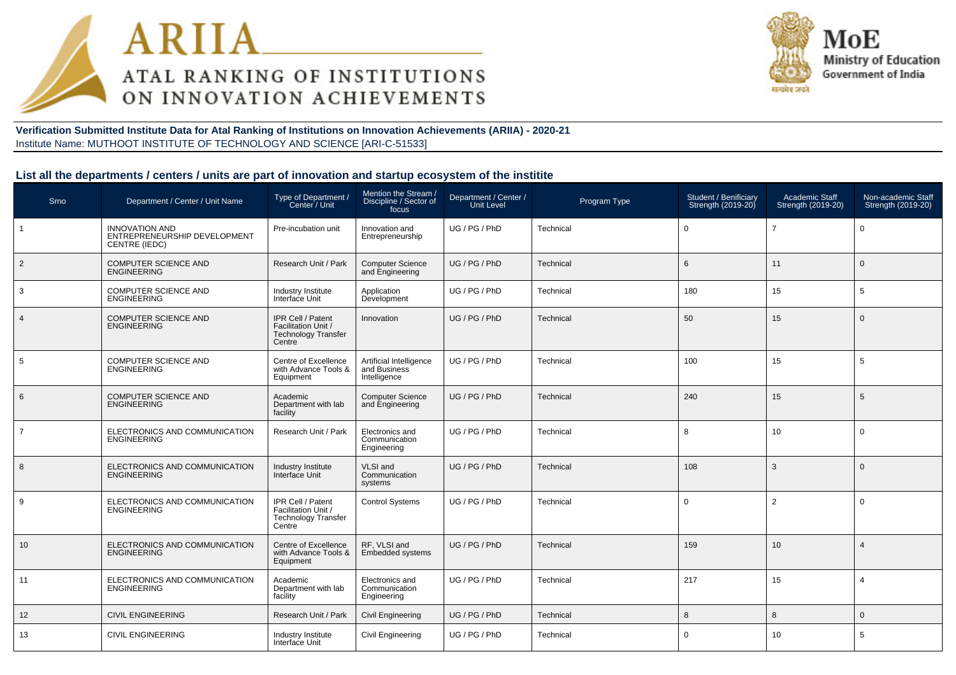



#### **Verification Submitted Institute Data for Atal Ranking of Institutions on Innovation Achievements (ARIIA) - 2020-21**Institute Name: MUTHOOT INSTITUTE OF TECHNOLOGY AND SCIENCE [ARI-C-51533]

#### **List all the departments / centers / units are part of innovation and startup ecosystem of the institite**

| <b>Srno</b>     | Department / Center / Unit Name                                        | Type of Department /<br>Center / Unit                                            | Mention the Stream /<br>Discipline / Sector of<br>focus | Department / Center /<br>Unit Level | Program Type     | Student / Benificiary<br>Strength (2019-20) | <b>Academic Staff</b><br>Strength (2019-20) | Non-academic Staff<br>Strength (2019-20) |
|-----------------|------------------------------------------------------------------------|----------------------------------------------------------------------------------|---------------------------------------------------------|-------------------------------------|------------------|---------------------------------------------|---------------------------------------------|------------------------------------------|
| $\mathbf{1}$    | <b>INNOVATION AND</b><br>ENTREPRENEURSHIP DEVELOPMENT<br>CENTRE (IEDC) | Pre-incubation unit                                                              | Innovation and<br>Entrepreneurship                      | UG / PG / PhD                       | Technical        | $\mathbf 0$                                 | $\overline{7}$                              | $\overline{0}$                           |
| $\overline{2}$  | <b>COMPUTER SCIENCE AND</b><br>ENGINEERING                             | Research Unit / Park                                                             | <b>Computer Science</b><br>and Engineering              | UG / PG / PhD                       | Technical        | 6                                           | 11                                          | $\overline{0}$                           |
| 3               | <b>COMPUTER SCIENCE AND</b><br><b>ENGINEERING</b>                      | Industry Institute<br>Interface Unit                                             | Application<br>Development                              | UG/PG/PhD                           | Technical        | 180                                         | 15                                          | 5                                        |
| $\overline{4}$  | COMPUTER SCIENCE AND<br><b>ENGINEERING</b>                             | IPR Cell / Patent<br>Facilitation Unit /<br><b>Technology Transfer</b><br>Centre | Innovation                                              | UG / PG / PhD                       | Technical        | 50                                          | 15                                          | $\overline{0}$                           |
| 5               | <b>COMPUTER SCIENCE AND</b><br><b>ENGINEERING</b>                      | Centre of Excellence<br>with Advance Tools &<br>Equipment                        | Artificial Intelligence<br>and Business<br>Intelligence | UG / PG / PhD                       | Technical        | 100                                         | 15                                          | 5                                        |
| $6\phantom{1}6$ | <b>COMPUTER SCIENCE AND</b><br><b>ENGINEERING</b>                      | Academic<br>Department with lab<br>facility                                      | <b>Computer Science</b><br>and Engineering              | UG / PG / PhD                       | <b>Technical</b> | 240                                         | 15                                          | 5                                        |
| $\overline{7}$  | ELECTRONICS AND COMMUNICATION<br><b>ENGINEERING</b>                    | Research Unit / Park                                                             | Electronics and<br>Communication<br>Engineering         | UG / PG / PhD                       | Technical        | 8                                           | 10                                          | $\mathbf 0$                              |
| 8               | ELECTRONICS AND COMMUNICATION<br><b>ENGINEERING</b>                    | Industry Institute<br>Interface Unit                                             | VLSI and<br>Communication<br>systems                    | UG / PG / PhD                       | Technical        | 108                                         | 3                                           | $\overline{0}$                           |
| 9               | ELECTRONICS AND COMMUNICATION<br>ENGINEERING                           | IPR Cell / Patent<br>Facilitation Unit /<br><b>Technology Transfer</b><br>Centre | <b>Control Systems</b>                                  | UG / PG / PhD                       | Technical        | $\mathbf 0$                                 | $\overline{2}$                              | $\Omega$                                 |
| 10              | ELECTRONICS AND COMMUNICATION<br><b>ENGINEERING</b>                    | Centre of Excellence<br>with Advance Tools &<br>Equipment                        | RF, VLSI and<br><b>Embedded systems</b>                 | UG / PG / PhD                       | Technical        | 159                                         | 10                                          | 4                                        |
| 11              | ELECTRONICS AND COMMUNICATION<br><b>ENGINEERING</b>                    | Academic<br>Department with lab<br>facility                                      | Electronics and<br>Communication<br>Engineering         | UG / PG / PhD                       | Technical        | 217                                         | 15                                          |                                          |
| 12              | <b>CIVIL ENGINEERING</b>                                               | Research Unit / Park                                                             | <b>Civil Engineering</b>                                | UG / PG / PhD                       | Technical        | 8                                           | 8                                           | $\overline{0}$                           |
| 13              | <b>CIVIL ENGINEERING</b>                                               | Industry Institute<br>Interface Unit                                             | Civil Engineering                                       | UG / PG / PhD                       | Technical        | $\mathbf 0$                                 | 10                                          | -5                                       |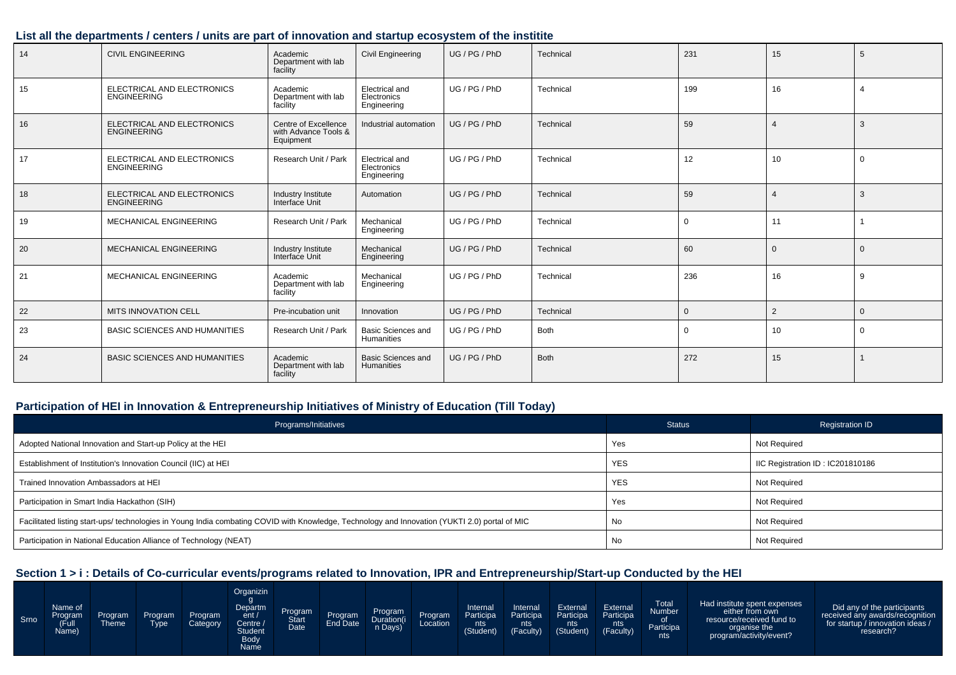#### **List all the departments / centers / units are part of innovation and startup ecosystem of the institite**

| 14 | <b>CIVIL ENGINEERING</b><br>Academic<br>Department with lab<br>facility |                                                           | <b>Civil Engineering</b>                     | UG / PG / PhD | Technical   | 231         | 15            | 5           |
|----|-------------------------------------------------------------------------|-----------------------------------------------------------|----------------------------------------------|---------------|-------------|-------------|---------------|-------------|
| 15 | ELECTRICAL AND ELECTRONICS<br><b>ENGINEERING</b>                        | Academic<br>Department with lab<br>facility               | Electrical and<br>Electronics<br>Engineering | UG / PG / PhD | Technical   | 199         | 16            |             |
| 16 | ELECTRICAL AND ELECTRONICS<br>ENGINEERING                               | Centre of Excellence<br>with Advance Tools &<br>Equipment | Industrial automation                        | UG / PG / PhD | Technical   | 59          | 4             | 3           |
| 17 | ELECTRICAL AND ELECTRONICS<br><b>ENGINEERING</b>                        | Research Unit / Park                                      | Electrical and<br>Electronics<br>Engineering | UG / PG / PhD | Technical   | 12          | 10            | $\Omega$    |
| 18 | ELECTRICAL AND ELECTRONICS<br><b>ENGINEERING</b>                        | Industry Institute<br>Interface Unit                      | Automation                                   | UG / PG / PhD | Technical   | 59          |               | -3          |
| 19 | MECHANICAL ENGINEERING                                                  | Research Unit / Park                                      | Mechanical<br>Engineering                    | UG / PG / PhD | Technical   | $\mathbf 0$ | 11            |             |
| 20 | MECHANICAL ENGINEERING                                                  | Industry Institute<br>Interface Unit                      | Mechanical<br>Engineering                    | UG / PG / PhD | Technical   | 60          | $\Omega$      | $\Omega$    |
| 21 | MECHANICAL ENGINEERING                                                  | Academic<br>Department with lab<br>facility               | Mechanical<br>Engineering                    | UG / PG / PhD | Technical   | 236         | 16            | 9           |
| 22 | MITS INNOVATION CELL                                                    | Pre-incubation unit                                       | Innovation                                   | UG / PG / PhD | Technical   | $\Omega$    | $\mathcal{P}$ | $\Omega$    |
| 23 | <b>BASIC SCIENCES AND HUMANITIES</b>                                    | Research Unit / Park                                      | <b>Basic Sciences and</b><br>Humanities      | UG / PG / PhD | <b>Both</b> | $\mathbf 0$ | 10            | $\mathbf 0$ |
| 24 | <b>BASIC SCIENCES AND HUMANITIES</b>                                    | Academic<br>Department with lab<br>facility               | <b>Basic Sciences and</b><br>Humanities      | UG / PG / PhD | <b>Both</b> | 272         | 15            |             |

#### **Participation of HEI in Innovation & Entrepreneurship Initiatives of Ministry of Education (Till Today)**

| Programs/Initiatives                                                                                                                           | <b>Status</b> | <b>Registration ID</b>           |
|------------------------------------------------------------------------------------------------------------------------------------------------|---------------|----------------------------------|
| Adopted National Innovation and Start-up Policy at the HEI                                                                                     | Yes           | <b>Not Required</b>              |
| Establishment of Institution's Innovation Council (IIC) at HEI                                                                                 | <b>YES</b>    | IIC Registration ID: IC201810186 |
| Trained Innovation Ambassadors at HEI                                                                                                          | <b>YES</b>    | <b>Not Required</b>              |
| Participation in Smart India Hackathon (SIH)                                                                                                   | Yes           | Not Required                     |
| Facilitated listing start-ups/ technologies in Young India combating COVID with Knowledge, Technology and Innovation (YUKTI 2.0) portal of MIC | No            | Not Required                     |
| Participation in National Education Alliance of Technology (NEAT)                                                                              | No            | <b>Not Required</b>              |

#### **Section 1 > i : Details of Co-curricular events/programs related to Innovation, IPR and Entrepreneurship/Start-up Conducted by the HEI**

| Srno | Name of<br><b>Program</b><br>(Full<br>Name) | Program <sup>1</sup><br>Theme | Program<br>Tvpe | Program<br>Category | Organizin<br>Departm<br>ent/<br>Centre A<br>Student<br><b>Body</b><br>Name | Program<br>Date | Program | Program<br>n Days) | Program | Internal<br>Participa<br>nts<br>(Student) | Internal<br>Participa<br>nts<br>(Faculty) | External<br>Participa<br>nts<br>(Student) | External<br>Participa<br>nts.<br>(Faculty) | <b>Total</b><br>Number<br>οf<br>Participa<br>nts | Had institute spent expenses<br>either from own<br>resource/received fund to<br>organise the<br>program/activity/event? | Did any of the participants<br>received any awards/recognition<br>for startup / innovation ideas /<br>research? |
|------|---------------------------------------------|-------------------------------|-----------------|---------------------|----------------------------------------------------------------------------|-----------------|---------|--------------------|---------|-------------------------------------------|-------------------------------------------|-------------------------------------------|--------------------------------------------|--------------------------------------------------|-------------------------------------------------------------------------------------------------------------------------|-----------------------------------------------------------------------------------------------------------------|
|------|---------------------------------------------|-------------------------------|-----------------|---------------------|----------------------------------------------------------------------------|-----------------|---------|--------------------|---------|-------------------------------------------|-------------------------------------------|-------------------------------------------|--------------------------------------------|--------------------------------------------------|-------------------------------------------------------------------------------------------------------------------------|-----------------------------------------------------------------------------------------------------------------|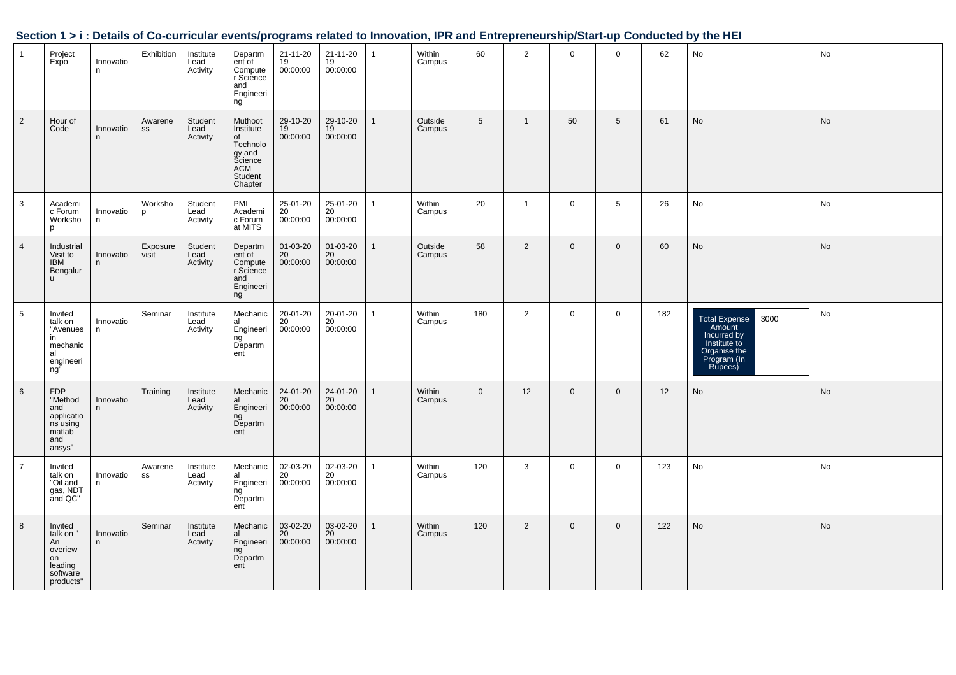|                 |                                                                                 |                           |                   |                               |                                                                                          |                                         |                              |              |                   |                 |                |                |                |     | Jechion 191. Details of Go-curricular events/programs related to impovation, in Kand Entrepreneurship/Juart-up Conducted by the HET |           |
|-----------------|---------------------------------------------------------------------------------|---------------------------|-------------------|-------------------------------|------------------------------------------------------------------------------------------|-----------------------------------------|------------------------------|--------------|-------------------|-----------------|----------------|----------------|----------------|-----|-------------------------------------------------------------------------------------------------------------------------------------|-----------|
| $\overline{1}$  | Project<br>Expo                                                                 | Innovatio<br>n.           | Exhibition        | Institute<br>Lead<br>Activity | Departm<br>ent of<br>Compute<br>r Science<br>and<br>Engineeri<br>ng                      | 21-11-20<br>19<br>00:00:00              | 21-11-20<br>19<br>00:00:00   | $\mathbf{1}$ | Within<br>Campus  | 60              | $\overline{2}$ | $\mathbf{0}$   | $\mathbf 0$    | 62  | No                                                                                                                                  | No        |
| $\overline{2}$  | Hour of<br>Code                                                                 | Innovatio<br>n            | Awarene<br>SS     | Student<br>Lead<br>Activity   | Muthoot<br>Institute<br>of<br>Technolo<br>gy and<br>Science<br>ACM<br>Student<br>Chapter | 29-10-20<br>19<br>00:00:00              | 29-10-20<br>19<br>00:00:00   | $\mathbf{1}$ | Outside<br>Campus | $5\phantom{.0}$ | $\mathbf{1}$   | 50             | 5              | 61  | No                                                                                                                                  | No        |
| $\mathbf{3}$    | Academi<br>c Forum<br>Worksho<br>p                                              | Innovatio<br>n            | Worksho<br>p      | Student<br>Lead<br>Activity   | PMI<br>Academi<br>c Forum<br>at MITS                                                     | 25-01-20<br>20<br>00:00:00              | 25-01-20<br>20<br>00:00:00   | $\mathbf{1}$ | Within<br>Campus  | 20              | $\mathbf{1}$   | $\mathbf 0$    | 5              | 26  | No                                                                                                                                  | No        |
| $\overline{4}$  | Industrial<br>Visit to<br><b>IBM</b><br>Bengalur<br>$\mathsf{u}$                | Innovatio<br>$\mathsf{n}$ | Exposure<br>visit | Student<br>Lead<br>Activity   | Departm<br>ent of<br>Compute<br>r Science<br>and<br>Engineeri<br>ng                      | 01-03-20<br>20<br>00:00:00              | 01-03-20<br>20<br>00:00:00   | $\mathbf{1}$ | Outside<br>Campus | 58              | $\overline{2}$ | $\overline{0}$ | $\overline{0}$ | 60  | No                                                                                                                                  | No        |
| $5\phantom{.0}$ | Invited<br>talk on<br>"Avenues<br>in<br>mechanic<br>al<br>engineeri<br>ng"      | Innovatio<br>n            | Seminar           | Institute<br>Lead<br>Activity | Mechanic<br>al<br>Engineeri<br>ng<br>Departm<br>ent                                      | 20-01-20<br>20<br>00:00:00              | 20-01-20<br>20<br>00:00:00   | $\mathbf{1}$ | Within<br>Campus  | 180             | $\overline{2}$ | $\mathbf 0$    | $\mathbf 0$    | 182 | 3000<br>Total Expense<br>Amount<br>Incurred by<br>Institute to<br>Organise the<br>Program (In<br>Rupees)                            | No        |
| $6\phantom{1}$  | FDP<br><br>"Method<br>and<br>applications<br>susing<br>matlab<br>and<br>ansys"  | Innovatio<br>n            | Training          | Institute<br>Lead<br>Activity | Mechanic<br>al<br>Engineeri<br>ngັ<br>Departm<br>ent                                     | 24-01-20<br>20<br>00:00:00              | $24-01-20$<br>20<br>00:00:00 | $\mathbf{1}$ | Within<br>Campus  | $\mathbf{0}$    | 12             | $\mathbf 0$    | $\mathbf{0}$   | 12  | No                                                                                                                                  | No        |
| $\overline{7}$  | Invited<br>talk on<br>"Oil and<br>gas, NDT<br>and QC"                           | Innovatio<br>n            | Awarene<br>SS     | Institute<br>Lead<br>Activity | Mechanic<br>nnooname<br>al<br>Engineeri<br>ngັ<br>Departm<br>ent                         | 02-03-20<br>20<br>00:00:00              | 02-03-20<br>20<br>00:00:00   | $\mathbf{1}$ | Within<br>Campus  | 120             | 3              | $\overline{0}$ | $\mathbf 0$    | 123 | No                                                                                                                                  | No        |
| 8               | Invited<br>talk on "<br>An<br>overiew<br>on<br>leading<br>software<br>products" | Innovatio<br>n            | Seminar           | Institute<br>Lead<br>Activity | Mechanic<br>al<br>Engineeri<br>ngັ<br>Departm<br>ent                                     | 03-02-20<br>$\frac{20}{20}$<br>00:00:00 | 03-02-20<br>$20$<br>00:00:00 | $\mathbf{1}$ | Within<br>Campus  | 120             | $\overline{2}$ | $\overline{0}$ | $\mathbf{0}$   | 122 | <b>No</b>                                                                                                                           | <b>No</b> |

#### **Section 1 > i : Details of Co-curricular events/programs related to Innovation, IPR and Entrepreneurship/Start-up Conducted by the HEI**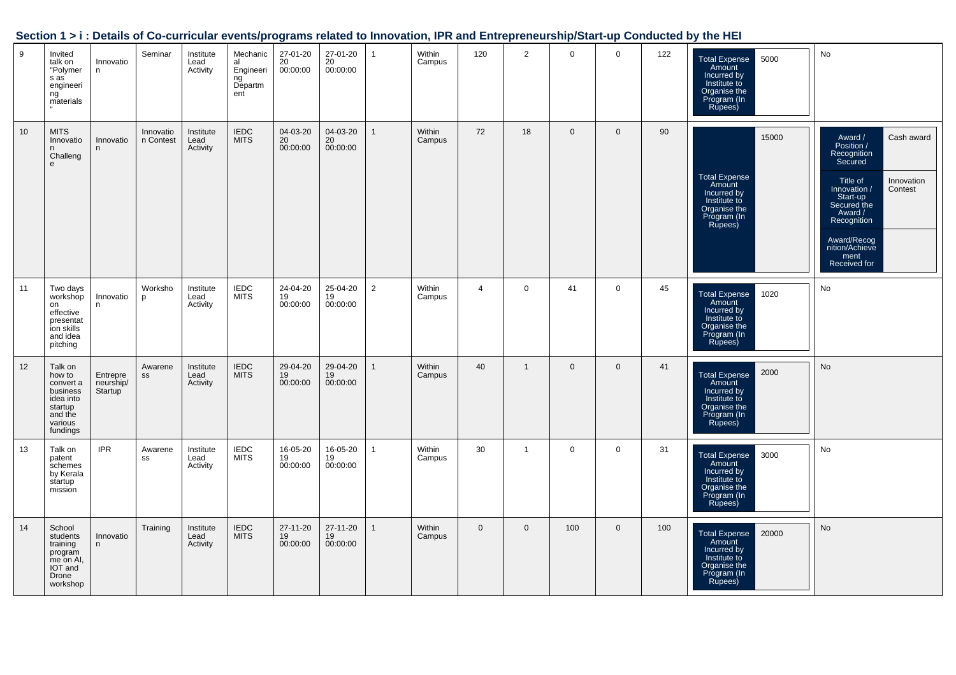|    |                                                                                                      |                                               |                        |                               |                                                       | <u>Programm</u>            |                            |                | ---- --          |                |                |                |              |     |                                                                                                                 |                                                                                                                                                                                                                                  |
|----|------------------------------------------------------------------------------------------------------|-----------------------------------------------|------------------------|-------------------------------|-------------------------------------------------------|----------------------------|----------------------------|----------------|------------------|----------------|----------------|----------------|--------------|-----|-----------------------------------------------------------------------------------------------------------------|----------------------------------------------------------------------------------------------------------------------------------------------------------------------------------------------------------------------------------|
| 9  | Invited<br>talk on<br>"Polymer<br>s as<br>engineeri<br>ng<br>materials                               | Innovatio<br>n                                | Seminar                | Institute<br>Lead<br>Activity | Mechanic<br>al<br>Engineeri<br>ng ّ<br>Departm<br>ent | 27-01-20<br>20<br>00:00:00 | 27-01-20<br>20<br>00:00:00 | $\mathbf{1}$   | Within<br>Campus | 120            | $\overline{2}$ | $\mathbf 0$    | $\mathbf 0$  | 122 | 5000<br><b>Total Expense</b><br>Amount<br>Incurred by<br>Institute to<br>Organise the<br>Program (In<br>Rupees) | No                                                                                                                                                                                                                               |
| 10 | <b>MITS</b><br>Innovatio<br>Challeng<br>e                                                            | Innovatio<br>n                                | Innovatio<br>n Contest | Institute<br>Lead<br>Activity | <b>IEDC</b><br><b>MITS</b>                            | 04-03-20<br>20<br>00:00:00 | 04-03-20<br>20<br>00:00:00 | $\mathbf{1}$   | Within<br>Campus | 72             | 18             | $\overline{0}$ | $\mathbf 0$  | 90  | 15000<br>Total Expense<br>Amount<br>Incurred by<br>Institute to<br>Organise the<br>Program (In<br>Rupees)       | Award /<br>Position /<br>Cash award<br>Recognition<br>Secured<br>Title of<br>Innovation<br>Innovation /<br>Contest<br>Start-up<br>Secured the<br>Award /<br>Recognition<br>Award/Recog<br>nition/Achieve<br>ment<br>Received for |
| 11 | Two days<br>workshop<br>on<br>effective<br>presentat<br>ion skills<br>and idea<br>pitching           | Innovatio<br>n                                | Worksho<br>p           | Institute<br>Lead<br>Activity | <b>IEDC</b><br><b>MITS</b>                            | 24-04-20<br>19<br>00:00:00 | 25-04-20<br>19<br>00:00:00 | $\overline{2}$ | Within<br>Campus | $\overline{4}$ | $\overline{0}$ | 41             | $\mathbf 0$  | 45  | 1020<br><b>Total Expense</b><br>Amount<br>Incurred by<br>Institute to<br>Organise the<br>Program (In<br>Rupees) | No                                                                                                                                                                                                                               |
| 12 | Talk on<br>how to<br>convert a<br>business<br>idea into<br>startup<br>and the<br>various<br>fundings | Entrepre<br>neurship/<br>Startup <sup>1</sup> | Awarene<br>SS          | Institute<br>Lead<br>Activity | IEDC<br>MITS                                          | 29-04-20<br>19<br>00:00:00 | 29-04-20<br>19<br>00:00:00 | $\mathbf{1}$   | Within<br>Campus | 40             | $\mathbf{1}$   | $\mathbf{0}$   | $\mathbf{0}$ | 41  | 2000<br>Total Expense<br>Amount<br>Incurred by<br>Institute to<br>Organise the<br>Program (In<br>Rupees)        | <b>No</b>                                                                                                                                                                                                                        |
| 13 | Talk on<br>patent<br>schemes<br>by Kerala<br>startup<br>mission                                      | <b>IPR</b>                                    | Awarene<br>SS          | Institute<br>Lead<br>Activity | <b>IEDC</b><br><b>MITS</b>                            | 16-05-20<br>19<br>00:00:00 | 16-05-20<br>19<br>00:00:00 | $\overline{1}$ | Within<br>Campus | 30             | $\overline{1}$ | $\mathbf 0$    | $\mathbf 0$  | 31  | <b>Total Expense</b><br>3000<br>Amount<br>Incurred by<br>Institute to<br>Organise the<br>Program (In<br>Rupees) | No                                                                                                                                                                                                                               |
| 14 | School<br>students<br>training<br>program<br>me on Al,<br>IOT and<br>Drone<br>workshop               | Innovatio<br>n                                | Training               | Institute<br>Lead<br>Activity | <b>IEDC</b><br><b>MITS</b>                            | 27-11-20<br>19<br>00:00:00 | 27-11-20<br>19<br>00:00:00 | $\mathbf{1}$   | Within<br>Campus | $\mathbf{0}$   | $\mathbf 0$    | 100            | $\mathbf 0$  | 100 | 20000<br>Total Expense<br>Amount<br>Incurred by<br>Institute to<br>Organise the<br>Program (In<br>Rupees)       | No                                                                                                                                                                                                                               |

#### **Section 1 > i : Details of Co-curricular events/programs related to Innovation, IPR and Entrepreneurship/Start-up Conducted by the HEI**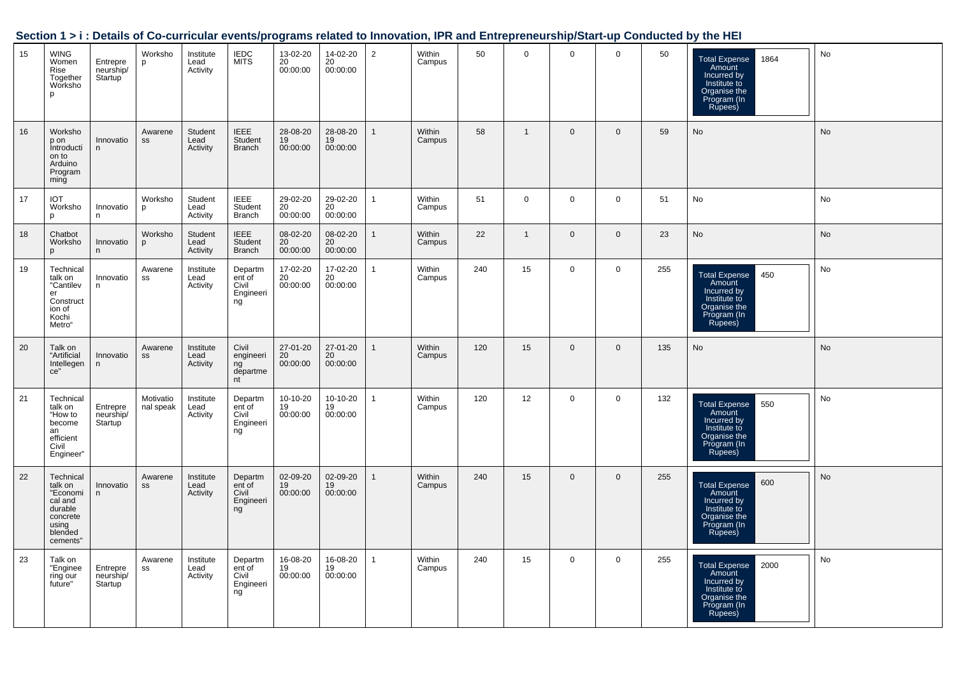| Section 1 > i : Details of Co-curricular events/programs related to Innovation, IPR and Entrepreneurship/Start-up Conducted by the HEI |  |
|----------------------------------------------------------------------------------------------------------------------------------------|--|
|                                                                                                                                        |  |

| 15 | <b>WING</b><br>Women<br>Rise<br>Together<br>Worksho<br>p                                           | Entrepre<br>neurship/<br>Startup <sup>'</sup> | Worksho<br>p           | Institute<br>Lead<br>Activity | <b>IEDC</b><br><b>MITS</b>                    | 13-02-20<br>20<br>00:00:00              | 14-02-20<br>20<br>00:00:00 | $\overline{2}$ | <b>Within</b><br>Campus | 50  | $\mathbf 0$  | $\mathbf 0$    | $\mathbf 0$  | 50  | <b>Total Expense</b><br>1864<br>Amount<br>Incurred by<br>Institute to<br>Organise the<br>Program (In<br>Rupees) | No        |
|----|----------------------------------------------------------------------------------------------------|-----------------------------------------------|------------------------|-------------------------------|-----------------------------------------------|-----------------------------------------|----------------------------|----------------|-------------------------|-----|--------------|----------------|--------------|-----|-----------------------------------------------------------------------------------------------------------------|-----------|
| 16 | Worksho<br>p on<br>Introducti<br>on to<br>Arduino<br>Program<br>ming                               | Innovatio<br>n                                | Awarene<br>SS          | Student<br>Lead<br>Activity   | <b>IEEE</b><br>Student<br><b>Branch</b>       | 28-08-20<br>19<br>00:00:00              | 28-08-20<br>19<br>00:00:00 | $\mathbf{1}$   | Within<br>Campus        | 58  | $\mathbf{1}$ | $\mathbf 0$    | $\mathbf 0$  | 59  | No                                                                                                              | <b>No</b> |
| 17 | <b>IOT</b><br>Worksho<br>p                                                                         | Innovatio<br>n                                | Worksho<br>p           | Student<br>Lead<br>Activity   | <b>IEEE</b><br>Student<br><b>Branch</b>       | 29-02-20<br>20 <sup>°</sup><br>00:00:00 | 29-02-20<br>20<br>00:00:00 | $\mathbf{1}$   | Within<br>Campus        | 51  | $\mathsf{O}$ | $\mathbf{0}$   | $\mathbf 0$  | 51  | No                                                                                                              | No        |
| 18 | Chatbot<br>Worksho<br>$\mathbf{D}$                                                                 | Innovatio<br>n.                               | Worksho<br>p           | Student<br>Lead<br>Activity   | <b>IEEE</b><br>Student<br><b>Branch</b>       | 08-02-20<br>20<br>00:00:00              | 08-02-20<br>20<br>00:00:00 | $\mathbf{1}$   | Within<br>Campus        | 22  | $\mathbf{1}$ | $\overline{0}$ | $\mathbf{0}$ | 23  | <b>No</b>                                                                                                       | No        |
| 19 | Technical<br>talk on<br>"Cantilev<br>er<br>Construct<br>ion of<br>Kochi<br>Metro"                  | Innovatio<br>n                                | Awarene<br>SS          | Institute<br>Lead<br>Activity | Departm<br>ent of<br>Civil<br>Engineeri<br>ng | 17-02-20<br>20<br>00:00:00              | 17-02-20<br>20<br>00:00:00 | $\mathbf{1}$   | <b>Within</b><br>Campus | 240 | 15           | $\mathbf 0$    | $\mathbf 0$  | 255 | 450<br><b>Total Expense</b><br>Amount<br>Incurred by<br>Institute to<br>Organise the<br>Program (In<br>Rupees)  | No        |
| 20 | Talk on<br>"Artificial<br>Intellegen<br>ce"                                                        | Innovatio<br>n                                | Awarene<br>SS          | Institute<br>Lead<br>Activity | Civil<br>engineeri<br>ng<br>departme<br>nt    | 27-01-20<br>20<br>00:00:00              | 27-01-20<br>20<br>00:00:00 | $\mathbf{1}$   | <b>Within</b><br>Campus | 120 | 15           | $\mathbf{0}$   | $\mathbf{0}$ | 135 | <b>No</b>                                                                                                       | <b>No</b> |
| 21 | Technical<br>talk on<br>"How to<br>become<br>an<br>efficient<br>Civil<br>Engineer"                 | Entrepre<br>neurship/<br>Startup <sup>1</sup> | Motivatio<br>nal speak | Institute<br>Lead<br>Activity | Departm<br>ent of<br>Civil<br>Engineeri<br>ng | 10-10-20<br>19<br>00:00:00              | 10-10-20<br>19<br>00:00:00 | $\mathbf{1}$   | Within<br>Campus        | 120 | 12           | $\mathbf 0$    | $\mathbf 0$  | 132 | 550<br>Total Expense<br>Amount<br>Incurred by<br>Institute to<br>Organise the<br>Program (In<br>Rupees)         | No        |
| 22 | Technical<br>talk on<br>"Economi<br>cal and<br>durable<br>concrete<br>using<br>blended<br>cements" | Innovatio<br>n                                | Awarene<br>SS          | Institute<br>Lead<br>Activity | Departm<br>ent of<br>Civil<br>Engineeri<br>ng | 02-09-20<br>19<br>00:00:00              | 02-09-20<br>19<br>00:00:00 | $\mathbf{1}$   | <b>Within</b><br>Campus | 240 | 15           | $\mathbf 0$    | $\mathbf{0}$ | 255 | 600<br><b>Total Expense</b><br>Amount<br>Incurred by<br>Institute to<br>Organise the<br>Program (In<br>Rupees)  | No        |
| 23 | Talk on<br>"Enginee<br>ring our<br>future"                                                         | Entrepre<br>neurship/<br>Startup              | Awarene<br>SS          | Institute<br>Lead<br>Activity | Departm<br>ent of<br>Civil<br>Engineeri<br>ng | 16-08-20<br>19<br>00:00:00              | 16-08-20<br>19<br>00:00:00 | 1              | <b>Within</b><br>Campus | 240 | 15           | $\mathbf 0$    | $\mathbf 0$  | 255 | <b>Total Expense</b><br>2000<br>Amount<br>Incurred by<br>Institute to<br>Organise the<br>Program (In<br>Rupees) | No        |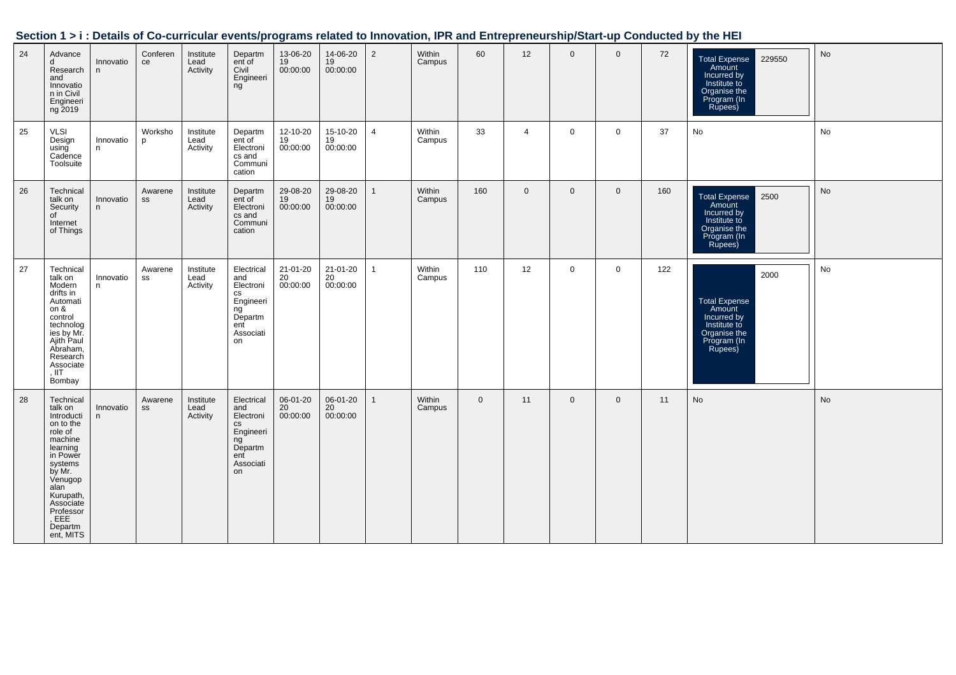|    |                                                                                                                                                                                                               |                |                |                               |                                                                                                                    |                              |                              |                |                  |             |                |              |                |     | Section 1 > i : Details of Co-curricular events/programs related to Innovation, IPR and Entrepreneurship/Start-up Conducted by the HEI |                              |
|----|---------------------------------------------------------------------------------------------------------------------------------------------------------------------------------------------------------------|----------------|----------------|-------------------------------|--------------------------------------------------------------------------------------------------------------------|------------------------------|------------------------------|----------------|------------------|-------------|----------------|--------------|----------------|-----|----------------------------------------------------------------------------------------------------------------------------------------|------------------------------|
| 24 | Advance<br>d<br>Research<br>and<br>Innovatio<br>n in Civil<br>Engineeri<br>ng 2019                                                                                                                            | Innovatio<br>n | Conferen<br>ce | Institute<br>Lead<br>Activity | Departm<br>ent of<br>Civil<br>Engineeri<br>ng                                                                      | 13-06-20<br>19<br>00:00:00   | 14-06-20<br>$19$<br>00:00:00 | $\overline{2}$ | Within<br>Campus | 60          | 12             | $\mathbf{0}$ | $\Omega$       | 72  | 229550<br><b>Total Expense</b><br>Amount<br>Incurred by<br>Institute to<br>Organise the<br>Program (In<br>Rupees)                      | $\operatorname{\mathsf{No}}$ |
| 25 | <b>VLSI</b><br>Design<br>using<br>Cadence<br>Toolsuite                                                                                                                                                        | Innovatio<br>n | Worksho<br>p   | Institute<br>Lead<br>Activity | Departm<br>ent of<br>Electroni<br>cs and<br>Communi<br>cation                                                      | 12-10-20<br>19<br>00:00:00   | 15-10-20<br>19<br>00:00:00   | $\overline{4}$ | Within<br>Campus | 33          | $\overline{4}$ | $\mathbf 0$  | $\mathbf 0$    | 37  | No                                                                                                                                     | No                           |
| 26 | Technical<br>talk on<br>Security<br>of<br>Internet<br>of Things                                                                                                                                               | Innovatio<br>n | Awarene<br>SS  | Institute<br>Lead<br>Activity | Departm<br>ent of<br>Electroni<br>cs and<br>Communi<br>cation                                                      | 29-08-20<br>19<br>00:00:00   | 29-08-20<br>19<br>00:00:00   | $\overline{1}$ | Within<br>Campus | 160         | $\mathbf{0}$   | $\mathbf{0}$ | $\overline{0}$ | 160 | Total Expense 2500<br>Amount<br>Incurred by<br>Institute to<br>Organise the<br>Program (In<br>Rupees)                                  | No                           |
| 27 | Technical<br>talk on<br>Modern<br>drifts in<br>Automati<br>on &<br>control<br>technolog<br>ies by Mr.<br>Ajith Paul<br>Abraham,<br>Research<br>Associate<br>. IIT<br>Bombay                                   | Innovatio<br>n | Awarene<br>SS  | Institute<br>Lead<br>Activity | Electrical<br>and<br>Electroni<br>CS<br>Engineeri<br>ngັ<br>Departm<br>ent<br>Associati<br>on                      | 21-01-20<br>$20$<br>00:00:00 | 21-01-20<br>20<br>00:00:00   | $\overline{1}$ | Within<br>Campus | 110         | 12             | $\mathbf 0$  | $\mathbf 0$    | 122 | 2000<br><b>Total Expense</b><br>Amount<br>Incurred by<br>Institute to<br>Organise the<br>Program (In<br>Rupees)                        | No                           |
| 28 | Technical<br>talk on<br>Introducti<br>on to the<br>role of<br>machine<br>learning<br>in Power<br>systems<br>by Mr.<br>Venugop<br>alan<br>Kurupath,<br>Associate<br>Professor<br>, EEE<br>Departm<br>ent, MITS | Innovatio<br>n | Awarene<br>SS  | Institute<br>Lead<br>Activity | Electrical<br>and<br>Electroni<br>$\mathsf{CS}\phantom{0}$<br>Engineeri<br>ng<br>Departm<br>ent<br>Associati<br>on | 06-01-20<br>20<br>00:00:00   | 06-01-20<br>$20$<br>00:00:00 | $\overline{1}$ | Within<br>Campus | $\mathbf 0$ | 11             | $\mathbf 0$  | $\mathbf 0$    | 11  | No                                                                                                                                     | No                           |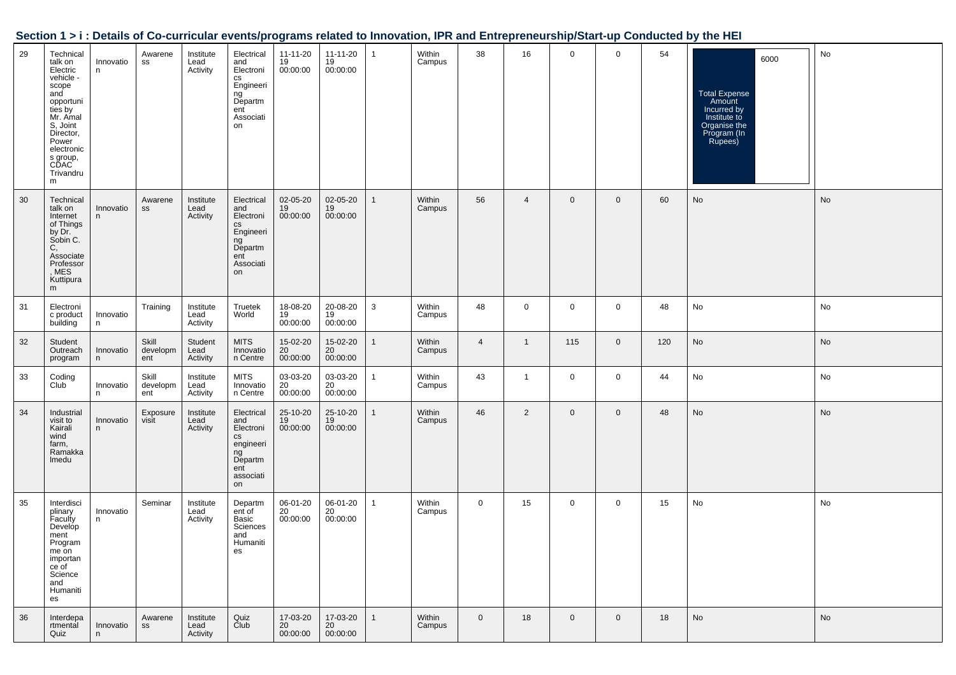| Section 1 > i : Details of Co-curricular events/programs related to Innovation, IPR and Entrepreneurship/Start-up Conducted by the HEI |  |  |
|----------------------------------------------------------------------------------------------------------------------------------------|--|--|
|                                                                                                                                        |  |  |

| 29 | Technical<br>talk on<br>Electric<br>vehicle -<br>scope<br>and<br>opportuni<br>ties by<br>Mr. Amal<br>S, Joint<br>Director,<br>Power<br>electronic<br>s group,<br>CDAC<br>Trivandru<br>m | Innovatio<br>n. | Awarene<br>SS            | Institute<br>Lead<br>Activity | Electrical<br>and<br>Electroni<br>cs<br>Engineeri<br>ng<br>Departm<br>ent<br>Associati<br>on                       | $11 - 11 - 20$<br>19<br>00:00:00 | 11-11-20<br>19<br>00:00:00 | $\mathbf{1}$ | Within<br>Campus | 38             | 16             | $\mathbf 0$    | $\mathbf 0$    | 54  | 6000<br><b>Total Expense</b><br>Amount<br>Incurred by<br>Institute to<br>Organise the<br>Program (In<br>Rupees) | No |
|----|-----------------------------------------------------------------------------------------------------------------------------------------------------------------------------------------|-----------------|--------------------------|-------------------------------|--------------------------------------------------------------------------------------------------------------------|----------------------------------|----------------------------|--------------|------------------|----------------|----------------|----------------|----------------|-----|-----------------------------------------------------------------------------------------------------------------|----|
| 30 | Technical<br>talk on<br>Internet<br>of Things<br>by Dr.<br>Sobin C.<br>С,<br>Associate<br>Professor<br>, MES<br>Kuttipura<br>m                                                          | Innovatio<br>n  | Awarene<br>SS            | Institute<br>Lead<br>Activity | Electrical<br>and<br>Electroni<br>$\mathsf{CS}\phantom{0}$<br>Engineeri<br>ng<br>Departm<br>ent<br>Associati<br>on | 02-05-20<br>19<br>00:00:00       | 02-05-20<br>19<br>00:00:00 | $\mathbf{1}$ | Within<br>Campus | 56             | $\overline{4}$ | $\overline{0}$ | $\mathbf 0$    | 60  | No                                                                                                              | No |
| 31 | Electroni<br>c product<br>building                                                                                                                                                      | Innovatio<br>n  | Training                 | Institute<br>Lead<br>Activity | Truetek<br>World                                                                                                   | 18-08-20<br>19<br>00:00:00       | 20-08-20<br>19<br>00:00:00 | 3            | Within<br>Campus | 48             | $\mathbf 0$    | $\mathbf 0$    | $\mathbf 0$    | 48  | No                                                                                                              | No |
| 32 | Student<br>Outreach<br>program                                                                                                                                                          | Innovatio<br>n. | Skill<br>developm<br>ent | Student<br>Lead<br>Activity   | <b>MITS</b><br>Innovatio<br>n Centre                                                                               | 15-02-20<br>20<br>00:00:00       | 15-02-20<br>20<br>00:00:00 |              | Within<br>Campus | $\overline{4}$ | $\overline{1}$ | 115            | $\mathbf 0$    | 120 | No                                                                                                              | No |
| 33 | Coding<br>Club                                                                                                                                                                          | Innovatio<br>n. | Skill<br>developm<br>ent | Institute<br>Lead<br>Activity | <b>MITS</b><br>Innovatio<br>n Centre                                                                               | 03-03-20<br>20<br>00:00:00       | 03-03-20<br>20<br>00:00:00 | 1            | Within<br>Campus | 43             | $\overline{1}$ | $\mathbf 0$    | $\mathbf 0$    | 44  | No                                                                                                              | No |
| 34 | Industrial<br>visit to<br>Kairali<br>wind<br>farm,<br>Ramakka<br>Imedu                                                                                                                  | Innovatio<br>n  | Exposure<br>visit        | Institute<br>Lead<br>Activity | Electrical<br>and<br>Electroni<br>$\mathsf{CS}\xspace$<br>engineeri<br>ng<br>Departm<br>ent<br>associati<br>on     | 25-10-20<br>19<br>00:00:00       | 25-10-20<br>19<br>00:00:00 | $\mathbf{1}$ | Within<br>Campus | 46             | $\overline{2}$ | $\mathbf 0$    | $\mathbf 0$    | 48  | No                                                                                                              | No |
| 35 | Interdisci<br>plinary<br>Faculty<br>Develop<br>ment<br>Program<br>me on<br>importan<br>ce of<br>Science<br>and<br>Humaniti<br>es                                                        | Innovatio<br>n. | Seminar                  | Institute<br>Lead<br>Activity | Departm<br>ent of<br>Basic<br>Sciences<br>and<br>Humaniti<br>es                                                    | 06-01-20<br>20<br>00:00:00       | 06-01-20<br>20<br>00:00:00 | 1            | Within<br>Campus | $\mathbf 0$    | 15             | 0              | $\mathbf 0$    | 15  | No                                                                                                              | No |
| 36 | Interdepa<br>rtmental<br>Quiz                                                                                                                                                           | Innovatio<br>n  | Awarene<br>SS            | Institute<br>Lead<br>Activity | Quiz<br>Club                                                                                                       | 17-03-20<br>20<br>00:00:00       | 17-03-20<br>20<br>00:00:00 | $\mathbf{1}$ | Within<br>Campus | $\mathbf 0$    | 18             | $\overline{0}$ | $\overline{0}$ | 18  | No                                                                                                              | No |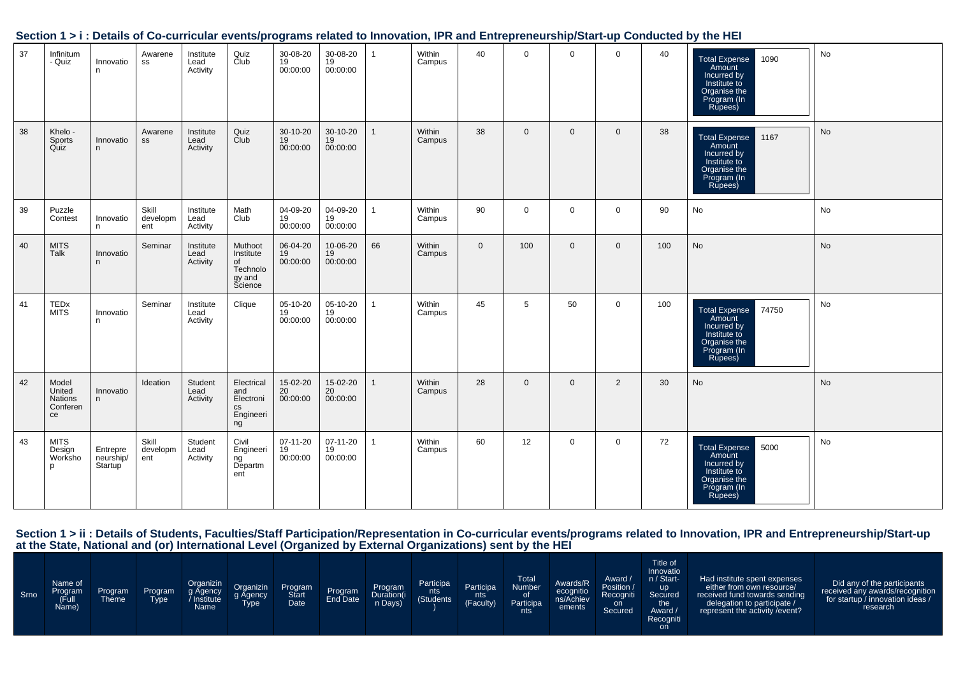|    |                                              |                                  |                          |                               |                                                                      |                            |                            |              |                  |             |                |                |                |     | <u>UCCHULLEZI, DEMIN UL CO-CULTICUM EVENISIPI OGIMIS TEMEU IU INTUVANUI, ILI MIN ENTERIEM SHIPIOM INDIVUMENTU DI METTEL</u> |           |
|----|----------------------------------------------|----------------------------------|--------------------------|-------------------------------|----------------------------------------------------------------------|----------------------------|----------------------------|--------------|------------------|-------------|----------------|----------------|----------------|-----|-----------------------------------------------------------------------------------------------------------------------------|-----------|
| 37 | Infinitum<br>- Quiz                          | Innovatio<br>n.                  | Awarene<br>SS            | Institute<br>Lead<br>Activity | Quiz<br>Club                                                         | 30-08-20<br>19<br>00:00:00 | 30-08-20<br>19<br>00:00:00 | $\mathbf{1}$ | Within<br>Campus | 40          | $\mathbf{0}$   | $\overline{0}$ | $\overline{0}$ | 40  | <b>Total Expense</b><br>1090<br>Amount<br>Incurred by<br>Institute to<br>Organise the<br>Program (In<br>Rupees)             | No        |
| 38 | Khelo -<br>Sports<br>Quiz                    | Innovatio<br>n                   | Awarene<br>SS            | Institute<br>Lead<br>Activity | Quiz<br>Club                                                         | 30-10-20<br>19<br>00:00:00 | 30-10-20<br>19<br>00:00:00 | $\mathbf{1}$ | Within<br>Campus | 38          | $\overline{0}$ | $\mathbf{0}$   | $\overline{0}$ | 38  | Total Expense 1167<br>Amount<br>Incurred by<br>Institute to<br>Organise the<br>Program (In<br>Rupees)                       | <b>No</b> |
| 39 | Puzzle<br>Contest                            | Innovatio<br>n                   | Skill<br>developm<br>ent | Institute<br>Lead<br>Activity | Math<br>Club                                                         | 04-09-20<br>19<br>00:00:00 | 04-09-20<br>19<br>00:00:00 | $\mathbf{1}$ | Within<br>Campus | 90          | $\overline{0}$ | $\mathbf 0$    | $\mathbf 0$    | 90  | No                                                                                                                          | No        |
| 40 | <b>MITS</b><br>Talk                          | Innovatio<br>n                   | Seminar                  | Institute<br>Lead<br>Activity | Muthoot<br>Institute<br>of<br>Technolo<br>gy and<br>Science          | 06-04-20<br>19<br>00:00:00 | 10-06-20<br>19<br>00:00:00 | 66           | Within<br>Campus | $\mathbf 0$ | 100            | $\mathbf 0$    | $\mathbf 0$    | 100 | <b>No</b>                                                                                                                   | No        |
| 41 | TEDx<br><b>MITS</b>                          | Innovatio<br>n                   | Seminar                  | Institute<br>Lead<br>Activity | Clique                                                               | 05-10-20<br>19<br>00:00:00 | 05-10-20<br>19<br>00:00:00 | $\mathbf{1}$ | Within<br>Campus | 45          | 5              | 50             | $\overline{0}$ | 100 | 74750<br><b>Total Expense</b><br>Amount<br>Incurred by<br>Institute to<br>Organise the<br>Program (In<br>Rupees)            | No        |
| 42 | Model<br>United<br>Nations<br>Conferen<br>ce | Innovatio<br>n                   | Ideation                 | Student<br>Lead<br>Activity   | Electrical<br>and<br>Electroni<br>cs<br>Engineeri<br>ng <sup>8</sup> | 15-02-20<br>20<br>00:00:00 | 15-02-20<br>20<br>00:00:00 |              | Within<br>Campus | 28          | $\overline{0}$ | $\overline{0}$ | 2              | 30  | No                                                                                                                          | <b>No</b> |
| 43 | <b>MITS</b><br>Design<br>Worksho             | Entrepre<br>neurship/<br>Startup | Skill<br>developm<br>ent | Student<br>Lead<br>Activity   | Civil<br>Engineeri<br>Engineeri<br>ng<br>Departm<br>ent              | 07-11-20<br>19<br>00:00:00 | 07-11-20<br>19<br>00:00:00 | $\mathbf{1}$ | Within<br>Campus | 60          | 12             | $\mathbf 0$    | $\mathbf 0$    | 72  | Total Expense 5000<br>Amount<br>Incurred by<br>Institute to<br>Organise the<br>Program (In<br>Rupees)                       | No        |

#### **Section 1 > i : Details of Co-curricular events/programs related to Innovation, IPR and Entrepreneurship/Start-up Conducted by the HEI**

Section 1 > ii : Details of Students, Faculties/Staff Participation/Representation in Co-curricular events/programs related to Innovation, IPR and Entrepreneurship/Start-up<br>at the State, National and (or) International Lev

| Srno | Name of<br>Program<br>(Full<br>Name) | <b>Program</b><br><b>Theme</b> | <b>Program</b><br><b>Type</b> | Organizin<br>g Agency<br>Institute<br>Name | Organizin<br>g Agency<br>Type | Program<br><b>Start</b><br>Date | Program<br>End Date | Program<br>Duration(i<br>n Days) | Participa<br>nts<br>(Students | Participa<br>nts<br><b>YFaculty</b> | Total<br>Number<br>0f<br>Participa<br>nts l | Awards/R<br>ecognitio<br>ns/Achiev<br>ements | Award /<br>Position /<br>Recogniti<br>on<br>Secured | Title of<br>Innovatio<br>n / Start-<br><b>up</b><br>Secured<br>the .<br>Award /<br>Recogniti<br>on | Had institute spent expenses<br>either from own resource/<br>received fund towards sending<br>delegation to participate /<br>represent the activity / event? | Did any of the participants<br>received any awards/recognition<br>for startup / innovation ideas /<br>research |
|------|--------------------------------------|--------------------------------|-------------------------------|--------------------------------------------|-------------------------------|---------------------------------|---------------------|----------------------------------|-------------------------------|-------------------------------------|---------------------------------------------|----------------------------------------------|-----------------------------------------------------|----------------------------------------------------------------------------------------------------|--------------------------------------------------------------------------------------------------------------------------------------------------------------|----------------------------------------------------------------------------------------------------------------|
|------|--------------------------------------|--------------------------------|-------------------------------|--------------------------------------------|-------------------------------|---------------------------------|---------------------|----------------------------------|-------------------------------|-------------------------------------|---------------------------------------------|----------------------------------------------|-----------------------------------------------------|----------------------------------------------------------------------------------------------------|--------------------------------------------------------------------------------------------------------------------------------------------------------------|----------------------------------------------------------------------------------------------------------------|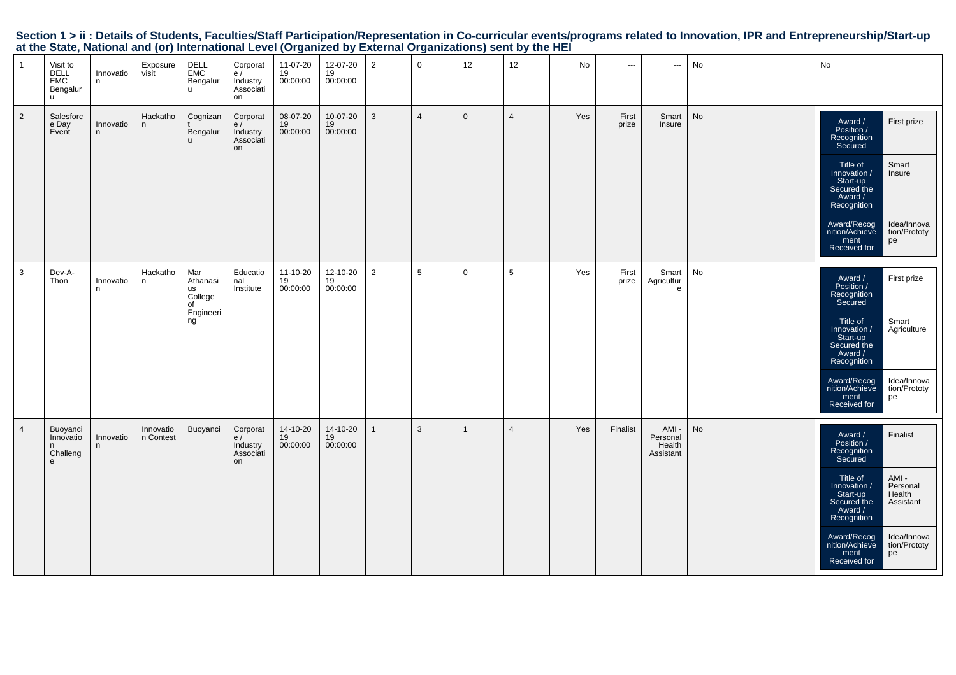|                | at the State, National and for) international Lever (Organized by External Organizations) Sent by the HET |                |                        |                                                     |                                               |                            |                            |                |                     |              |                |     |                |                                         |           |                                                                                                                           |  |
|----------------|-----------------------------------------------------------------------------------------------------------|----------------|------------------------|-----------------------------------------------------|-----------------------------------------------|----------------------------|----------------------------|----------------|---------------------|--------------|----------------|-----|----------------|-----------------------------------------|-----------|---------------------------------------------------------------------------------------------------------------------------|--|
| $\mathbf{1}$   | Visit to<br>DELL<br>EMC<br>Bengalur<br>$\mathsf{u}$                                                       | Innovatio<br>n | Exposure               | DELL<br>EMC<br><b>Bengalur</b><br>$\mathsf{u}$      | Corporat<br>e/<br>Industry<br>Associati<br>on | 11-07-20<br>19<br>00:00:00 | 12-07-20<br>19<br>00:00:00 | $\overline{2}$ | $\mathsf{O}\xspace$ | 12           | 12             | No  | $\sim$         | $\hspace{0.05cm} \ldots$                | No        | No                                                                                                                        |  |
| $\overline{2}$ | Salesforc<br>e Day<br>Event                                                                               | Innovatio<br>n | Hackatho<br>n.         | Cognizan<br>Bengalur                                | Corporat<br>e/<br>Industry<br>Associati<br>on | 08-07-20<br>19<br>00:00:00 | 10-07-20<br>19<br>00:00:00 | $\mathbf{3}$   | $\overline{4}$      | $\mathbf 0$  | $\overline{4}$ | Yes | First<br>prize | Smart<br>Insure                         | No        | First prize<br>Award /<br>Position /<br>Recognition<br>Secured                                                            |  |
|                |                                                                                                           |                |                        |                                                     |                                               |                            |                            |                |                     |              |                |     |                |                                         |           | Smart<br>Title of<br>Innovation /<br>Start-up<br>Secured the<br>Award /<br>Insure<br>Recognition                          |  |
|                |                                                                                                           |                |                        |                                                     |                                               |                            |                            |                |                     |              |                |     |                |                                         |           | Award/Recog<br>nition/Achieve<br>Idea/Innova<br>tion/Prototy<br>ment<br>Received for<br>pe                                |  |
| 3              | Dev-A-<br>Thon                                                                                            | Innovatio<br>n | Hackatho<br>n          | Mar<br>Athanasi<br>us<br>College<br>of<br>Engineeri | Educatio<br>nal<br>Institute                  | 11-10-20<br>19<br>00:00:00 | 12-10-20<br>19<br>00:00:00 | $\overline{2}$ | 5                   | $\mathbf 0$  | 5              | Yes | First<br>prize | Smart<br>Agricultur<br>e                | No        | Award /<br>Position /<br>Recognition<br>Secured<br>First prize                                                            |  |
|                |                                                                                                           |                |                        | ng                                                  |                                               |                            |                            |                |                     |              |                |     |                |                                         |           | Smart<br>Title of<br>Innovation /<br>Start-up<br>Secured the<br>Award /<br>Recognition<br>Agriculture                     |  |
|                |                                                                                                           |                |                        |                                                     |                                               |                            |                            |                |                     |              |                |     |                |                                         |           | Award/Recog<br>nition/Achieve<br>Idea/Innova<br>tion/Prototy<br>pe<br>ment<br>Received for                                |  |
| $\overline{4}$ | Buoyanci<br>Innovatio<br>Challeng<br>$\mathbf{e}$                                                         | Innovatio<br>n | Innovatio<br>n Contest | Buoyanci                                            | Corporat<br>e/<br>Industry<br>Associati<br>on | 14-10-20<br>19<br>00:00:00 | 14-10-20<br>19<br>00:00:00 | $\overline{1}$ | $\mathbf{3}$        | $\mathbf{1}$ | $\overline{4}$ | Yes | Finalist       | AMI-<br>Personal<br>Health<br>Assistant | <b>No</b> | Finalist<br>Award /<br>Position /<br>Recognition<br>Secured                                                               |  |
|                |                                                                                                           |                |                        |                                                     |                                               |                            |                            |                |                     |              |                |     |                |                                         |           | AMI -<br>Personal<br>Health<br>Title of<br>Innovation /<br>Start-up<br>Secured the<br>Assistant<br>Award /<br>Recognition |  |
|                |                                                                                                           |                |                        |                                                     |                                               |                            |                            |                |                     |              |                |     |                |                                         |           | Award/Recog<br>nition/Achieve<br>Idea/Innova<br>tion/Prototy<br>ment<br>Received for<br>pe                                |  |

Section 1 > ii : Details of Students, Faculties/Staff Participation/Representation in Co-curricular events/programs related to Innovation, IPR and Entrepreneurship/Start-up<br>at the State, National and (or) International Lev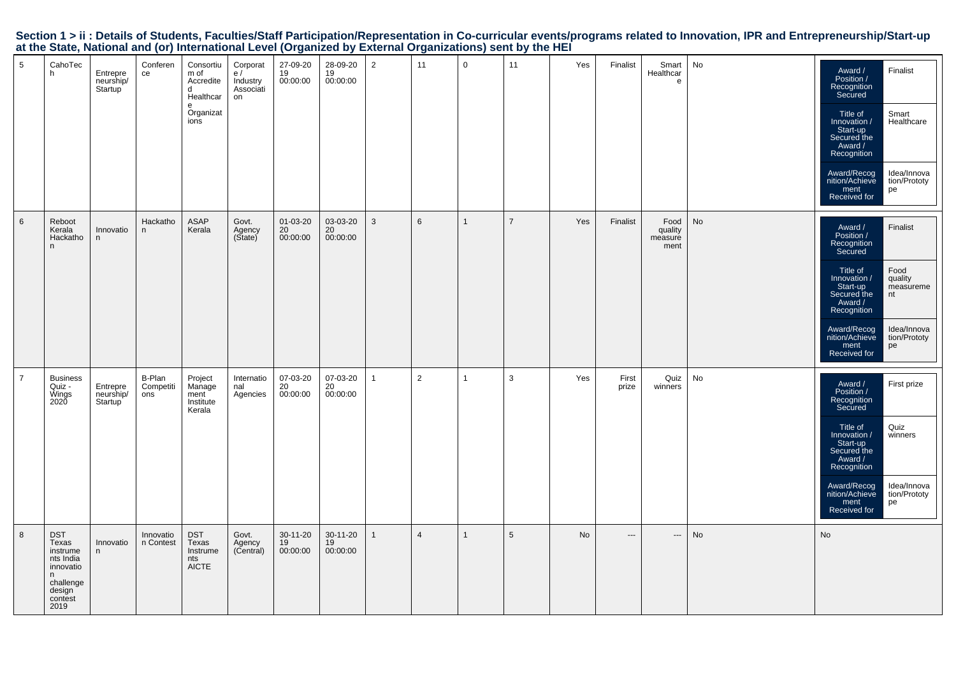|                                                                                                           |  | Section 1 > ii : Details of Students, Faculties/Staff Participation/Representation in Co-curricular events/programs related to Innovation, IPR and Entrepreneurship/Start-up |
|-----------------------------------------------------------------------------------------------------------|--|------------------------------------------------------------------------------------------------------------------------------------------------------------------------------|
| at the State, National and (or) International Level (Organized by External Organizations) sent by the HEI |  |                                                                                                                                                                              |

| 5              | CahoTec<br>h                                                                                              | Entrepre<br>neurship/<br>Startup              | Conferen<br>ce             | Consortiu<br>m of<br>Accredite<br>d<br>Healthcar<br>e<br>Organizat<br>ions | Corporat<br>e/<br>Industry<br>Associati<br>on | 27-09-20<br>19<br>00:00:00 | 28-09-20<br>19<br>00:00:00 | $\overline{2}$ | 11             | $\mathbf 0$  | 11             | Yes | Finalist                 | Smart<br>Healthcar<br>e            | No | Award /<br>Position /<br>Recognition<br>Secured<br>Title of<br>Innovation /<br>Start-up<br>Secured the<br>Award /<br>Recognition<br>Award/Recog<br>nition/Achieve<br>ment<br>Received for | Finalist<br>Smart<br>Healthcare<br>Idea/Innova<br>tion/Prototy<br>pe                |
|----------------|-----------------------------------------------------------------------------------------------------------|-----------------------------------------------|----------------------------|----------------------------------------------------------------------------|-----------------------------------------------|----------------------------|----------------------------|----------------|----------------|--------------|----------------|-----|--------------------------|------------------------------------|----|-------------------------------------------------------------------------------------------------------------------------------------------------------------------------------------------|-------------------------------------------------------------------------------------|
| $\,6\,$        | Reboot<br>Kerala<br>Hackatho<br>n                                                                         | Innovatio<br>n                                | Hackatho<br>n              | <b>ASAP</b><br>Kerala                                                      | Govt.<br>Agency<br>(State)                    | 01-03-20<br>20<br>00:00:00 | 03-03-20<br>20<br>00:00:00 | $\mathbf{3}$   | 6              | $\mathbf{1}$ | $\overline{7}$ | Yes | Finalist                 | Food<br>quality<br>measure<br>ment | No | Award /<br>Position /<br>Recognition<br>Secured<br>Title of<br>Innovation /<br>Start-up<br>Secured the<br>Award /<br>Recognition<br>Award/Recog<br>nition/Achieve<br>ment<br>Received for | Finalist<br>Food<br>quality<br>measureme<br>nt<br>Idea/Innova<br>tion/Prototy<br>pe |
| $\overline{7}$ | <b>Business</b><br>Quiz -<br>Wings<br>2020                                                                | Entrepre<br>neurship/<br>Startup <sup>1</sup> | B-Plan<br>Competiti<br>ons | Project<br>Manage<br>ment<br>Institute<br>Kerala                           | Internatio<br>nal<br>Agencies                 | 07-03-20<br>20<br>00:00:00 | 07-03-20<br>20<br>00:00:00 | $\mathbf{1}$   | 2              | $\mathbf{1}$ | $\mathbf{3}$   | Yes | First<br>prize           | Quiz<br>winners                    | No | Award /<br>Position /<br>Recognition<br>Secured<br>Title of<br>Innovation /<br>Start-up<br>Secured the<br>Award /<br>Recognition<br>Award/Recog<br>nition/Achieve<br>ment<br>Received for | First prize<br>Quiz<br>winners<br>Idea/Innova<br>tion/Prototy<br>pe                 |
| 8              | <b>DST</b><br>Texas<br>instrume<br>nts India<br>innovatio<br>n.<br>challenge<br>design<br>contest<br>2019 | Innovatio<br>n                                | Innovatio<br>n Contest     | <b>DST</b><br>Texas<br>Instrume<br>nts<br><b>AICTE</b>                     | Govt.<br>Agency<br>(Central)                  | 30-11-20<br>19<br>00:00:00 | 30-11-20<br>19<br>00:00:00 | $\mathbf{1}$   | $\overline{4}$ | $\mathbf{1}$ | 5              | No  | $\hspace{0.05cm} \ldots$ | ---                                | No | No                                                                                                                                                                                        |                                                                                     |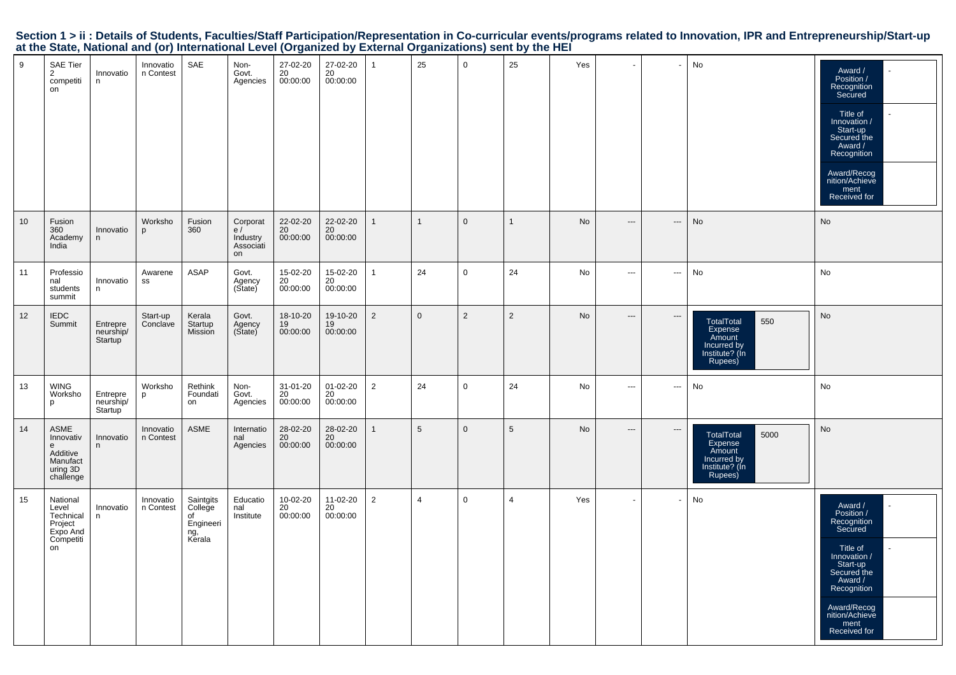|  | Section 1 > ii : Details of Students, Faculties/Staff Participation/Representation in Co-curricular events/programs related to Innovation, IPR and Entrepreneurship/Start-up |  |  |  |
|--|------------------------------------------------------------------------------------------------------------------------------------------------------------------------------|--|--|--|
|  | at the State, National and (or) International Level (Organized by External Organizations) sent by the HEI                                                                    |  |  |  |

| 9  | <b>SAE Tier</b><br>$\overline{2}$<br>competiti<br>on                     | Innovatio<br>n.                  | Innovatio<br>n Contest | SAE                                                        | Non-<br>Govt.<br>Agencies                     | 27-02-20<br>20<br>00:00:00 | 27-02-20<br>20<br>00:00:00 | $\mathbf{1}$   | 25              | $\mathsf 0$  | 25              | Yes       |                          |                          | No                                                                                        | Award /<br>Position /<br>Recognition<br>Secured<br>Title of<br>Innovation /<br>Start-up<br>Secured the<br>Award /<br>Recognition<br>Award/Recog<br>nition/Achieve<br>ment<br>Received for |
|----|--------------------------------------------------------------------------|----------------------------------|------------------------|------------------------------------------------------------|-----------------------------------------------|----------------------------|----------------------------|----------------|-----------------|--------------|-----------------|-----------|--------------------------|--------------------------|-------------------------------------------------------------------------------------------|-------------------------------------------------------------------------------------------------------------------------------------------------------------------------------------------|
| 10 | Fusion<br>360<br>Academy<br>India                                        | Innovatio<br>n                   | Worksho<br>p           | Fusion<br>360                                              | Corporat<br>e/<br>Industry<br>Associati<br>on | 22-02-20<br>20<br>00:00:00 | 22-02-20<br>20<br>00:00:00 | $\mathbf{1}$   | $\mathbf{1}$    | $\mathbf{0}$ | $\mathbf{1}$    | <b>No</b> | $\hspace{0.05cm} \ldots$ | $\hspace{0.05cm} \ldots$ | No                                                                                        | <b>No</b>                                                                                                                                                                                 |
| 11 | Professio<br>nal<br>students<br>summit                                   | Innovatio<br>n                   | Awarene<br>SS          | <b>ASAP</b>                                                | Govt.<br>Agency<br>(State)                    | 15-02-20<br>20<br>00:00:00 | 15-02-20<br>20<br>00:00:00 | $\mathbf{1}$   | 24              | $\mathbf 0$  | 24              | No        | $\sim$                   | $\hspace{0.05cm} \ldots$ | No                                                                                        | No                                                                                                                                                                                        |
| 12 | <b>IEDC</b><br>Summit                                                    | Entrepre<br>neurship/<br>Startup | Start-up<br>Conclave   | Kerala<br>Startup<br>Mission                               | Govt.<br>Agency<br>(State)                    | 18-10-20<br>19<br>00:00:00 | 19-10-20<br>19<br>00:00:00 | $\overline{2}$ | $\mathbf{0}$    | 2            | $\overline{2}$  | No        | $\hspace{0.05cm} \ldots$ | $\hspace{0.05cm} \ldots$ | 550<br><b>TotalTotal</b><br>Expense<br>Amount<br>Incurred by<br>Institute? (In<br>Rupees) | <b>No</b>                                                                                                                                                                                 |
| 13 | <b>WING</b><br>Worksho<br>p                                              | Entrepre<br>neurship/<br>Startup | Worksho<br>p           | Rethink<br>Foundati<br>on                                  | Non-<br>Govt.<br>Agencies                     | 31-01-20<br>20<br>00:00:00 | 01-02-20<br>20<br>00:00:00 | 2              | 24              | $\mathbf 0$  | 24              | No        | $\overline{\phantom{a}}$ | $\sim$ $\sim$            | No                                                                                        | No                                                                                                                                                                                        |
| 14 | ASME<br>Innovativ<br>e<br>Additive<br>Manufact<br>uring 3D<br>challenge  | Innovatio<br>n                   | Innovatio<br>n Contest | <b>ASME</b>                                                | Internatio<br>nal<br>Agencies                 | 28-02-20<br>20<br>00:00:00 | 28-02-20<br>20<br>00:00:00 | $\mathbf{1}$   | $5\phantom{.0}$ | $\mathbf 0$  | $5\phantom{.0}$ | No        | $\overline{\phantom{a}}$ | $\overline{\phantom{a}}$ | 5000<br>TotalTotal<br>Expense<br>Amount<br>Incurred by<br>Institute? (Ín<br>Rupees)       | No                                                                                                                                                                                        |
| 15 | National<br>Level<br>Technical<br>Project<br>Expo And<br>Competiti<br>on | Innovatio<br>n                   | Innovatio<br>n Contest | Saintgits<br>College<br>of<br>Engineeri<br>ng, ̃<br>Kerala | Educatio<br>nal<br>Institute                  | 10-02-20<br>20<br>00:00:00 | 11-02-20<br>20<br>00:00:00 | $\overline{2}$ | $\overline{4}$  | $\mathbf 0$  | $\overline{4}$  | Yes       | $\mathbf{r}$             | $\overline{\phantom{a}}$ | No                                                                                        | Award /<br>Position /<br>Recognition<br>Secured<br>Title of<br>Innovation /<br>Start-up<br>Secured the<br>Award /<br>Recognition<br>Award/Recog<br>nition/Achieve<br>ment<br>Received for |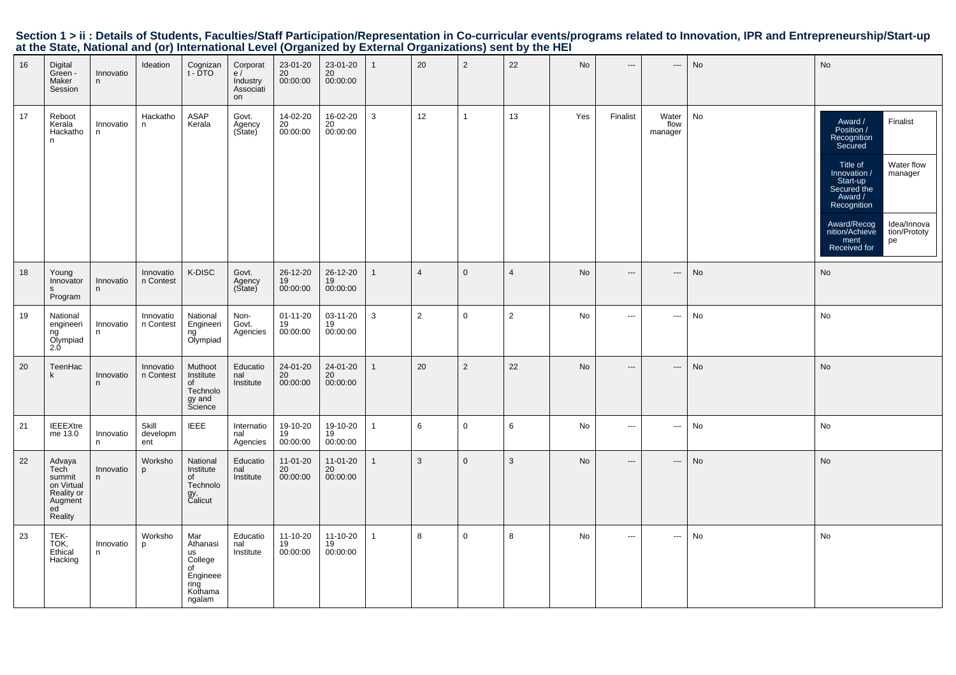|  | Section 1 > ii : Details of Students, Faculties/Staff Participation/Representation in Co-curricular events/programs related to Innovation, IPR and Entrepreneurship/Start-up |  |  |  |  |  |
|--|------------------------------------------------------------------------------------------------------------------------------------------------------------------------------|--|--|--|--|--|
|  | at the State, National and (or) International Level (Organized by External Organizations) sent by the HEI                                                                    |  |  |  |  |  |

| 16 | Digital<br>Green -<br>Maker<br>Session                                                        | Innovatio<br>n | Ideation                 | Cognizan<br>t - DTO                                                             | Corporat<br>e/<br>Industry<br>Associati<br>on | 23-01-20<br>$\frac{20}{00:00:00}$ | 23-01-20<br>$\frac{20}{20}$<br>00:00:00 | $\mathbf{1}$   | 20             | 2              | 22              | No  | $\hspace{0.05cm} \cdots$ | ---                      | No | No                                                                                                                                                                                                                                                                  |
|----|-----------------------------------------------------------------------------------------------|----------------|--------------------------|---------------------------------------------------------------------------------|-----------------------------------------------|-----------------------------------|-----------------------------------------|----------------|----------------|----------------|-----------------|-----|--------------------------|--------------------------|----|---------------------------------------------------------------------------------------------------------------------------------------------------------------------------------------------------------------------------------------------------------------------|
| 17 | Reboot<br>Kerala<br>Hackatho<br>n                                                             | Innovatio<br>n | Hackatho<br>n            | ASAP<br>Kerala                                                                  | Govt.<br>Agency<br>(State)                    | 14-02-20<br>20<br>00:00:00        | 16-02-20<br>20<br>00:00:00              | $\mathbf{3}$   | 12             | $\mathbf{1}$   | 13              | Yes | Finalist                 | Water<br>flow<br>manager | No | Award /<br>Finalist<br>Position /<br>Recognition<br>Secured<br>Water flow<br>Title of<br>Innovation /<br>manager<br>Start-up<br>Secured the<br>Award /<br>Recognition<br>Idea/Innova<br>Award/Recog<br>nition/Achieve<br>tion/Prototy<br>ment<br>pe<br>Received for |
| 18 | Young<br>Innovator<br>S.<br>Program                                                           | Innovatio<br>n | Innovatio<br>n Contest   | K-DISC                                                                          | Govt.<br>Agency<br>(State)                    | 26-12-20<br>19<br>00:00:00        | 26-12-20<br>19<br>00:00:00              | $\mathbf{1}$   | $\overline{4}$ | $\mathbf 0$    | $\overline{4}$  | No  | $---$                    | $\hspace{0.05cm} \ldots$ | No | No                                                                                                                                                                                                                                                                  |
| 19 | National<br>engineeri<br>ng<br>Olympiad<br>2.0                                                | Innovatio<br>n | Innovatio<br>n Contest   | National<br>Engineeri<br>ng<br>Olympiad                                         | Non-<br>Govt.<br>Agencies                     | $01 - 11 - 20$<br>19<br>00:00:00  | 03-11-20<br>19<br>00:00:00              | $\mathbf{3}$   | 2              | $\mathsf{O}$   | $\overline{2}$  | No  | $\cdots$                 | $\hspace{1.5cm} \cdots$  | No | No                                                                                                                                                                                                                                                                  |
| 20 | TeenHac<br>k                                                                                  | Innovatio<br>n | Innovatio<br>n Contest   | Muthoot<br>Institute<br>of<br>Technolo<br>gy and<br>Science                     | Educatio<br>nal<br>Institute                  | 24-01-20<br>20<br>00:00:00        | 24-01-20<br>20<br>00:00:00              | $\mathbf{1}$   | 20             | $\overline{2}$ | 22              | No  | $\hspace{0.05cm} \ldots$ | ---                      | No | No                                                                                                                                                                                                                                                                  |
| 21 | <b>IEEEXtre</b><br>me 13.0                                                                    | Innovatio<br>n | Skill<br>developm<br>ent | <b>IEEE</b>                                                                     | Internatio<br>nal<br>Agencies                 | 19-10-20<br>19<br>00:00:00        | 19-10-20<br>19<br>00:00:00              | $\mathbf{1}$   | 6              | $\mathsf{O}$   | $6\phantom{1}6$ | No  | $\cdots$                 | $\sim$                   | No | No                                                                                                                                                                                                                                                                  |
| 22 | Advaya<br>Tech <sup>-</sup><br>summit<br>on Virtual<br>Reality or<br>Augment<br>ed<br>Reality | Innovatio<br>n | Worksho<br>p             | National<br>Institute<br>of<br>Technolo<br>gy,<br>Calicut                       | Educatio<br>nal<br>Institute                  | 11-01-20<br>20<br>00:00:00        | 11-01-20<br>20<br>00:00:00              | $\overline{1}$ | 3              | $\mathbf 0$    | $\mathbf{3}$    | No  | $\cdots$                 | $\hspace{0.05cm} \ldots$ | No | No                                                                                                                                                                                                                                                                  |
| 23 | TEK-<br>TOK,<br>Ethical<br>Hacking                                                            | Innovatio<br>n | Worksho<br>p             | Mar<br>Athanasi<br>us<br>College<br>of<br>Engineee<br>ring<br>Kothama<br>ngalam | Educatio<br>nal<br>Institute                  | 11-10-20<br>19<br>00:00:00        | 11-10-20<br>19<br>00:00:00              | $\mathbf{1}$   | 8              | $\mathsf{O}$   | 8               | No  | $\cdots$                 | $\sim$                   | No | No                                                                                                                                                                                                                                                                  |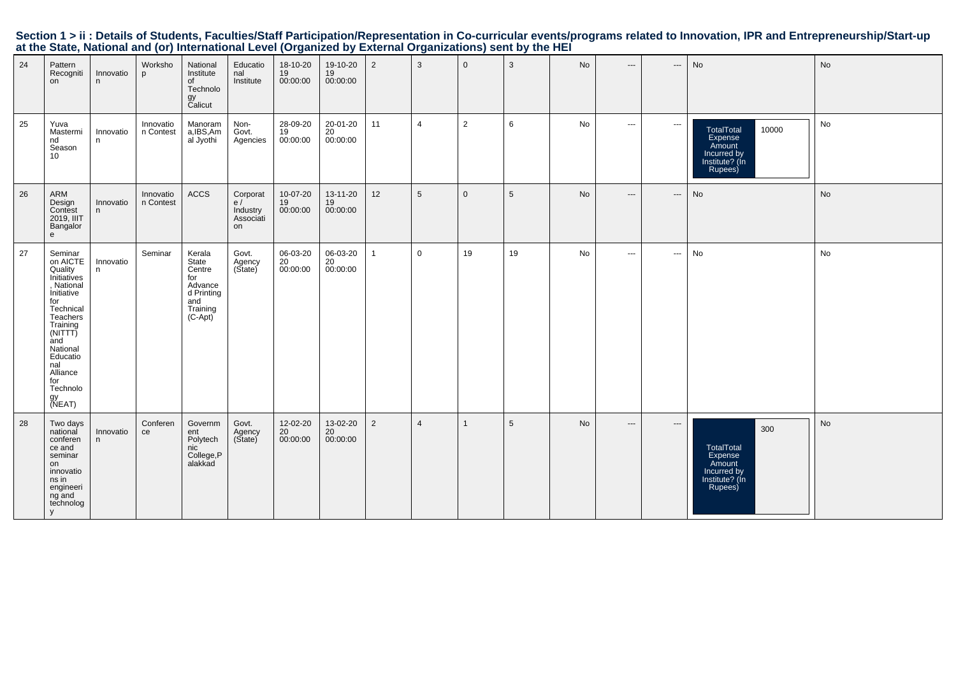Section 1 > ii : Details of Students, Faculties/Staff Participation/Representation in Co-curricular events/programs related to Innovation, IPR and Entrepreneurship/Start-up<br>at the State, National and (or) International Lev

| 24 | Pattern<br>Recogniti<br>on                                                                                                                                                                                            | Innovatio<br>n. | Worksho<br>p           | National<br>Institute<br>of<br>Technolo<br>gy<br>Calicut                                  | Educatio<br>nal<br>Institute                  | 18-10-20<br>19<br>00:00:00 | 19-10-20<br>19<br>00:00:00 | 2              | 3              | $\mathbf 0$    | $\mathbf{3}$    | No | $\hspace{0.05cm} \ldots$                 | ---      | No                                                                                          | No |
|----|-----------------------------------------------------------------------------------------------------------------------------------------------------------------------------------------------------------------------|-----------------|------------------------|-------------------------------------------------------------------------------------------|-----------------------------------------------|----------------------------|----------------------------|----------------|----------------|----------------|-----------------|----|------------------------------------------|----------|---------------------------------------------------------------------------------------------|----|
| 25 | Yuva<br>Mastermi<br>nd<br>Season<br>10                                                                                                                                                                                | Innovatio<br>n. | Innovatio<br>n Contest | Manoram<br>a, IBS, Am<br>al Jyothi                                                        | Non-<br>Govt.<br>Agencies                     | 28-09-20<br>19<br>00:00:00 | 20-01-20<br>20<br>00:00:00 | 11             | $\overline{4}$ | $\overline{2}$ | 6               | No | $\hspace{0.05cm} \ldots \hspace{0.05cm}$ | $\cdots$ | <b>TotalTotal</b><br>10000<br>Expense<br>Amount<br>Incurred by<br>Institute? (In<br>Rupees) | No |
| 26 | ARM<br>Design<br>Contest<br>2019, IIIT<br>Bangalor<br>e                                                                                                                                                               | Innovatio<br>n  | Innovatio<br>n Contest | ACCS                                                                                      | Corporat<br>e/<br>Industry<br>Associati<br>on | 10-07-20<br>19<br>00:00:00 | 13-11-20<br>19<br>00:00:00 | 12             | 5              | $\mathbf{0}$   | $5\phantom{.0}$ | No | $---$                                    | ---      | No                                                                                          | No |
| 27 | Seminar<br>on AICTE<br>Quality<br>Initiatives<br>, National<br>Initiative<br>for<br>Technical<br>Teachers<br>Training<br>(NITTT)<br>and<br>National<br>Educatio<br>nal<br>Alliance<br>for<br>Technolo<br>gy<br>(NEAT) | Innovatio<br>n  | Seminar                | Kerala<br>State<br>Centre<br>for<br>Advance<br>d Printing<br>and<br>Training<br>$(C-Apt)$ | Govt.<br>Agency<br>(State)                    | 06-03-20<br>20<br>00:00:00 | 06-03-20<br>20<br>00:00:00 | $\mathbf 1$    | $\mathbf 0$    | 19             | 19              | No | $\cdots$                                 | $\cdots$ | No                                                                                          | No |
| 28 | Two days<br>national<br>conferen<br>ce and<br>seminar<br>on<br>innovatio<br>ns in<br>engineeri<br>ng and<br>technolog<br>y                                                                                            | Innovatio<br>n. | Conferen<br>ce         | Governm<br>ent<br>Polytech<br>nic<br>College, P<br>alakkad                                | Govt.<br>Agency<br>(State)                    | 12-02-20<br>20<br>00:00:00 | 13-02-20<br>20<br>00:00:00 | $\overline{2}$ | $\overline{4}$ | $\overline{1}$ | $5\phantom{.0}$ | No | $\hspace{0.05cm} \ldots$                 | $\cdots$ | 300<br>TotalTotal<br>Expense<br>Amount<br>Incurred by<br>Institute? (In<br>Rupees)          | No |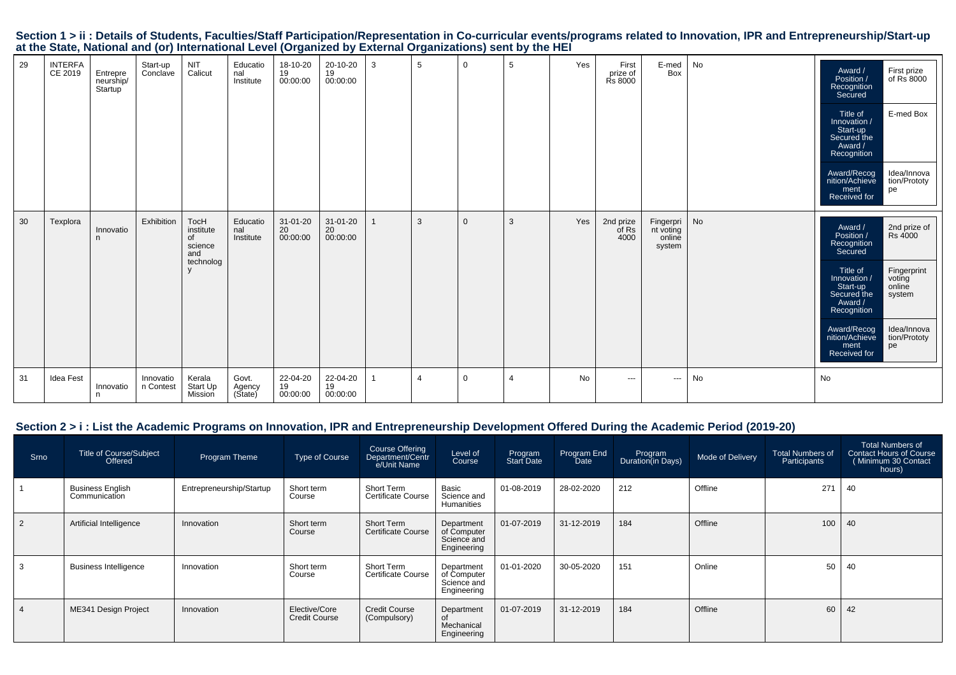|    |                           |                                  | $\mathbf{v}$           |                                                        |                              | ັ                          |                            |   | -              |                | {              |     |                                     |                                            |    |                                                                                                                                                                                                                                                                                                        |
|----|---------------------------|----------------------------------|------------------------|--------------------------------------------------------|------------------------------|----------------------------|----------------------------|---|----------------|----------------|----------------|-----|-------------------------------------|--------------------------------------------|----|--------------------------------------------------------------------------------------------------------------------------------------------------------------------------------------------------------------------------------------------------------------------------------------------------------|
| 29 | <b>INTERFA</b><br>CE 2019 | Entrepre<br>neurship/<br>Startup | Start-up<br>Conclave   | <b>NIT</b><br>Calicut                                  | Educatio<br>nal<br>Institute | 18-10-20<br>19<br>00:00:00 | 20-10-20<br>19<br>00:00:00 | 3 | 5              | 0              | 5              | Yes | First<br>prize of<br><b>Rs 8000</b> | E-med<br>Box                               | No | First prize<br>of Rs 8000<br>Award /<br>Position /<br>Recognition<br>Secured<br>E-med Box<br>Title of<br>Innovation /<br>Start-up<br>Secured the<br>Award /<br>Recognition<br>Idea/Innova<br>Award/Recog<br>nition/Achieve<br>tion/Prototy<br>pe<br>ment<br>Received for                               |
| 30 | Texplora                  | Innovatio<br>n.                  | Exhibition             | TocH<br>institute<br>of<br>science<br>and<br>technolog | Educatio<br>nal<br>Institute | 31-01-20<br>20<br>00:00:00 | 31-01-20<br>20<br>00:00:00 |   | 3              | $\overline{0}$ | 3              | Yes | 2nd prize<br>of Rs<br>4000          | Fingerpri<br>nt voting<br>online<br>system | No | 2nd prize of<br>Award /<br>Rs 4000<br>Position /<br>Recognition<br>Secured<br>Fingerprint<br>voting<br>online<br>Title of<br>Innovation /<br>Start-up<br>Secured the<br>system<br>Award /<br>Recognition<br>Award/Recog<br>nition/Achieve<br>Idea/Innova<br>tion/Prototy<br>pe<br>ment<br>Received for |
| 31 | <b>Idea Fest</b>          | Innovatio<br>n.                  | Innovatio<br>n Contest | Kerala<br>Start Up<br>Mission                          | Govt.<br>Agency<br>(State)   | 22-04-20<br>19<br>00:00:00 | 22-04-20<br>19<br>00:00:00 |   | $\overline{4}$ | $\mathbf 0$    | $\overline{4}$ | No  | $\sim$ $\sim$                       | $\hspace{0.05cm} \ldots$                   | No | No                                                                                                                                                                                                                                                                                                     |

### Section 1 > ii : Details of Students, Faculties/Staff Participation/Representation in Co-curricular events/programs related to Innovation, IPR and Entrepreneurship/Start-up<br>at the State, National and (or) International Lev

#### **Section 2 > i : List the Academic Programs on Innovation, IPR and Entrepreneurship Development Offered During the Academic Period (2019-20)**

| Srno           | Title of Course/Subject<br>Offered       | Program Theme            | Type of Course                        | Course Offering<br>Department/Centr<br>e/Unit Name | Level of<br>Course                                      | Program<br>Start Date | Program End<br>Date | Program<br>Duration(in Days) | Mode of Delivery | Total Numbers of<br>Participants | <b>Total Numbers of</b><br><b>Contact Hours of Course</b><br>(Minimum 30 Contact<br>hours) |
|----------------|------------------------------------------|--------------------------|---------------------------------------|----------------------------------------------------|---------------------------------------------------------|-----------------------|---------------------|------------------------------|------------------|----------------------------------|--------------------------------------------------------------------------------------------|
|                | <b>Business English</b><br>Communication | Entrepreneurship/Startup | Short term<br>Course                  | Short Term<br><b>Certificate Course</b>            | Basic<br>Science and<br><b>Humanities</b>               | 01-08-2019            | 28-02-2020          | 212                          | Offline          | 271                              | 40                                                                                         |
| $\overline{2}$ | Artificial Intelligence                  | Innovation               | Short term<br>Course                  | Short Term<br><b>Certificate Course</b>            | Department<br>of Computer<br>Science and<br>Engineering | 01-07-2019            | 31-12-2019          | 184                          | Offline          | 100                              | 40                                                                                         |
|                | <b>Business Intelligence</b>             | Innovation               | Short term<br>Course                  | Short Term<br>Certificate Course                   | Department<br>of Computer<br>Science and<br>Engineering | 01-01-2020            | 30-05-2020          | 151                          | Online           | 50                               | 40                                                                                         |
|                | ME341 Design Project                     | Innovation               | Elective/Core<br><b>Credit Course</b> | <b>Credit Course</b><br>(Compulsory)               | Department<br>Mechanical<br>Engineering                 | 01-07-2019            | 31-12-2019          | 184                          | Offline          | 60                               | 42                                                                                         |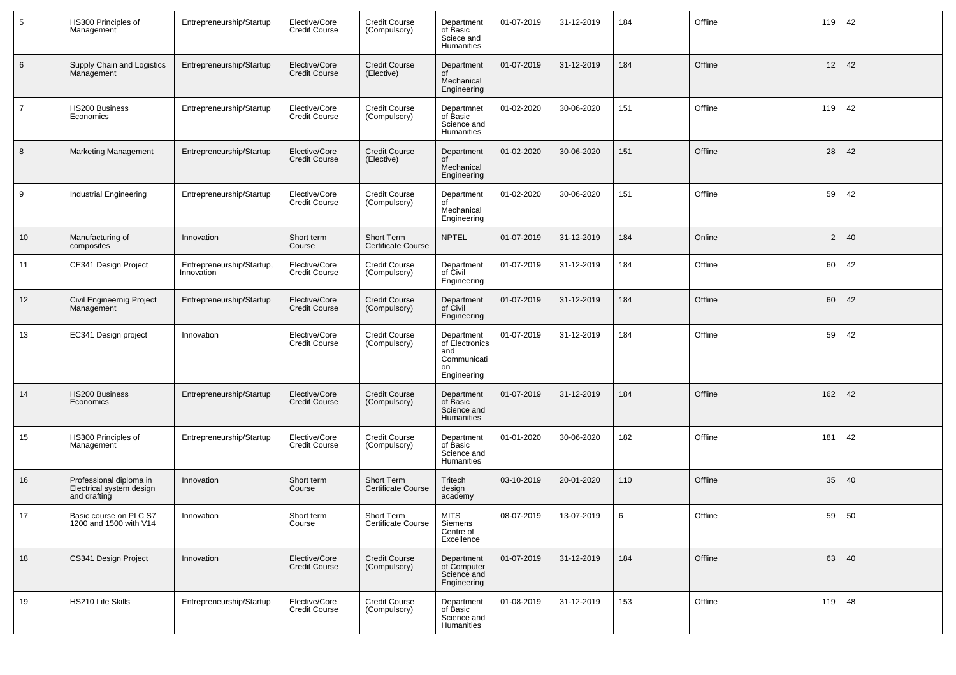| $5\phantom{.0}$ | HS300 Principles of<br>Management                                   | Entrepreneurship/Startup                | Elective/Core<br><b>Credit Course</b> | Credit Course<br>(Compulsory)           | Department<br>of Basic<br>Sciece and<br>Humanities                      | 01-07-2019 | 31-12-2019 | 184 | Offline | 119            | 42 |
|-----------------|---------------------------------------------------------------------|-----------------------------------------|---------------------------------------|-----------------------------------------|-------------------------------------------------------------------------|------------|------------|-----|---------|----------------|----|
| 6               | Supply Chain and Logistics<br>Management                            | Entrepreneurship/Startup                | Elective/Core<br><b>Credit Course</b> | <b>Credit Course</b><br>(Elective)      | Department<br>οf<br>Mechanical<br>Engineering                           | 01-07-2019 | 31-12-2019 | 184 | Offline | 12             | 42 |
| $\overline{7}$  | HS200 Business<br>Economics                                         | Entrepreneurship/Startup                | Elective/Core<br><b>Credit Course</b> | Credit Course<br>(Compulsory)           | Departmnet<br>of Basic<br>Science and<br>Humanities                     | 01-02-2020 | 30-06-2020 | 151 | Offline | 119            | 42 |
| 8               | <b>Marketing Management</b>                                         | Entrepreneurship/Startup                | Elective/Core<br><b>Credit Course</b> | <b>Credit Course</b><br>(Elective)      | Department<br>of<br>Mechanical<br>Engineering                           | 01-02-2020 | 30-06-2020 | 151 | Offline | 28             | 42 |
| 9               | Industrial Engineering                                              | Entrepreneurship/Startup                | Elective/Core<br><b>Credit Course</b> | Credit Course<br>(Compulsory)           | Department<br>of<br>Mechanical<br>Engineering                           | 01-02-2020 | 30-06-2020 | 151 | Offline | 59             | 42 |
| 10 <sup>°</sup> | Manufacturing of<br>composites                                      | Innovation                              | Short term<br>Course                  | Short Term<br><b>Certificate Course</b> | <b>NPTEL</b>                                                            | 01-07-2019 | 31-12-2019 | 184 | Online  | $\overline{2}$ | 40 |
| 11              | CE341 Design Project                                                | Entrepreneurship/Startup,<br>Innovation | Elective/Core<br><b>Credit Course</b> | Credit Course<br>(Compulsory)           | Department<br>of Civil<br>Engineering                                   | 01-07-2019 | 31-12-2019 | 184 | Offline | 60             | 42 |
| 12              | Civil Engineernig Project<br>Management                             | Entrepreneurship/Startup                | Elective/Core<br><b>Credit Course</b> | <b>Credit Course</b><br>(Compulsory)    | Department<br>of Civil<br>Engineering                                   | 01-07-2019 | 31-12-2019 | 184 | Offline | 60             | 42 |
| 13              | EC341 Design project                                                | Innovation                              | Elective/Core<br><b>Credit Course</b> | Credit Course<br>(Compulsory)           | Department<br>of Electronics<br>and<br>Communicati<br>on<br>Engineering | 01-07-2019 | 31-12-2019 | 184 | Offline | 59             | 42 |
| 14              | <b>HS200 Business</b><br>Economics                                  | Entrepreneurship/Startup                | Elective/Core<br><b>Credit Course</b> | <b>Credit Course</b><br>(Compulsory)    | Department<br>of Basic<br>Science and<br><b>Humanities</b>              | 01-07-2019 | 31-12-2019 | 184 | Offline | 162            | 42 |
| 15              | HS300 Principles of<br>Management                                   | Entrepreneurship/Startup                | Elective/Core<br>Credit Course        | <b>Credit Course</b><br>(Compulsory)    | Department<br>of Basic<br>Science and<br>Humanities                     | 01-01-2020 | 30-06-2020 | 182 | Offline | 181            | 42 |
| 16              | Professional diploma in<br>Electrical system design<br>and drafting | Innovation                              | Short term<br>Course                  | Short Term<br><b>Certificate Course</b> | Tritech<br>design<br>academy                                            | 03-10-2019 | 20-01-2020 | 110 | Offline | 35             | 40 |
| 17              | Basic course on PLC S7<br>1200 and 1500 with V14                    | Innovation                              | Short term<br>Course                  | Short Term<br>Certificate Course        | <b>MITS</b><br>Siemens<br>Centre of<br>Excellence                       | 08-07-2019 | 13-07-2019 | 6   | Offline | 59             | 50 |
| 18              | CS341 Design Project                                                | Innovation                              | Elective/Core<br><b>Credit Course</b> | Credit Course<br>(Compulsory)           | Department<br>of Computer<br>Science and<br>Engineering                 | 01-07-2019 | 31-12-2019 | 184 | Offline | 63             | 40 |
| 19              | HS210 Life Skills                                                   | Entrepreneurship/Startup                | Elective/Core<br><b>Credit Course</b> | Credit Course<br>(Compulsory)           | Department<br>of Basic<br>Science and<br>Humanities                     | 01-08-2019 | 31-12-2019 | 153 | Offline | 119            | 48 |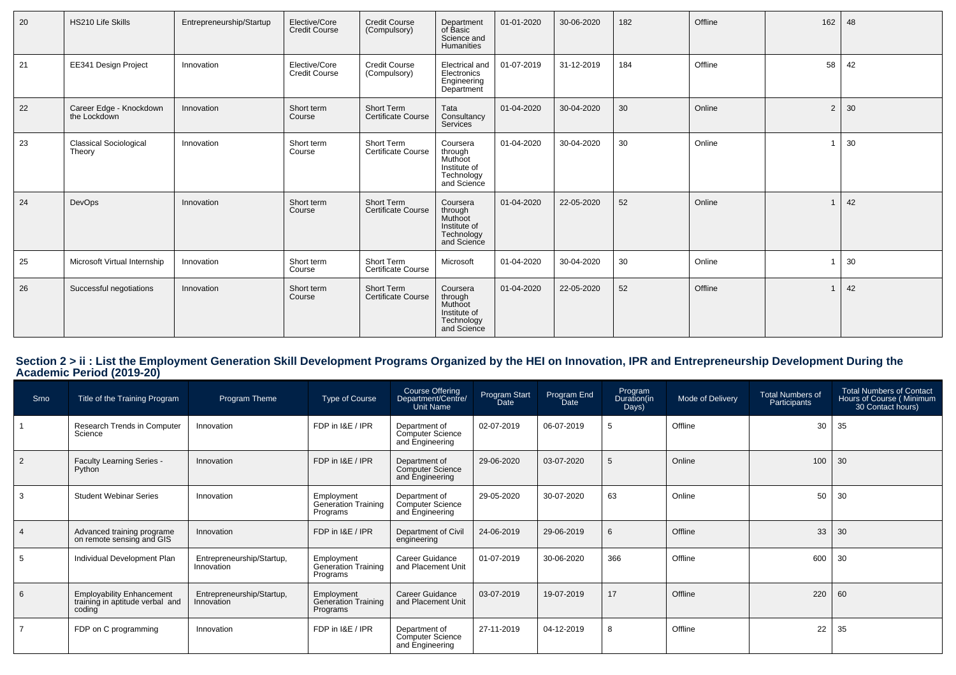| 20 | HS210 Life Skills                       | Entrepreneurship/Startup | Elective/Core<br><b>Credit Course</b> | <b>Credit Course</b><br>(Compulsory)    | Department<br>of Basic<br>Science and<br>Humanities                         | 01-01-2020 | 30-06-2020 | 182 | Offline | 162            | 48 |
|----|-----------------------------------------|--------------------------|---------------------------------------|-----------------------------------------|-----------------------------------------------------------------------------|------------|------------|-----|---------|----------------|----|
| 21 | EE341 Design Project                    | Innovation               | Elective/Core<br><b>Credit Course</b> | <b>Credit Course</b><br>(Compulsory)    | Electrical and<br>Electronics<br>Engineering<br>Department                  | 01-07-2019 | 31-12-2019 | 184 | Offline | 58             | 42 |
| 22 | Career Edge - Knockdown<br>the Lockdown | Innovation               | Short term<br>Course                  | Short Term<br><b>Certificate Course</b> | Tata<br>Consultancy<br>Services                                             | 01-04-2020 | 30-04-2020 | 30  | Online  | $\overline{2}$ | 30 |
| 23 | <b>Classical Sociological</b><br>Theory | Innovation               | Short term<br>Course                  | Short Term<br><b>Certificate Course</b> | Coursera<br>through<br>Muthoot<br>Institute of<br>Technology<br>and Science | 01-04-2020 | 30-04-2020 | 30  | Online  |                | 30 |
| 24 | DevOps                                  | Innovation               | Short term<br>Course                  | Short Term<br>Certificate Course        | Coursera<br>through<br>Muthoot<br>Institute of<br>Technology<br>and Science | 01-04-2020 | 22-05-2020 | 52  | Online  |                | 42 |
| 25 | Microsoft Virtual Internship            | Innovation               | Short term<br>Course                  | Short Term<br>Certificate Course        | Microsoft                                                                   | 01-04-2020 | 30-04-2020 | 30  | Online  |                | 30 |
| 26 | Successful negotiations                 | Innovation               | Short term<br>Course                  | Short Term<br><b>Certificate Course</b> | Coursera<br>through<br>Muthoot<br>Institute of<br>Technology<br>and Science | 01-04-2020 | 22-05-2020 | 52  | Offline |                | 42 |

## **Section 2 > ii : List the Employment Generation Skill Development Programs Organized by the HEI on Innovation, IPR and Entrepreneurship Development During the Academic Period (2019-20)**

| Srno           | Title of the Training Program                                                 | Program Theme                           | Type of Course                                       | Course Offering<br>/Department/Centre<br>Unit Name          | Program Start<br>Date | Program End<br>Date | Program<br>Duration(in<br>Days) | Mode of Delivery | <b>Total Numbers of</b><br>Participants | <b>Total Numbers of Contact</b><br>Hours of Course (Minimum<br>30 Contact hours) |
|----------------|-------------------------------------------------------------------------------|-----------------------------------------|------------------------------------------------------|-------------------------------------------------------------|-----------------------|---------------------|---------------------------------|------------------|-----------------------------------------|----------------------------------------------------------------------------------|
|                | Research Trends in Computer<br>Science                                        | Innovation                              | FDP in I&E / IPR                                     | Department of<br><b>Computer Science</b><br>and Engineering | 02-07-2019            | 06-07-2019          | -5                              | Offline          | 30                                      | 35                                                                               |
| $\overline{2}$ | Faculty Learning Series -<br>Python                                           | Innovation                              | FDP in I&E / IPR                                     | Department of<br>Computer Science<br>and Engineering        | 29-06-2020            | 03-07-2020          | 5                               | Online           | 100                                     | 30                                                                               |
| 3              | <b>Student Webinar Series</b>                                                 | Innovation                              | Employment<br>Generation Training<br>Programs        | Department of<br>Computer Science<br>and Engineering        | 29-05-2020            | 30-07-2020          | 63                              | Online           | 50                                      | 30                                                                               |
|                | Advanced training programe<br>on remote sensing and GIS                       | Innovation                              | FDP in I&E / IPR                                     | Department of Civil<br>engineering                          | 24-06-2019            | 29-06-2019          | 6                               | Offline          | 33                                      | 30                                                                               |
|                | Individual Development Plan                                                   | Entrepreneurship/Startup,<br>Innovation | Employment<br>Generation Training<br>Programs        | Career Guidance<br>and Placement Unit                       | 01-07-2019            | 30-06-2020          | 366                             | Offline          | 600                                     | 30                                                                               |
| 6              | <b>Employability Enhancement</b><br>training in aptitude verbal and<br>coding | Entrepreneurship/Startup,<br>Innovation | Employment<br><b>Generation Training</b><br>Programs | <b>Career Guidance</b><br>and Placement Unit                | 03-07-2019            | 19-07-2019          | 17                              | Offline          | 220                                     | 60                                                                               |
|                | FDP on C programming                                                          | Innovation                              | FDP in I&E / IPR                                     | Department of<br>Computer Science<br>and Engineering        | 27-11-2019            | 04-12-2019          | 8                               | Offline          | 22                                      | 35                                                                               |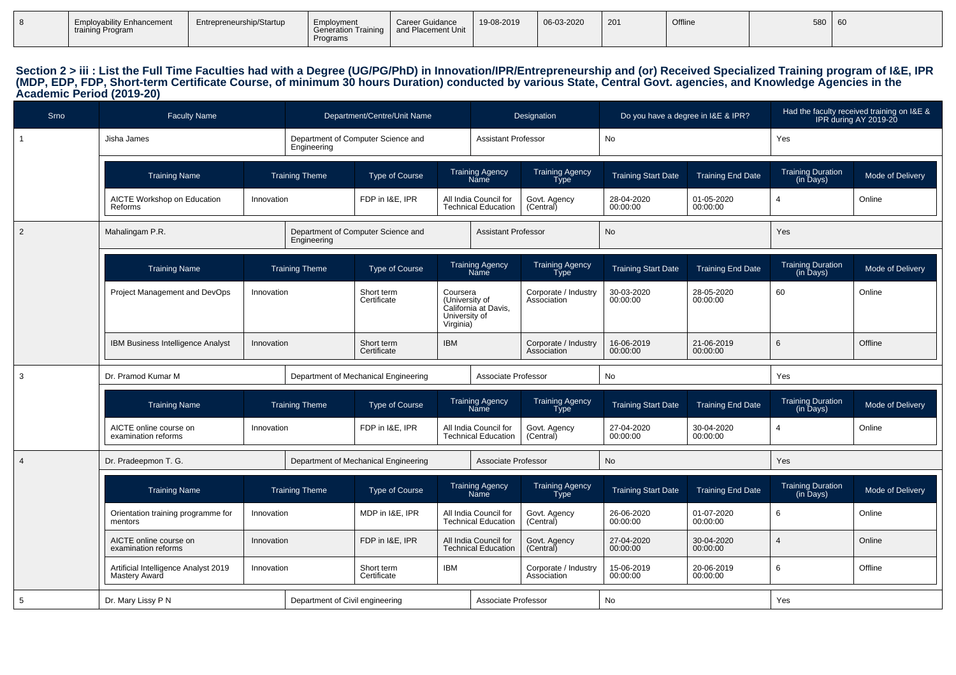|  | <b>Employability Enhancement</b><br>training Program | Entrepreneurship/Startup | Employment<br><b>Generation Training</b><br>Programs | <b>Career Guidance</b><br>and Placement Unit | 19-08-2019 | 06-03-2020 | $\vert$ 201 | Offline | 580 | $\sim$ $\sim$<br>- ou |
|--|------------------------------------------------------|--------------------------|------------------------------------------------------|----------------------------------------------|------------|------------|-------------|---------|-----|-----------------------|
|--|------------------------------------------------------|--------------------------|------------------------------------------------------|----------------------------------------------|------------|------------|-------------|---------|-----|-----------------------|

# Section 2 > iii : List the Full Time Faculties had with a Degree (UG/PG/PhD) in Innovation/IPR/Entrepreneurship and (or) Received Specialized Training program of I&E, IPR<br>(MDP, EDP, FDP, Short-term Certificate Course, of m

| Srno           | <b>Faculty Name</b>                                   |            | Department/Centre/Unit Name |                                      |                                                          | Designation                                         |                                       | Do you have a degree in I&E & IPR? |                          | Had the faculty received training on I&E &<br>IPR during AY 2019-20 |                  |
|----------------|-------------------------------------------------------|------------|-----------------------------|--------------------------------------|----------------------------------------------------------|-----------------------------------------------------|---------------------------------------|------------------------------------|--------------------------|---------------------------------------------------------------------|------------------|
| $\overline{1}$ | Jisha James                                           |            | Engineering                 | Department of Computer Science and   |                                                          | <b>Assistant Professor</b>                          |                                       | No                                 |                          | Yes                                                                 |                  |
|                | <b>Training Name</b>                                  |            | <b>Training Theme</b>       | <b>Type of Course</b>                |                                                          | <b>Training Agency</b><br><b>Name</b>               | <b>Training Agency</b><br><b>Type</b> | <b>Training Start Date</b>         | <b>Training End Date</b> | Training Duration<br>(in Days)                                      | Mode of Delivery |
|                | <b>AICTE Workshop on Education</b><br>Reforms         | Innovation |                             | FDP in I&E, IPR                      |                                                          | All India Council for<br><b>Technical Education</b> | Govt. Agency<br>(Central)             | 28-04-2020<br>00:00:00             | 01-05-2020<br>00:00:00   | $\Delta$                                                            | Online           |
| $\overline{2}$ | Mahalingam P.R.                                       |            | Engineering                 | Department of Computer Science and   |                                                          | <b>Assistant Professor</b>                          |                                       | No                                 |                          | Yes                                                                 |                  |
|                | <b>Training Name</b>                                  |            | <b>Training Theme</b>       | <b>Type of Course</b>                |                                                          | <b>Training Agency</b><br>Name                      | <b>Training Agency</b><br><b>Type</b> | <b>Training Start Date</b>         | <b>Training End Date</b> | <b>Training Duration</b><br>(in Days)                               | Mode of Delivery |
|                | Project Management and DevOps                         | Innovation |                             | Short term<br>Certificate            | Coursera<br>(University of<br>University of<br>Virginia) | California at Davis,                                | Corporate / Industry<br>Association   | 30-03-2020<br>00:00:00             | 28-05-2020<br>00:00:00   | 60                                                                  | Online           |
|                | IBM Business Intelligence Analyst                     | Innovation |                             | Short term<br>Certificate            | <b>IBM</b>                                               |                                                     | Corporate / Industry<br>Association   | 16-06-2019<br>00:00:00             | 21-06-2019<br>00:00:00   | 6                                                                   | Offline          |
| 3              | Dr. Pramod Kumar M                                    |            |                             | Department of Mechanical Engineering |                                                          | Associate Professor                                 |                                       | No                                 |                          | Yes                                                                 |                  |
|                | <b>Training Name</b>                                  |            | <b>Training Theme</b>       | <b>Type of Course</b>                |                                                          | <b>Training Agency</b><br>Name                      | Training Agency<br>Type               | <b>Training Start Date</b>         | <b>Training End Date</b> | Training Duration<br>(in Days)                                      | Mode of Delivery |
|                | AICTE online course on<br>examination reforms         | Innovation |                             | FDP in I&E, IPR                      |                                                          |                                                     |                                       |                                    |                          | 4                                                                   | Online           |
|                |                                                       |            |                             |                                      |                                                          | All India Council for<br><b>Technical Education</b> | Govt. Agency<br>(Central)             | 27-04-2020<br>00:00:00             | 30-04-2020<br>00:00:00   |                                                                     |                  |
| $\overline{4}$ | Dr. Pradeepmon T. G.                                  |            |                             | Department of Mechanical Engineering |                                                          | Associate Professor                                 |                                       | No                                 |                          | Yes                                                                 |                  |
|                | <b>Training Name</b>                                  |            | <b>Training Theme</b>       | <b>Type of Course</b>                |                                                          | <b>Training Agency</b><br>Name                      | <b>Training Agency</b><br>Type        | <b>Training Start Date</b>         | <b>Training End Date</b> | Training Duration<br>(in Days)                                      | Mode of Delivery |
|                | Orientation training programme for<br>mentors         | Innovation |                             | MDP in I&E, IPR                      |                                                          | All India Council for<br><b>Technical Education</b> | Govt. Agency<br>(Central)             | 26-06-2020<br>00:00:00             | 01-07-2020<br>00:00:00   | 6                                                                   | Online           |
|                | AICTE online course on<br>examination reforms         | Innovation |                             | FDP in I&E, IPR                      |                                                          | All India Council for<br><b>Technical Education</b> | Govt. Agency<br>(Central)             | 27-04-2020<br>00:00:00             | 30-04-2020<br>00:00:00   | 4                                                                   | Online           |
|                | Artificial Intelligence Analyst 2019<br>Mastery Award | Innovation |                             | Short term<br>Certificate            | IBM                                                      |                                                     | Corporate / Industry<br>Association   | 15-06-2019<br>00:00:00             | 20-06-2019<br>00:00:00   | 6                                                                   | Offline          |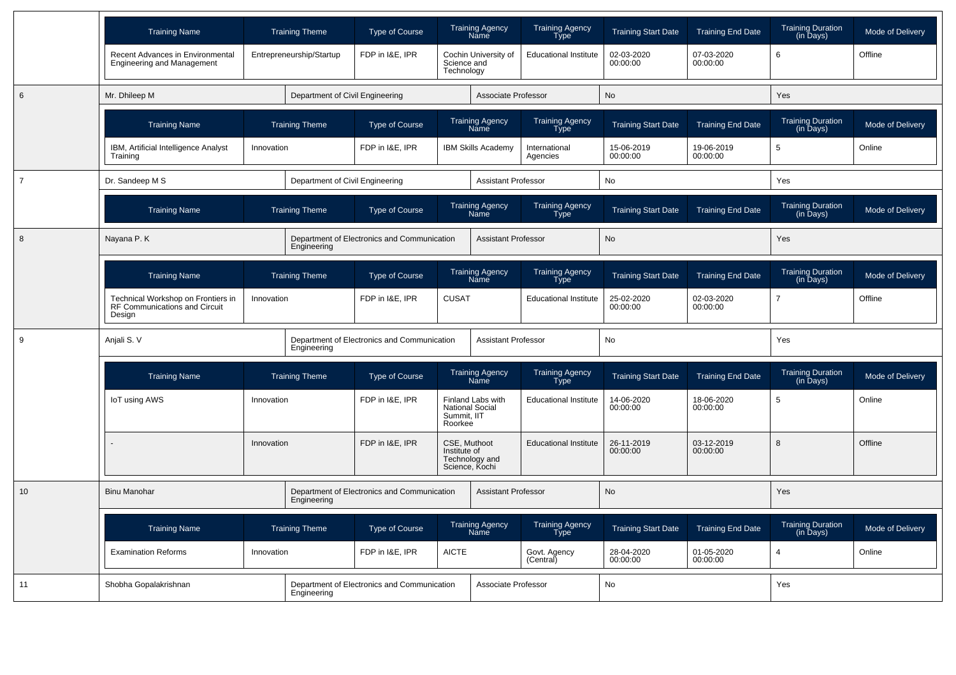|                | <b>Training Name</b>                                                          |            | <b>Training Theme</b>           | Type of Course                              |                              | <b>Training Agency</b><br>Name                     | <b>Training Agency</b><br>Type        | <b>Training Start Date</b> | <b>Training End Date</b> | <b>Training Duration</b><br>(in Days)                  | Mode of Delivery |
|----------------|-------------------------------------------------------------------------------|------------|---------------------------------|---------------------------------------------|------------------------------|----------------------------------------------------|---------------------------------------|----------------------------|--------------------------|--------------------------------------------------------|------------------|
|                | Recent Advances in Environmental<br><b>Engineering and Management</b>         |            | Entrepreneurship/Startup        | FDP in I&E, IPR                             | Science and<br>Technology    | Cochin University of                               | <b>Educational Institute</b>          | 02-03-2020<br>00:00:00     | 07-03-2020<br>00:00:00   | 6                                                      | Offline          |
| 6              | Mr. Dhileep M                                                                 |            | Department of Civil Engineering |                                             |                              | Associate Professor                                |                                       | No                         |                          | Yes                                                    |                  |
|                | <b>Training Name</b>                                                          |            | <b>Training Theme</b>           | <b>Type of Course</b>                       |                              | <b>Training Agency</b><br>Nāmē                     | <b>Training Agency</b><br>Tўpe        | <b>Training Start Date</b> | <b>Training End Date</b> | <b>Training Duration</b><br>$(in \overline{D}$ ays $)$ | Mode of Delivery |
|                | IBM, Artificial Intelligence Analyst<br>Training                              | Innovation |                                 | FDP in I&E, IPR                             |                              | <b>IBM Skills Academy</b>                          | International<br>Agencies             | 15-06-2019<br>00:00:00     | 19-06-2019<br>00:00:00   | 5                                                      | Online           |
| $\overline{7}$ | Dr. Sandeep M S                                                               |            | Department of Civil Engineering |                                             |                              | <b>Assistant Professor</b>                         |                                       | No                         |                          | Yes                                                    |                  |
|                | <b>Training Name</b>                                                          |            | <b>Training Theme</b>           | <b>Type of Course</b>                       |                              | <b>Training Agency</b><br>Name                     | <b>Training Agency</b><br>Type        | <b>Training Start Date</b> | <b>Training End Date</b> | <b>Training Duration</b><br>(in Days)                  | Mode of Delivery |
| 8              | Nayana P. K                                                                   |            | Engineering                     | Department of Electronics and Communication |                              | <b>Assistant Professor</b>                         |                                       | No                         |                          | Yes                                                    |                  |
|                | <b>Training Name</b>                                                          |            | <b>Training Theme</b>           | <b>Type of Course</b>                       |                              | Training Agency<br>Name                            | <b>Training Agency</b><br><b>Type</b> | <b>Training Start Date</b> | <b>Training End Date</b> | <b>Training Duration</b><br>$(in \overline{D}$ ays $)$ | Mode of Delivery |
|                | Technical Workshop on Frontiers in<br>RF Communications and Circuit<br>Design | Innovation |                                 | FDP in I&E, IPR                             | <b>CUSAT</b>                 |                                                    | <b>Educational Institute</b>          | 25-02-2020<br>00:00:00     | 02-03-2020<br>00:00:00   | 7                                                      | Offline          |
| 9              | Anjali S. V                                                                   |            | Engineering                     | Department of Electronics and Communication |                              | <b>Assistant Professor</b>                         |                                       | No                         |                          | Yes                                                    |                  |
|                | <b>Training Name</b>                                                          |            | <b>Training Theme</b>           | <b>Type of Course</b>                       |                              | <b>Training Agency</b><br>Name                     | <b>Training Agency</b><br>Type        | <b>Training Start Date</b> | <b>Training End Date</b> | Training Duration<br>(in Days)                         | Mode of Delivery |
|                | <b>IoT using AWS</b>                                                          | Innovation |                                 | FDP in I&E. IPR                             | Summit. IIT<br>Roorkee       | <b>Finland Labs with</b><br><b>National Social</b> | <b>Educational Institute</b>          | 14-06-2020<br>00:00:00     | 18-06-2020<br>00:00:00   | 5                                                      | Online           |
|                |                                                                               | Innovation |                                 | FDP in I&E. IPR                             | CSE. Muthoot<br>Institute of | Technology and<br>Science, Kochi                   | <b>Educational Institute</b>          | 26-11-2019<br>00:00:00     | 03-12-2019<br>00:00:00   | 8                                                      | Offline          |
| 10             | <b>Binu Manohar</b>                                                           |            | Engineering                     | Department of Electronics and Communication |                              | <b>Assistant Professor</b>                         |                                       | <b>No</b>                  |                          | <b>Yes</b>                                             |                  |
|                | <b>Training Name</b>                                                          |            | <b>Training Theme</b>           | <b>Type of Course</b>                       |                              | Training Agency<br>Name                            | <b>Training Agency</b><br><b>Type</b> | <b>Training Start Date</b> | <b>Training End Date</b> | <b>Training Duration</b><br>$(in \overline{D}$ ays $)$ | Mode of Delivery |
|                | <b>Examination Reforms</b>                                                    | Innovation |                                 | FDP in I&E, IPR                             | <b>AICTE</b>                 |                                                    | Govt. Agency<br>(Central)             | 28-04-2020<br>00:00:00     | 01-05-2020<br>00:00:00   | 4                                                      | Online           |
| 11             | Shobha Gopalakrishnan                                                         |            | Engineering                     | Department of Electronics and Communication |                              | Associate Professor                                |                                       | No                         |                          | Yes                                                    |                  |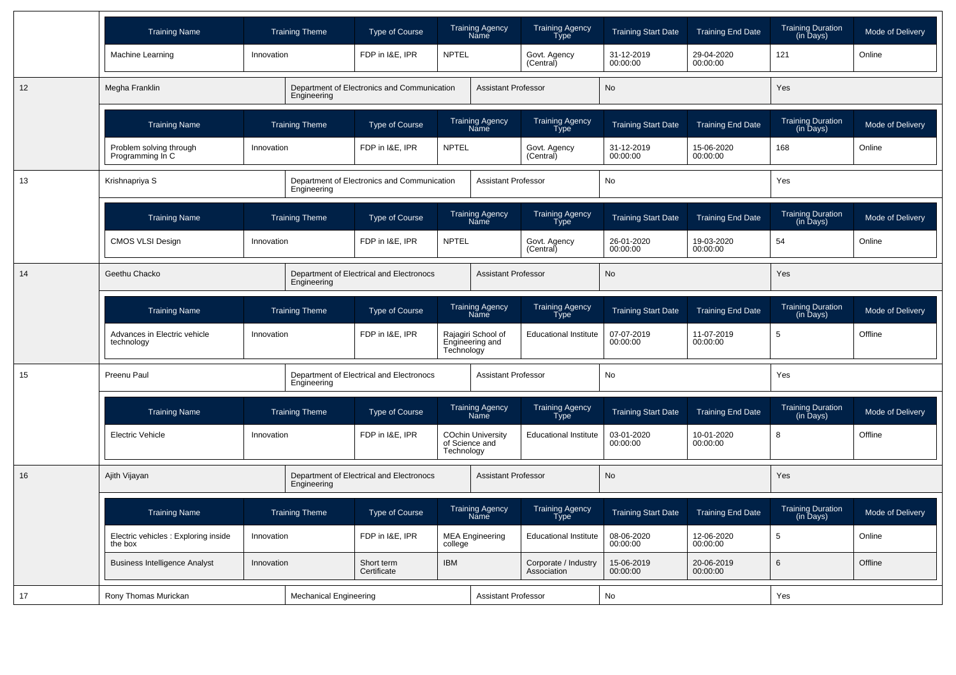|    | <b>Training Name</b>                            |                               | <b>Training Theme</b> | Type of Course                              | Training Agency<br>Name                                  | <b>Training Agency</b><br><b>Type</b> | <b>Training Start Date</b> | <b>Training End Date</b> | <b>Training Duration</b><br>(in Days) | Mode of Delivery |
|----|-------------------------------------------------|-------------------------------|-----------------------|---------------------------------------------|----------------------------------------------------------|---------------------------------------|----------------------------|--------------------------|---------------------------------------|------------------|
|    | Machine Learning                                | Innovation                    |                       | FDP in I&E, IPR                             | <b>NPTEL</b>                                             | Govt. Agency<br>(Central)             | 31-12-2019<br>00:00:00     | 29-04-2020<br>00:00:00   | 121                                   | Online           |
| 12 | Megha Franklin                                  |                               | Engineering           | Department of Electronics and Communication | <b>Assistant Professor</b>                               |                                       | <b>No</b>                  |                          | Yes                                   |                  |
|    | <b>Training Name</b>                            |                               | <b>Training Theme</b> | Type of Course                              | <b>Training Agency</b><br>Name                           | <b>Training Agency</b><br>Type        | <b>Training Start Date</b> | <b>Training End Date</b> | Training Duration<br>(in Days)        | Mode of Delivery |
|    | Problem solving through<br>Programming In C     | Innovation                    |                       | FDP in I&E, IPR                             | <b>NPTEL</b>                                             | Govt. Agency<br>(Central)             | 31-12-2019<br>00:00:00     | 15-06-2020<br>00:00:00   | 168                                   | Online           |
| 13 | Krishnapriya S                                  |                               | Engineering           | Department of Electronics and Communication | <b>Assistant Professor</b>                               |                                       | No                         |                          | Yes                                   |                  |
|    | <b>Training Name</b>                            |                               | <b>Training Theme</b> | Type of Course                              | Training Agency<br>Name                                  | Training Agency<br><b>Type</b>        | <b>Training Start Date</b> | <b>Training End Date</b> | Training Duration<br>(in Days)        | Mode of Delivery |
|    | <b>CMOS VLSI Design</b>                         | Innovation                    |                       | FDP in I&E, IPR                             | <b>NPTEL</b>                                             | Govt. Agency<br>(Central)             | 26-01-2020<br>00:00:00     | 19-03-2020<br>00:00:00   | 54                                    | Online           |
| 14 | Geethu Chacko                                   | Engineering                   |                       | Department of Electrical and Electronocs    | <b>Assistant Professor</b>                               |                                       | No                         |                          | Yes                                   |                  |
|    | <b>Training Name</b>                            |                               | <b>Training Theme</b> | Type of Course                              | <b>Training Agency</b><br>Name                           | <b>Training Agency</b><br>Type        | <b>Training Start Date</b> | <b>Training End Date</b> | <b>Training Duration</b><br>(in Days) | Mode of Delivery |
|    | Advances in Electric vehicle<br>technology      | Innovation                    |                       | FDP in I&E. IPR                             | Rajagiri School of<br>Engineering and<br>Technology      | <b>Educational Institute</b>          | 07-07-2019<br>00:00:00     | 11-07-2019<br>00:00:00   | 5                                     | Offline          |
| 15 | Preenu Paul                                     |                               | Engineering           | Department of Electrical and Electronocs    | <b>Assistant Professor</b>                               |                                       | No                         |                          | Yes                                   |                  |
|    | <b>Training Name</b>                            |                               | <b>Training Theme</b> | Type of Course                              | Training Agency<br>Name                                  | Training Agency<br>Type               | <b>Training Start Date</b> | <b>Training End Date</b> | <b>Training Duration</b><br>(in Days) | Mode of Delivery |
|    | <b>Electric Vehicle</b>                         | Innovation                    |                       | FDP in I&E. IPR                             | <b>COchin University</b><br>of Science and<br>Technology | <b>Educational Institute</b>          | 03-01-2020<br>00:00:00     | 10-01-2020<br>00:00:00   | 8                                     | Offline          |
| 16 | Ajith Vijayan                                   |                               | Engineering           | Department of Electrical and Electronocs    | <b>Assistant Professor</b>                               |                                       | <b>No</b>                  |                          | Yes                                   |                  |
|    | <b>Training Name</b>                            |                               | <b>Training Theme</b> | Type of Course                              | Training Agency<br>Name                                  | Training Agency<br>Type               | <b>Training Start Date</b> | <b>Training End Date</b> | <b>Training Duration</b><br>(in Days) | Mode of Delivery |
|    | Electric vehicles : Exploring inside<br>the box | Innovation                    |                       | FDP in I&E. IPR                             | <b>MEA Engineering</b><br>college                        | <b>Educational Institute</b>          | 08-06-2020<br>00:00:00     | 12-06-2020<br>00:00:00   | 5                                     | Online           |
|    | <b>Business Intelligence Analyst</b>            | Innovation                    |                       | Short term<br>Certificate                   | <b>IBM</b>                                               | Corporate / Industry<br>Association   | 15-06-2019<br>00:00:00     | 20-06-2019<br>00:00:00   | 6                                     | Offline          |
| 17 | Rony Thomas Murickan                            | <b>Mechanical Engineering</b> |                       | <b>Assistant Professor</b>                  |                                                          | No                                    |                            | Yes                      |                                       |                  |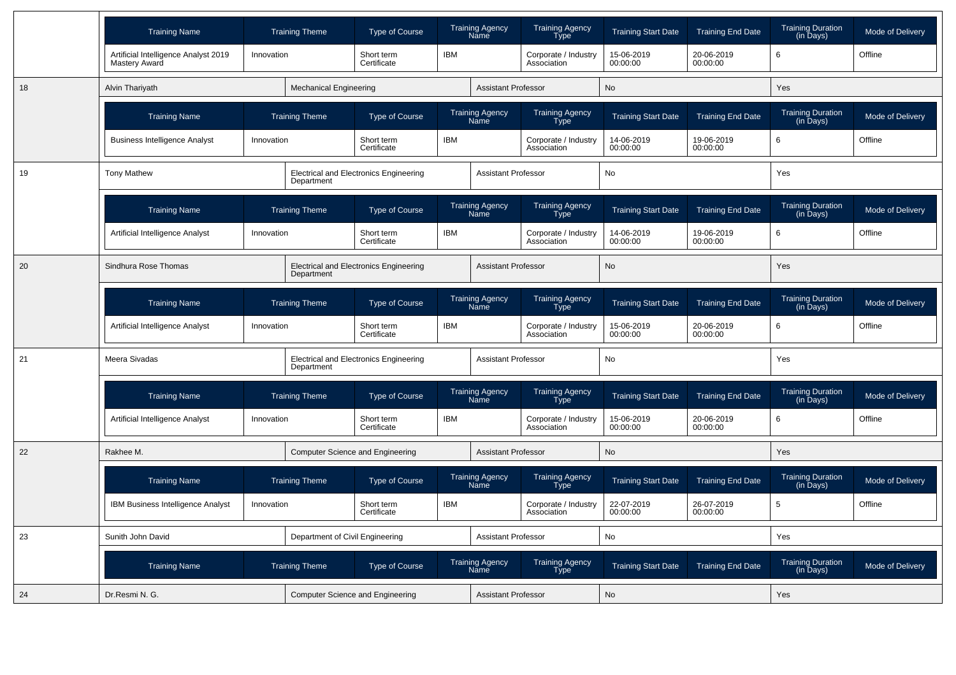|    | <b>Training Name</b>                                  |                                         | <b>Training Theme</b>           | <b>Type of Course</b>                         |            | <b>Training Agency</b><br><b>Name</b> | <b>Training Agency</b><br><b>Type</b> | <b>Training Start Date</b> | <b>Training End Date</b> | <b>Training Duration</b><br>$(in \bar{D}$ ays $)$ | Mode of Delivery |
|----|-------------------------------------------------------|-----------------------------------------|---------------------------------|-----------------------------------------------|------------|---------------------------------------|---------------------------------------|----------------------------|--------------------------|---------------------------------------------------|------------------|
|    | Artificial Intelligence Analyst 2019<br>Mastery Award | Innovation                              |                                 | Short term<br>Certificate                     | <b>IBM</b> |                                       | Corporate / Industry<br>Association   | 15-06-2019<br>00:00:00     | 20-06-2019<br>00:00:00   | 6                                                 | Offline          |
| 18 | Alvin Thariyath                                       |                                         | <b>Mechanical Engineering</b>   |                                               |            | <b>Assistant Professor</b>            |                                       | <b>No</b>                  |                          | Yes                                               |                  |
|    | <b>Training Name</b>                                  |                                         | <b>Training Theme</b>           | Type of Course                                |            | <b>Training Agency</b><br>Name        | <b>Training Agency</b><br><b>Type</b> | <b>Training Start Date</b> | <b>Training End Date</b> | <b>Training Duration</b><br>(in Days)             | Mode of Delivery |
|    | <b>Business Intelligence Analyst</b>                  | Innovation                              |                                 | Short term<br>Certificate                     | <b>IBM</b> |                                       | Corporate / Industry<br>Association   | 14-06-2019<br>00:00:00     | 19-06-2019<br>00:00:00   | 6                                                 | Offline          |
| 19 | <b>Tony Mathew</b>                                    |                                         | Department                      | <b>Electrical and Electronics Engineering</b> |            | <b>Assistant Professor</b>            |                                       | No                         |                          | Yes                                               |                  |
|    | <b>Training Name</b>                                  |                                         | <b>Training Theme</b>           | Type of Course                                |            | Training Agency<br>Name               | Training Agency<br>Type               | <b>Training Start Date</b> | <b>Training End Date</b> | Training Duration<br>(in Days)                    | Mode of Delivery |
|    | Artificial Intelligence Analyst                       | Innovation                              |                                 | Short term<br>Certificate                     | <b>IBM</b> |                                       | Corporate / Industry<br>Association   | 14-06-2019<br>00:00:00     | 19-06-2019<br>00:00:00   | 6                                                 | Offline          |
| 20 | Sindhura Rose Thomas                                  |                                         | Department                      | <b>Electrical and Electronics Engineering</b> |            | <b>Assistant Professor</b>            |                                       | <b>No</b>                  |                          | Yes                                               |                  |
|    | <b>Training Name</b>                                  |                                         | <b>Training Theme</b>           | <b>Type of Course</b>                         |            | <b>Training Agency</b><br>Name        | <b>Training Agency</b><br><b>Type</b> | <b>Training Start Date</b> | <b>Training End Date</b> | <b>Training Duration</b><br>(in Days)             | Mode of Delivery |
|    | Artificial Intelligence Analyst                       | Innovation                              |                                 | Short term<br>Certificate                     | <b>IBM</b> |                                       | Corporate / Industry<br>Association   | 15-06-2019<br>00:00:00     | 20-06-2019<br>00:00:00   | 6                                                 | Offline          |
| 21 | Meera Sivadas                                         |                                         | Department                      | <b>Electrical and Electronics Engineering</b> |            | <b>Assistant Professor</b>            |                                       | No                         |                          | Yes                                               |                  |
|    | <b>Training Name</b>                                  |                                         | <b>Training Theme</b>           | <b>Type of Course</b>                         |            | <b>Training Agency</b><br><b>Name</b> | <b>Training Agency</b><br>Type        | <b>Training Start Date</b> | <b>Training End Date</b> | <b>Training Duration</b><br>(in Days)             | Mode of Delivery |
|    | Artificial Intelligence Analyst                       | Innovation                              |                                 | Short term<br>Certificate                     | <b>IBM</b> |                                       | Corporate / Industry<br>Association   | 15-06-2019<br>00:00:00     | 20-06-2019<br>00:00:00   | 6                                                 | Offline          |
| 22 | Rakhee M.                                             |                                         |                                 | Computer Science and Engineering              |            | <b>Assistant Professor</b>            |                                       | <b>No</b>                  |                          | <b>Yes</b>                                        |                  |
|    | <b>Training Name</b>                                  |                                         | <b>Training Theme</b>           | Type of Course                                |            | <b>Training Agency</b><br><b>Name</b> | Training Agency<br>Type               | <b>Training Start Date</b> | <b>Training End Date</b> | <b>Training Duration</b><br>(in Days)             | Mode of Delivery |
|    | <b>IBM Business Intelligence Analyst</b>              | Innovation                              |                                 | Short term<br>Certificate                     | <b>IBM</b> |                                       | Corporate / Industry<br>Association   | 22-07-2019<br>00:00:00     | 26-07-2019<br>00:00:00   | 5                                                 | Offline          |
| 23 | Sunith John David                                     |                                         | Department of Civil Engineering |                                               |            | <b>Assistant Professor</b>            |                                       | No                         |                          | Yes                                               |                  |
|    | <b>Training Name</b>                                  |                                         | <b>Training Theme</b>           | <b>Type of Course</b>                         |            | <b>Training Agency</b><br>Name        | <b>Training Agency</b><br>Type        | <b>Training Start Date</b> | <b>Training End Date</b> | <b>Training Duration</b><br>(in Days)             | Mode of Delivery |
| 24 | Dr.Resmi N. G.                                        | <b>Computer Science and Engineering</b> |                                 | Assistant Professor                           |            | No                                    |                                       | Yes                        |                          |                                                   |                  |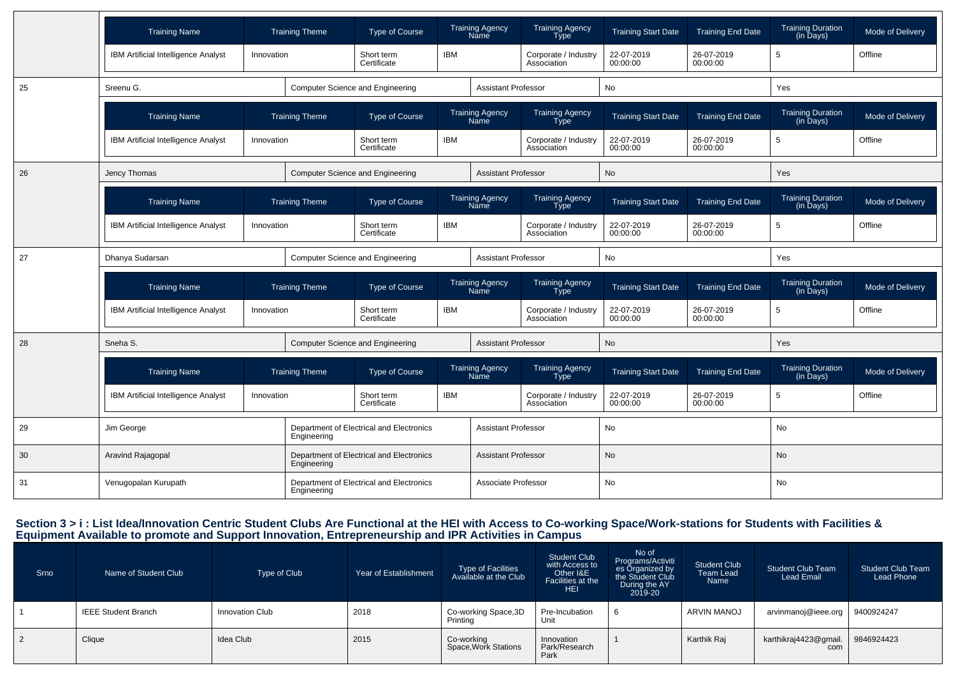|    | <b>Training Name</b>                |                       | <b>Training Theme</b>                                   | Type of Course                           |                           | <b>Training Agency</b><br>Name        | <b>Training Agency</b><br><b>Type</b> | <b>Training Start Date</b> | <b>Training End Date</b> | <b>Training Duration</b><br>(in Days) | Mode of Delivery |
|----|-------------------------------------|-----------------------|---------------------------------------------------------|------------------------------------------|---------------------------|---------------------------------------|---------------------------------------|----------------------------|--------------------------|---------------------------------------|------------------|
|    | IBM Artificial Intelligence Analyst | Innovation            |                                                         | Short term<br>Certificate                | <b>IBM</b>                |                                       | Corporate / Industry<br>Association   | 22-07-2019<br>00:00:00     | 26-07-2019<br>00:00:00   | $\sqrt{5}$                            | Offline          |
| 25 | Sreenu G.                           |                       |                                                         | Computer Science and Engineering         |                           | <b>Assistant Professor</b>            |                                       | <b>No</b>                  |                          | Yes                                   |                  |
|    | <b>Training Name</b>                |                       | <b>Training Theme</b>                                   | Type of Course                           |                           | <b>Training Agency</b><br><b>Name</b> | <b>Training Agency</b><br><b>Type</b> | <b>Training Start Date</b> | <b>Training End Date</b> | <b>Training Duration</b><br>(in Days) | Mode of Delivery |
|    | IBM Artificial Intelligence Analyst | Innovation            |                                                         | Short term<br>Certificate                | <b>IBM</b>                |                                       | Corporate / Industry<br>Association   | 22-07-2019<br>00:00:00     | 26-07-2019<br>00:00:00   | 5                                     | Offline          |
| 26 | Jency Thomas                        |                       |                                                         | <b>Computer Science and Engineering</b>  |                           | <b>Assistant Professor</b>            |                                       | No                         |                          | Yes                                   |                  |
|    | <b>Training Name</b>                |                       | <b>Training Theme</b>                                   | Type of Course                           |                           | <b>Training Agency</b><br><b>Name</b> | <b>Training Agency</b><br><b>Type</b> | <b>Training Start Date</b> | <b>Training End Date</b> | <b>Training Duration</b><br>(in Days) | Mode of Delivery |
|    | IBM Artificial Intelligence Analyst | Innovation            |                                                         | Short term<br>Certificate                | <b>IBM</b>                |                                       | Corporate / Industry<br>Association   | 22-07-2019<br>00:00:00     | 26-07-2019<br>00:00:00   | 5                                     | Offline          |
| 27 | Dhanya Sudarsan                     |                       |                                                         | Computer Science and Engineering         |                           | <b>Assistant Professor</b>            |                                       | No                         |                          | Yes                                   |                  |
|    | <b>Training Name</b>                | <b>Training Theme</b> |                                                         | Type of Course                           |                           | <b>Training Agency</b><br>Name        | <b>Training Agency</b><br>Type        | <b>Training Start Date</b> | <b>Training End Date</b> | <b>Training Duration</b><br>(in Days) | Mode of Delivery |
|    | IBM Artificial Intelligence Analyst | Innovation            |                                                         | Short term<br>Certificate                | <b>IBM</b>                |                                       | Corporate / Industry<br>Association   | 22-07-2019<br>00:00:00     | 26-07-2019<br>00:00:00   | 5                                     | Offline          |
| 28 | Sneha <sub>S</sub> .                |                       |                                                         | <b>Computer Science and Engineering</b>  |                           | <b>Assistant Professor</b>            |                                       | <b>No</b>                  |                          | Yes                                   |                  |
|    | <b>Training Name</b>                |                       | <b>Training Theme</b>                                   | <b>Type of Course</b>                    |                           | Training Agency<br>Name               | Training Agency<br>Type               | <b>Training Start Date</b> | <b>Training End Date</b> | <b>Training Duration</b><br>(in Days) | Mode of Delivery |
|    | IBM Artificial Intelligence Analyst | Innovation            |                                                         | Short term<br>Certificate                | <b>IBM</b>                |                                       | Corporate / Industry<br>Association   | 22-07-2019<br>00:00:00     | 26-07-2019<br>00:00:00   | 5                                     | Offline          |
| 29 | Jim George                          |                       | Engineering                                             | Department of Electrical and Electronics |                           | <b>Assistant Professor</b>            |                                       | No                         |                          | No                                    |                  |
| 30 | Aravind Rajagopal                   |                       | Engineering                                             | Department of Electrical and Electronics |                           | <b>Assistant Professor</b>            |                                       | No                         |                          | <b>No</b>                             |                  |
| 31 | Venugopalan Kurupath                |                       | Department of Electrical and Electronics<br>Engineering |                                          | Associate Professor<br>No |                                       |                                       | No                         |                          |                                       |                  |

### Section 3 > i : List Idea/Innovation Centric Student Clubs Are Functional at the HEI with Access to Co-working Space/Work-stations for Students with Facilities &<br>Equipment Available to promote and Support Innovation, Entre

| Srno | Name of Student Club       | Type of Club    | Year of Establishment | Type of Facilities<br>Available at the Club | <b>Student Club</b><br>with Access to<br>Other I&E<br>Facilities at the<br><b>HEI</b> | No of<br>Programs/Activiti<br>es Organized by<br>the Student Club<br>During the AY<br>2019-20 | <b>Student Club</b><br>Team Lead<br>Name | <b>Student Club Team</b><br>Lead Email | <b>Student Club Team</b><br>Lead Phone |
|------|----------------------------|-----------------|-----------------------|---------------------------------------------|---------------------------------------------------------------------------------------|-----------------------------------------------------------------------------------------------|------------------------------------------|----------------------------------------|----------------------------------------|
|      | <b>IEEE Student Branch</b> | Innovation Club | 2018                  | Co-working Space, 3D<br>Printing            | Pre-Incubation<br>Unit                                                                | <sub>t</sub>                                                                                  | ARVIN MANOJ                              | arvinmanoj@ieee.org                    | 9400924247                             |
| 2    | Clique                     | Idea Club       | 2015                  | Co-working<br>Space, Work Stations          | Innovation<br>Park/Research<br>Park                                                   |                                                                                               | Karthik Raj                              | karthikraj4423@gmail.<br>com           | 9846924423                             |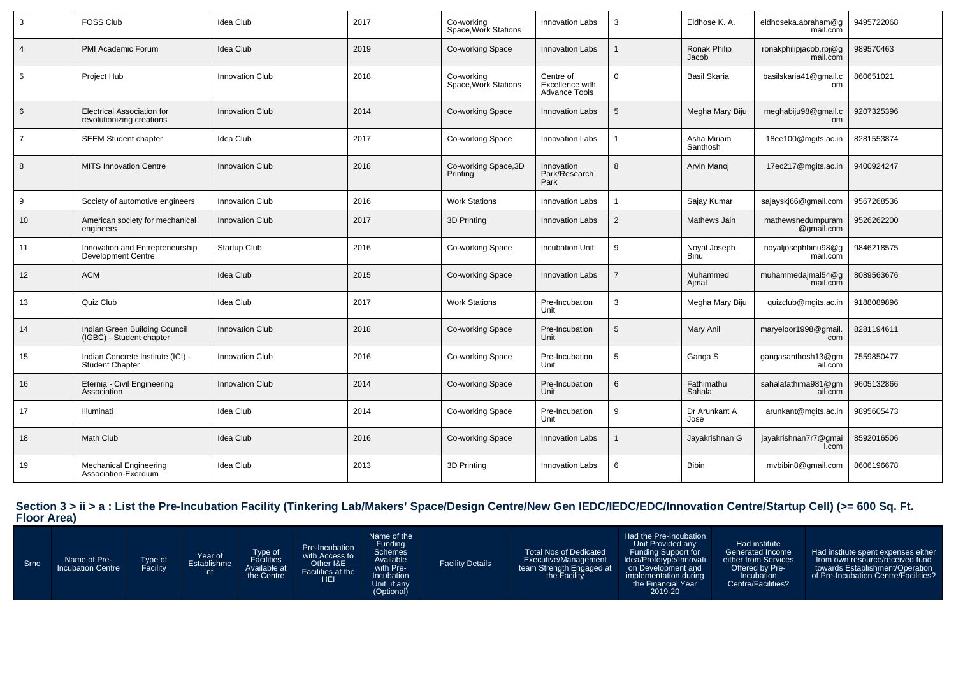| 3               | <b>FOSS Club</b>                                               | Idea Club              | 2017 | Co-working<br>Space. Work Stations | <b>Innovation Labs</b>                               | 3 | Eldhose K. A.               | eldhoseka.abraham@g<br>mail.com    | 9495722068 |
|-----------------|----------------------------------------------------------------|------------------------|------|------------------------------------|------------------------------------------------------|---|-----------------------------|------------------------------------|------------|
| $\overline{4}$  | PMI Academic Forum                                             | <b>Idea Club</b>       | 2019 | Co-working Space                   | <b>Innovation Labs</b>                               |   | Ronak Philip<br>Jacob       | ronakphilipjacob.rpj@g<br>mail.com | 989570463  |
| 5               | Project Hub                                                    | Innovation Club        | 2018 | Co-working<br>Space, Work Stations | Centre of<br>Excellence with<br><b>Advance Tools</b> | 0 | Basil Skaria                | basilskaria41@gmail.c<br>om        | 860651021  |
| 6               | <b>Electrical Association for</b><br>revolutionizing creations | <b>Innovation Club</b> | 2014 | Co-working Space                   | <b>Innovation Labs</b>                               | 5 | Megha Mary Biju             | meghabiju98@gmail.c<br>om          | 9207325396 |
| $\overline{7}$  | <b>SEEM Student chapter</b>                                    | Idea Club              | 2017 | Co-working Space                   | <b>Innovation Labs</b>                               |   | Asha Miriam<br>Santhosh     | 18ee100@mgits.ac.in                | 8281553874 |
| 8               | <b>MITS Innovation Centre</b>                                  | <b>Innovation Club</b> | 2018 | Co-working Space, 3D<br>Printing   | Innovation<br>Park/Research<br>Park                  | 8 | Arvin Manoj                 | 17ec217@mgits.ac.in                | 9400924247 |
| 9               | Society of automotive engineers                                | <b>Innovation Club</b> | 2016 | <b>Work Stations</b>               | <b>Innovation Labs</b>                               |   | Sajay Kumar                 | sajayskj66@gmail.com               | 9567268536 |
| 10 <sup>°</sup> | American society for mechanical<br>engineers                   | <b>Innovation Club</b> | 2017 | 3D Printing                        | <b>Innovation Labs</b>                               | 2 | Mathews Jain                | mathewsnedumpuram<br>@gmail.com    | 9526262200 |
| 11              | Innovation and Entrepreneurship<br><b>Development Centre</b>   | <b>Startup Club</b>    | 2016 | Co-working Space                   | <b>Incubation Unit</b>                               | 9 | Noyal Joseph<br><b>Binu</b> | noyaljosephbinu98@g<br>mail.com    | 9846218575 |
| 12              | <b>ACM</b>                                                     | Idea Club              | 2015 | Co-working Space                   | <b>Innovation Labs</b>                               |   | Muhammed<br>Aimal           | muhammedajmal54@g<br>mail.com      | 8089563676 |
| 13              | Quiz Club                                                      | Idea Club              | 2017 | <b>Work Stations</b>               | Pre-Incubation<br>Unit                               | 3 | Megha Mary Biju             | quizclub@mgits.ac.in               | 9188089896 |
| 14              | Indian Green Building Council<br>(IGBC) - Student chapter      | <b>Innovation Club</b> | 2018 | Co-working Space                   | Pre-Incubation<br>Unit                               | 5 | Mary Anil                   | maryeloor1998@gmail<br>com         | 8281194611 |
| 15              | Indian Concrete Institute (ICI) -<br><b>Student Chapter</b>    | Innovation Club        | 2016 | Co-working Space                   | Pre-Incubation<br>Unit                               | 5 | Ganga S                     | gangasanthosh13@gm<br>ail.com      | 7559850477 |
| 16              | Eternia - Civil Engineering<br>Association                     | <b>Innovation Club</b> | 2014 | Co-working Space                   | Pre-Incubation<br>Unit                               | 6 | Fathimathu<br>Sahala        | sahalafathima981@gm<br>ail.com     | 9605132866 |
| 17              | Illuminati                                                     | Idea Club              | 2014 | Co-working Space                   | Pre-Incubation<br>Unit                               | 9 | Dr Arunkant A<br>Jose       | arunkant@mgits.ac.in               | 9895605473 |
| 18              | <b>Math Club</b>                                               | Idea Club              | 2016 | Co-working Space                   | <b>Innovation Labs</b>                               |   | Jayakrishnan G              | jayakrishnan7r7@gmai<br>I.com      | 8592016506 |
| 19              | <b>Mechanical Engineering</b><br>Association-Exordium          | Idea Club              | 2013 | 3D Printing                        | <b>Innovation Labs</b>                               | 6 | <b>Bibin</b>                | mybibin8@gmail.com                 | 8606196678 |

**Section 3 > ii > a : List the Pre-Incubation Facility (Tinkering Lab/Makers' Space/Design Centre/New Gen IEDC/IEDC/EDC/Innovation Centre/Startup Cell) (>= 600 Sq. Ft. Floor Area)**

| Srno | Name of Pre-<br><b>Incubation Centre</b> | Type of<br><b>Facility</b> | Year of<br>Establishme | Type of<br>Facilities<br>Available at<br>the Centre | Pre-Incubation<br>with Access to<br>Other I&E<br>Facilities at the<br>HEI | Name of the<br>Funding<br>Schemes<br>Available<br>with Pre-<br><b>Incubation</b><br>Unit, if any<br>(Optional) | <b>Facility Details</b> | <b>Total Nos of Dedicated</b><br>Executive/Management<br>team Strength Engaged at<br>the Facility | Had the Pre-Incubation<br>Unit Provided any<br>Funding Support for<br>Idea/Prototype/Innovati<br>on Development and<br>implementation during<br>the Financial Year<br>2019-20 | Had institute<br>Generated Income<br>either from Services<br>Offered by Pre-<br>Incubation<br>Centre/Facilities? | Had institute spent expenses either<br>from own resource/received fund<br>towards Establishment/Operation<br>of Pre-Incubation Centre/Facilities? |
|------|------------------------------------------|----------------------------|------------------------|-----------------------------------------------------|---------------------------------------------------------------------------|----------------------------------------------------------------------------------------------------------------|-------------------------|---------------------------------------------------------------------------------------------------|-------------------------------------------------------------------------------------------------------------------------------------------------------------------------------|------------------------------------------------------------------------------------------------------------------|---------------------------------------------------------------------------------------------------------------------------------------------------|
|------|------------------------------------------|----------------------------|------------------------|-----------------------------------------------------|---------------------------------------------------------------------------|----------------------------------------------------------------------------------------------------------------|-------------------------|---------------------------------------------------------------------------------------------------|-------------------------------------------------------------------------------------------------------------------------------------------------------------------------------|------------------------------------------------------------------------------------------------------------------|---------------------------------------------------------------------------------------------------------------------------------------------------|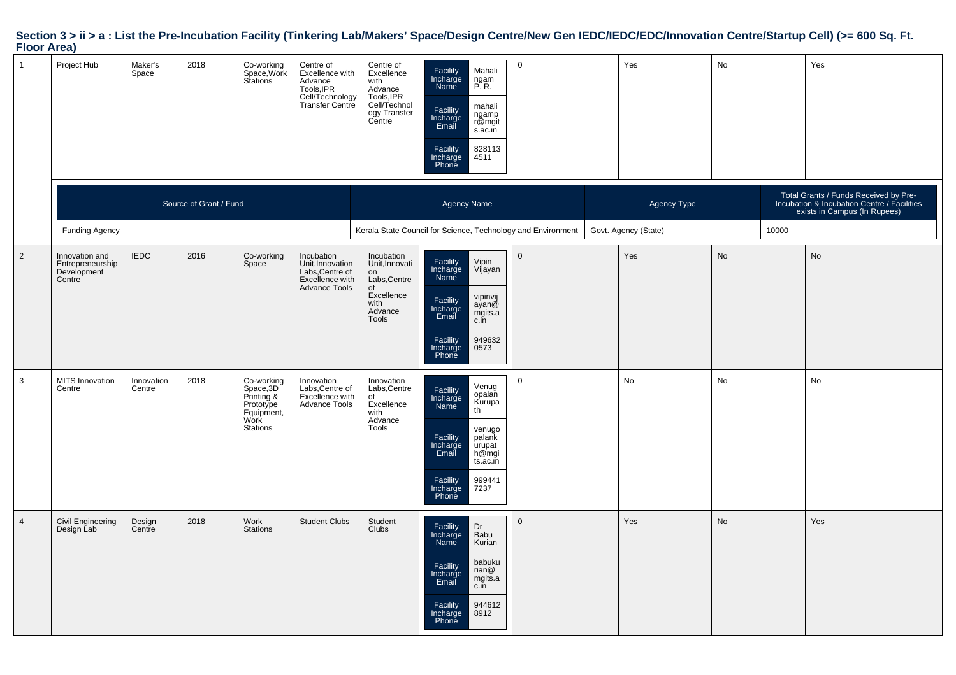### **Section 3 > ii > a : List the Pre-Incubation Facility (Tinkering Lab/Makers' Space/Design Centre/New Gen IEDC/IEDC/EDC/Innovation Centre/Startup Cell) (>= 600 Sq. Ft. Floor Area)**

| $\overline{1}$ | Project Hub                                                 | Maker's<br>Space     | 2018                   | Co-working<br>Space, Work<br>Stations                                                | Centre of<br>Excellence with<br>Advance<br>Tools, IPR<br>Cell/Technology<br>Transfer Centre  | Centre of<br>Excellence<br>with<br>Advance<br>Tools, IPR<br>Cell/Technol<br>ogy Transfer<br>Centre | Facility<br>Incharge<br>Name<br>Facility<br>Incharge<br>Email<br>Facility<br>Incharge<br>Phone | Mahali<br>ngam<br>P.R.<br>mahali<br>ngamp<br>r@mgit<br>s.ac.in<br>828113<br>4511                     | $\mathbf 0$                                                  | Yes                  | No |       | Yes                                                                                                                  |
|----------------|-------------------------------------------------------------|----------------------|------------------------|--------------------------------------------------------------------------------------|----------------------------------------------------------------------------------------------|----------------------------------------------------------------------------------------------------|------------------------------------------------------------------------------------------------|------------------------------------------------------------------------------------------------------|--------------------------------------------------------------|----------------------|----|-------|----------------------------------------------------------------------------------------------------------------------|
|                |                                                             |                      | Source of Grant / Fund |                                                                                      |                                                                                              |                                                                                                    | <b>Agency Name</b>                                                                             |                                                                                                      |                                                              | Agency Type          |    |       | Total Grants / Funds Received by Pre-<br>Incubation & Incubation Centre / Facilities<br>exists in Campus (In Rupees) |
|                | <b>Funding Agency</b>                                       |                      |                        |                                                                                      |                                                                                              |                                                                                                    |                                                                                                |                                                                                                      | Kerala State Council for Science, Technology and Environment | Govt. Agency (State) |    | 10000 |                                                                                                                      |
| $\overline{2}$ | Innovation and<br>Entrepreneurship<br>Development<br>Centre | <b>IEDC</b>          | 2016                   | Co-working<br>Space                                                                  | Incubation<br>Unit, Innovation<br>Labs, Centre of<br>Excellence with<br><b>Advance Tools</b> | Incubation<br>Unit, Innovati<br>on<br>Labs, Centre<br>of                                           | Facility<br>Incharge<br>Name                                                                   | Vipin<br>Vijayan                                                                                     | $\mathbf 0$                                                  | Yes                  | No |       | No                                                                                                                   |
|                |                                                             |                      |                        |                                                                                      |                                                                                              | Excellence<br>with<br>Advance<br>Tools                                                             | Facility<br>Incharge<br>Email<br>Facility                                                      | vipinvij<br>ayan@<br>mgits.a<br>949632<br>0573                                                       |                                                              |                      |    |       |                                                                                                                      |
|                |                                                             |                      |                        |                                                                                      |                                                                                              |                                                                                                    | Incharge<br>Phone                                                                              |                                                                                                      |                                                              |                      |    |       |                                                                                                                      |
| 3              | MITS Innovation<br>Centre                                   | Innovation<br>Centre | 2018                   | Co-working<br>Space, 3D<br>Printing &<br>Prototype<br>Equipment,<br>Work<br>Stations | Innovation<br>Labs, Centre of<br>Excellence with<br>Advance Tools                            | Innovation<br>Labs, Centre<br>of<br>Excellence<br>with<br>Advance<br>Tools                         | Facility<br>Incharge<br>Name<br>Facility<br>Incharge<br>Email<br>Facility<br>Incharge<br>Phone | Venug<br>opalan<br>Kurupa<br>th<br>venugo<br>palank<br>urupat<br>h@mgi<br>ts.ac.in<br>999441<br>7237 | $\mathbf 0$                                                  | No                   | No |       | No                                                                                                                   |
| $\overline{4}$ | Civil Engineering<br>Design Lab                             | Design<br>Centre     | 2018                   | Work<br><b>Stations</b>                                                              | <b>Student Clubs</b>                                                                         | Student<br><b>Clubs</b>                                                                            | Facility<br>Incharge<br>Name<br>Facility<br>Incharge<br>Email<br>Facility<br>Incharge<br>Phone | Dr<br>Babu<br>Kurian<br>babuku<br>rian@<br>mgits.a<br>c.in<br>944612<br>8912                         | $\Omega$                                                     | Yes                  | No |       | Yes                                                                                                                  |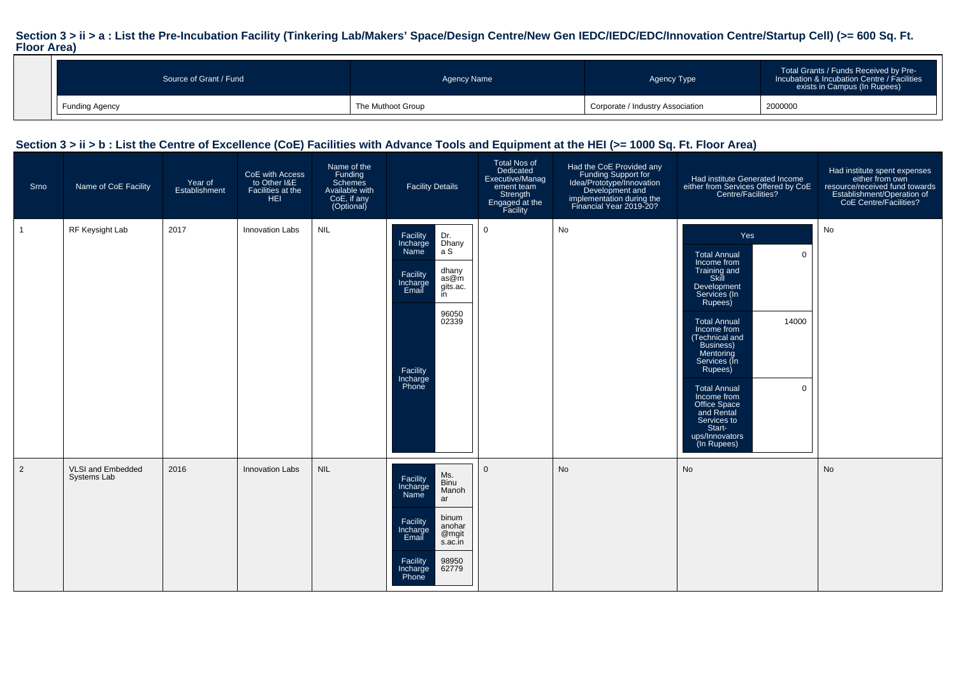### **Section 3 > ii > a : List the Pre-Incubation Facility (Tinkering Lab/Makers' Space/Design Centre/New Gen IEDC/IEDC/EDC/Innovation Centre/Startup Cell) (>= 600 Sq. Ft. Floor Area)**

| Source of Grant / Fund | Agency Name       | Agency Type                      | Total Grants / Funds Received by Pre-<br>Incubation & Incubation Centre / Facilities<br>exists in Campus (In Rupees) |
|------------------------|-------------------|----------------------------------|----------------------------------------------------------------------------------------------------------------------|
| <b>Funding Agency</b>  | The Muthoot Group | Corporate / Industry Association | 2000000                                                                                                              |

#### **Section 3 > ii > b : List the Centre of Excellence (CoE) Facilities with Advance Tools and Equipment at the HEI (>= 1000 Sq. Ft. Floor Area)**

| Srno           | Name of CoE Facility             | Year of<br>Establishment | CoE with Access<br>to Other I&E<br>Facilities at the<br><b>HEI</b> | Name of the<br>Funding<br>Schemes<br>Available with<br>CoE, if any<br>(Optional) | <b>Facility Details</b>                                                                                                                                                               | <b>Total Nos of</b><br>Dedicated<br>Executive/Manag<br>ement team<br>Strength<br>Engaged at the<br>Facility | Had the CoE Provided any<br>Funding Support for<br>Idea/Prototype/Innovation<br>Development and<br>implementation during the<br>Financial Year 2019-20? | Had institute Generated Income<br>either from Services Offered by CoE<br>Centre/Facilities?                                                                                                                                                                                                                                                                                                    | Had institute spent expenses<br>either from own<br>resource/received fund towards<br>Establishment/Operation of<br>CoE Centre/Facilities? |
|----------------|----------------------------------|--------------------------|--------------------------------------------------------------------|----------------------------------------------------------------------------------|---------------------------------------------------------------------------------------------------------------------------------------------------------------------------------------|-------------------------------------------------------------------------------------------------------------|---------------------------------------------------------------------------------------------------------------------------------------------------------|------------------------------------------------------------------------------------------------------------------------------------------------------------------------------------------------------------------------------------------------------------------------------------------------------------------------------------------------------------------------------------------------|-------------------------------------------------------------------------------------------------------------------------------------------|
| $\mathbf{1}$   | RF Keysight Lab                  | 2017                     | Innovation Labs                                                    | <b>NIL</b>                                                                       | Facility<br>Dr.<br>Dhany<br>Incharge<br>a S<br>Name<br>dhany<br>Facility<br>as@m<br>Incharge<br>Email<br>gits.ac.<br>in<br>96050<br>02339<br>Facility<br>Incharge<br>Phone            | $\mathbf 0$                                                                                                 | No                                                                                                                                                      | Yes<br><b>Total Annual</b><br>$\mathbf 0$<br>Income from<br>Training and<br>Skill<br>Development<br>Services (In<br>Rupees)<br>14000<br><b>Total Annual</b><br>Income from<br>(Technical and<br>Business)<br>Mentoring<br>Services (In<br>Rupees)<br><b>Total Annual</b><br>$\mathbf 0$<br>Income from<br>Office Space<br>and Rental<br>Services to<br>Start-<br>ups/Innovators<br>(In Rupees) | No                                                                                                                                        |
| $\overline{2}$ | VLSI and Embedded<br>Systems Lab | 2016                     | <b>Innovation Labs</b>                                             | <b>NIL</b>                                                                       | Ms.<br>Facility<br>Binu<br>Incharge<br>Manoh<br>Name<br>ar<br>binum<br>Facility<br>anohar<br>Incharge<br>@mgit<br>Email<br>s.ac.in<br>98950<br>62779<br>Facility<br>Incharge<br>Phone | $\mathbf 0$                                                                                                 | No                                                                                                                                                      | No                                                                                                                                                                                                                                                                                                                                                                                             | No                                                                                                                                        |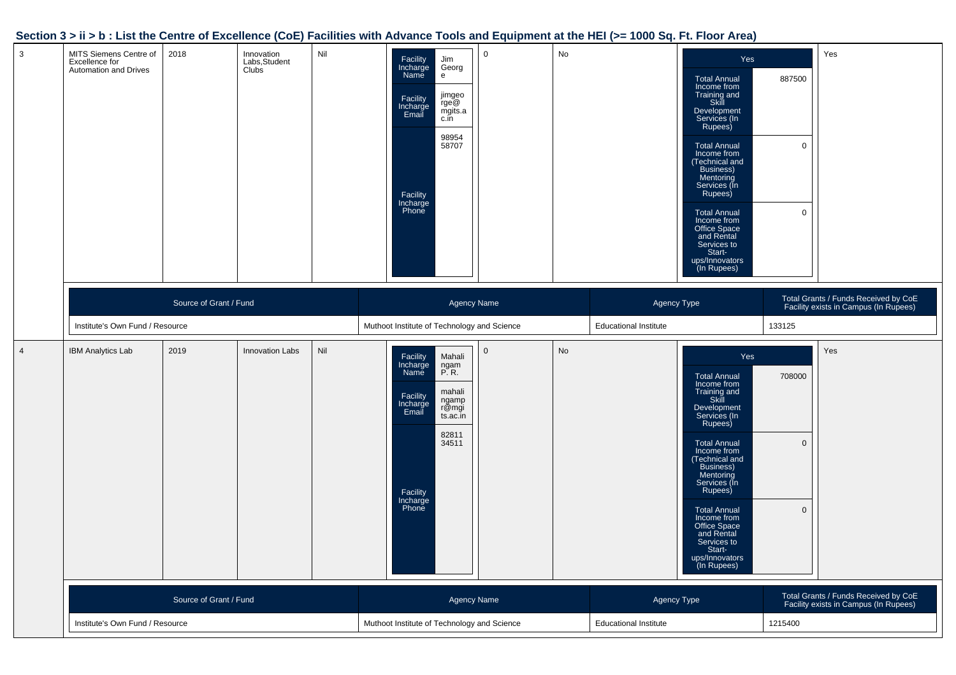#### **Section 3 > ii > b : List the Centre of Excellence (CoE) Facilities with Advance Tools and Equipment at the HEI (>= 1000 Sq. Ft. Floor Area)**

| $\mathbf{3}$   | MITS Siemens Centre of<br>Excellence for<br>Automation and Drives | 2018 | Innovation<br>Labs, Student<br>Clubs | Nil |                                                                   | Facility<br>Incharge<br>Jim<br>Georg<br>Name<br>e<br>jimgeo<br>rge@<br>mgits.a<br>c.in<br>Facility<br>Incharge<br>Email<br>98954<br>58707<br>Facility<br>Incharge<br>Phone         | $\mathbf 0$ | No                                                                            |  | Yes<br><b>Total Annual</b><br>Income from<br>Training and<br>Skill<br>Development<br>Services (In<br>Rupees)<br><b>Total Annual</b><br>Income from<br>(Technical and<br>Business)<br>Mentoring<br>Services (In<br>Rupees)<br><b>Total Annual</b><br>Income from<br>Office Space<br>and Rental<br>Services to<br>Start-<br>ups/Innovators<br>(In Rupees) | 887500<br>$\mathbf{0}$<br>$\mathbf 0$                                         | Yes |
|----------------|-------------------------------------------------------------------|------|--------------------------------------|-----|-------------------------------------------------------------------|------------------------------------------------------------------------------------------------------------------------------------------------------------------------------------|-------------|-------------------------------------------------------------------------------|--|---------------------------------------------------------------------------------------------------------------------------------------------------------------------------------------------------------------------------------------------------------------------------------------------------------------------------------------------------------|-------------------------------------------------------------------------------|-----|
|                | Source of Grant / Fund<br>Institute's Own Fund / Resource         |      |                                      |     | <b>Agency Name</b><br>Muthoot Institute of Technology and Science |                                                                                                                                                                                    |             | Agency Type<br><b>Educational Institute</b>                                   |  | 133125                                                                                                                                                                                                                                                                                                                                                  | Total Grants / Funds Received by CoE<br>Facility exists in Campus (In Rupees) |     |
| $\overline{4}$ | <b>IBM Analytics Lab</b>                                          | 2019 | <b>Innovation Labs</b>               | Nil |                                                                   | Facility<br>Incharge<br>Mahali<br>ngam<br>P.R.<br>Name<br>mahali<br>Facility<br>ngamp<br>r@mgi<br>Incharge<br>Email<br>ts.ac.in<br>82811<br>34511<br>Facility<br>Incharge<br>Phone | $\mathbf 0$ | No                                                                            |  | Yes<br><b>Total Annual</b><br>Income from<br>Training and<br>Skill<br>Development<br>Services (In<br>Rupees)<br><b>Total Annual</b><br>Income from<br>(Technical and<br>Business)<br>Mentoring<br>Services (In<br>Rupees)<br><b>Total Annual</b><br>Income from<br>Office Space<br>and Rental<br>Services to<br>Start-<br>ups/Innovators<br>(In Rupees) | 708000<br>$\mathbf 0$<br>$\mathbf 0$                                          | Yes |
|                | Source of Grant / Fund                                            |      | <b>Agency Name</b>                   |     |                                                                   | Agency Type                                                                                                                                                                        |             | Total Grants / Funds Received by CoE<br>Facility exists in Campus (In Rupees) |  |                                                                                                                                                                                                                                                                                                                                                         |                                                                               |     |
|                | Institute's Own Fund / Resource                                   |      |                                      |     | Muthoot Institute of Technology and Science                       |                                                                                                                                                                                    |             | <b>Educational Institute</b>                                                  |  | 1215400                                                                                                                                                                                                                                                                                                                                                 |                                                                               |     |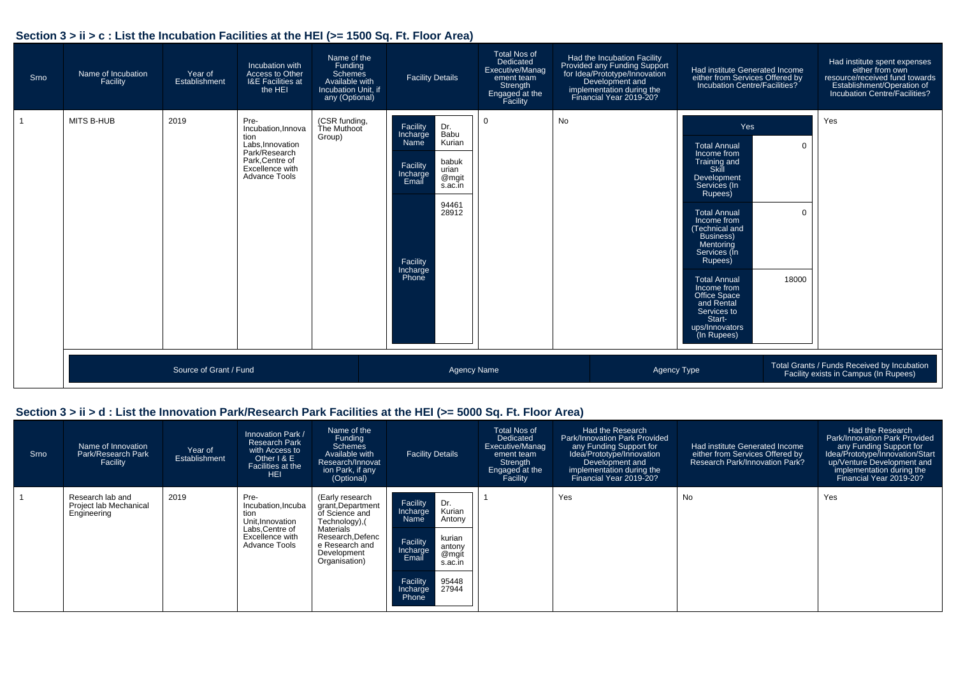#### **Section 3 > ii > c : List the Incubation Facilities at the HEI (>= 1500 Sq. Ft. Floor Area)**

| Srno | Name of Incubation<br>Facility | Year of<br>Establishment | Incubation with<br>Access to Other<br><b>I&amp;E Facilities at</b><br>the HEI                                                        | Name of the<br>Funding<br>Schemes<br>Available with<br>Incubation Unit, if<br>any (Optional) | <b>Facility Details</b>                                                                                                                                                         | <b>Total Nos of</b><br>Dedicated<br>Executive/Manag<br>ement team<br>Strength<br>Engaged at the<br>Facility | Had the Incubation Facility<br>Provided any Funding Support<br>for Idea/Prototype/Innovation<br>Development and<br>implementation during the<br>Financial Year 2019-20? | Had institute Generated Income<br>either from Services Offered by<br>Incubation Centre/Facilities?                                                                                                                                                                                                                                                      |                                  | Had institute spent expenses<br>either from own<br>resource/received fund towards<br>Establishment/Operation of<br>Incubation Centre/Facilities? |
|------|--------------------------------|--------------------------|--------------------------------------------------------------------------------------------------------------------------------------|----------------------------------------------------------------------------------------------|---------------------------------------------------------------------------------------------------------------------------------------------------------------------------------|-------------------------------------------------------------------------------------------------------------|-------------------------------------------------------------------------------------------------------------------------------------------------------------------------|---------------------------------------------------------------------------------------------------------------------------------------------------------------------------------------------------------------------------------------------------------------------------------------------------------------------------------------------------------|----------------------------------|--------------------------------------------------------------------------------------------------------------------------------------------------|
|      | MITS B-HUB                     | 2019                     | Pre-<br>Incubation.Innova<br>tion<br>Labs, Innovation<br>Park/Research<br>Park, Centre of<br>Excellence with<br><b>Advance Tools</b> | (CSR funding,<br>The Muthoot<br>Group)                                                       | Facility<br>Dr.<br>Babu<br>Incharge<br>Kurian<br>Name<br>babuk<br>Facility<br>urian<br>Incharge<br>Email<br>@mgit<br>s.ac.in<br>94461<br>28912<br>Facility<br>Incharge<br>Phone | $\Omega$                                                                                                    | <b>No</b>                                                                                                                                                               | Yes<br>Total Annual<br>Income from<br>Training and<br>Skill<br>Development<br>Services (In<br>Rupees)<br><b>Total Annual</b><br>Income from<br>(Technical and<br><b>Business)</b><br>Mentoring<br>Services (In<br>Rupees)<br><b>Total Annual</b><br>Income from<br>Office Space<br>and Rental<br>Services to<br>Start-<br>ups/Innovators<br>(In Rupees) | $\mathbf 0$<br>$\Omega$<br>18000 | Yes                                                                                                                                              |
|      | Source of Grant / Fund         |                          |                                                                                                                                      |                                                                                              | <b>Agency Name</b>                                                                                                                                                              |                                                                                                             |                                                                                                                                                                         | Agency Type                                                                                                                                                                                                                                                                                                                                             |                                  | Total Grants / Funds Received by Incubation<br>Facility exists in Campus (In Rupees)                                                             |

#### **Section 3 > ii > d : List the Innovation Park/Research Park Facilities at the HEI (>= 5000 Sq. Ft. Floor Area)**

| Srno | Name of Innovation<br>Park/Research Park<br>Facility      | Year of<br>Establishment | Innovation Park /<br><b>Research Park</b><br>with Access to<br>Other I & E<br>Facilities at the<br><b>HEI</b>       | Name of the<br>Funding<br>Schemes<br>Available with<br>Research/Innovat<br>ion Park, if any<br>(Optional)                                                        | <b>Facility Details</b>                                                                                                                                                             | <b>Total Nos of</b><br>Dedicated<br>Executive/Manag<br>ement team<br>Strength<br>Engaged at the<br>Facility | Had the Research<br><b>Park/Innovation Park Provided</b><br>any Funding Support for<br>Idea/Prototype/Innovation<br>Development and<br>implementation during the<br>Financial Year 2019-20? | Had institute Generated Income<br>either from Services Offered by<br>Research Park/Innovation Park? | Had the Research<br>Park/Innovation Park Provided<br>any Funding Support for<br>Idea/Prototype/Innovation/Start<br>up/Venture Development and<br>implementation during the<br>Financial Year 2019-20? |
|------|-----------------------------------------------------------|--------------------------|---------------------------------------------------------------------------------------------------------------------|------------------------------------------------------------------------------------------------------------------------------------------------------------------|-------------------------------------------------------------------------------------------------------------------------------------------------------------------------------------|-------------------------------------------------------------------------------------------------------------|---------------------------------------------------------------------------------------------------------------------------------------------------------------------------------------------|-----------------------------------------------------------------------------------------------------|-------------------------------------------------------------------------------------------------------------------------------------------------------------------------------------------------------|
|      | Research lab and<br>Project lab Mechanical<br>Engineering | 2019                     | Pre-<br>Incubation, Incuba<br>tion<br>Unit.Innovation<br>Labs, Centre of<br>Excellence with<br><b>Advance Tools</b> | (Early research<br>grant, Department<br>of Science and<br>Technology),(<br><b>Materials</b><br>Research.Defenc<br>e Research and<br>Development<br>Organisation) | Facility<br>Dr.<br>Kurian<br>Incharge<br>Antony<br>Name<br>kurian<br>Facility<br>antony<br>Incharge<br>@mgit<br>Email<br>s.ac.in<br>Facility<br>95448<br>27944<br>Incharge<br>Phone |                                                                                                             | Yes                                                                                                                                                                                         | No                                                                                                  | Yes                                                                                                                                                                                                   |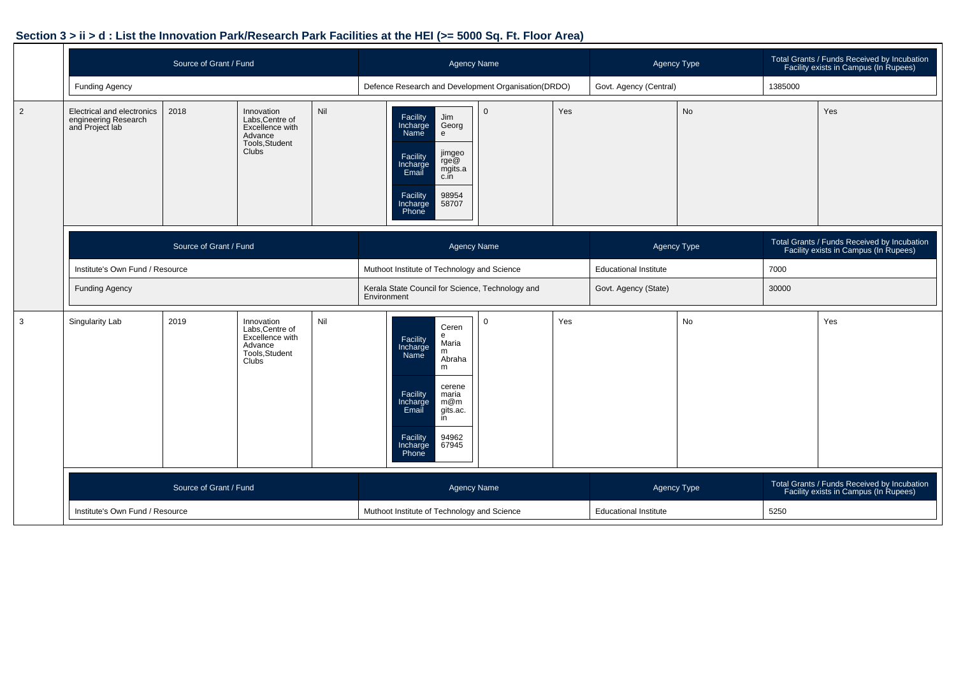#### **Section 3 > ii > d : List the Innovation Park/Research Park Facilities at the HEI (>= 5000 Sq. Ft. Floor Area)**

|                |                                                                                                                                                                                             | Source of Grant / Fund |                                                                                               |                                                                                                                                                                                         | <b>Agency Name</b>                                                                                                                                                                                      |                                             |             | Agency Type                                                                          |                                                                                      | Total Grants / Funds Received by Incubation<br>Facility exists in Campus (In Rupees) |      |  |
|----------------|---------------------------------------------------------------------------------------------------------------------------------------------------------------------------------------------|------------------------|-----------------------------------------------------------------------------------------------|-----------------------------------------------------------------------------------------------------------------------------------------------------------------------------------------|---------------------------------------------------------------------------------------------------------------------------------------------------------------------------------------------------------|---------------------------------------------|-------------|--------------------------------------------------------------------------------------|--------------------------------------------------------------------------------------|--------------------------------------------------------------------------------------|------|--|
|                | <b>Funding Agency</b>                                                                                                                                                                       |                        |                                                                                               |                                                                                                                                                                                         | Defence Research and Development Organisation(DRDO)                                                                                                                                                     |                                             |             | Govt. Agency (Central)                                                               |                                                                                      | 1385000                                                                              |      |  |
| $\overline{2}$ | Nil<br>Electrical and electronics<br>2018<br>Innovation<br>Labs, Centre of<br>engineering Research<br>and Project lab<br>Excellence with<br>Advance<br>Tools, Student<br>Clubs <sup>1</sup> |                        |                                                                                               | Facility<br>Jim<br>Incharge<br>Name<br>Georg<br>$\mathsf{e}\,$<br>jimgeo<br>Facility<br>Incharge<br>Email<br>rge@<br>mgits.a<br>c.in<br>98954<br>Facility<br>Incharge<br>58707<br>Phone | $\Omega$                                                                                                                                                                                                | Yes                                         | <b>No</b>   |                                                                                      | Yes                                                                                  |                                                                                      |      |  |
|                | Source of Grant / Fund                                                                                                                                                                      |                        |                                                                                               | <b>Agency Name</b>                                                                                                                                                                      |                                                                                                                                                                                                         |                                             | Agency Type |                                                                                      | Total Grants / Funds Received by Incubation<br>Facility exists in Campus (In Rupees) |                                                                                      |      |  |
|                | Institute's Own Fund / Resource                                                                                                                                                             |                        |                                                                                               |                                                                                                                                                                                         | Muthoot Institute of Technology and Science                                                                                                                                                             |                                             |             | <b>Educational Institute</b>                                                         |                                                                                      | 7000                                                                                 |      |  |
|                | <b>Funding Agency</b>                                                                                                                                                                       |                        |                                                                                               |                                                                                                                                                                                         | Kerala State Council for Science, Technology and<br>Environment                                                                                                                                         |                                             |             | Govt. Agency (State)                                                                 |                                                                                      | 30000                                                                                |      |  |
| 3              | Singularity Lab                                                                                                                                                                             | 2019                   | Innovation<br>Labs, Centre of<br>Excellence with<br>Advance<br>Tools, Student<br><b>Clubs</b> | Nil                                                                                                                                                                                     | Ceren<br>e<br>Facility<br>Incharge<br>Maria<br>m<br>Name<br>Abraha<br>m<br>cerene<br>Facility<br>Incharge<br>maria<br>m@m<br>gits.ac.<br>Email<br>in<br>94962<br>Facility<br>67945<br>Incharge<br>Phone | $\Omega$                                    | Yes         |                                                                                      | No                                                                                   |                                                                                      | Yes  |  |
|                | Source of Grant / Fund                                                                                                                                                                      |                        | <b>Agency Name</b>                                                                            |                                                                                                                                                                                         |                                                                                                                                                                                                         | Agency Type                                 |             | Total Grants / Funds Received by Incubation<br>Facility exists in Campus (In Rupees) |                                                                                      |                                                                                      |      |  |
|                | Institute's Own Fund / Resource                                                                                                                                                             |                        |                                                                                               |                                                                                                                                                                                         |                                                                                                                                                                                                         | Muthoot Institute of Technology and Science |             |                                                                                      | <b>Educational Institute</b>                                                         |                                                                                      | 5250 |  |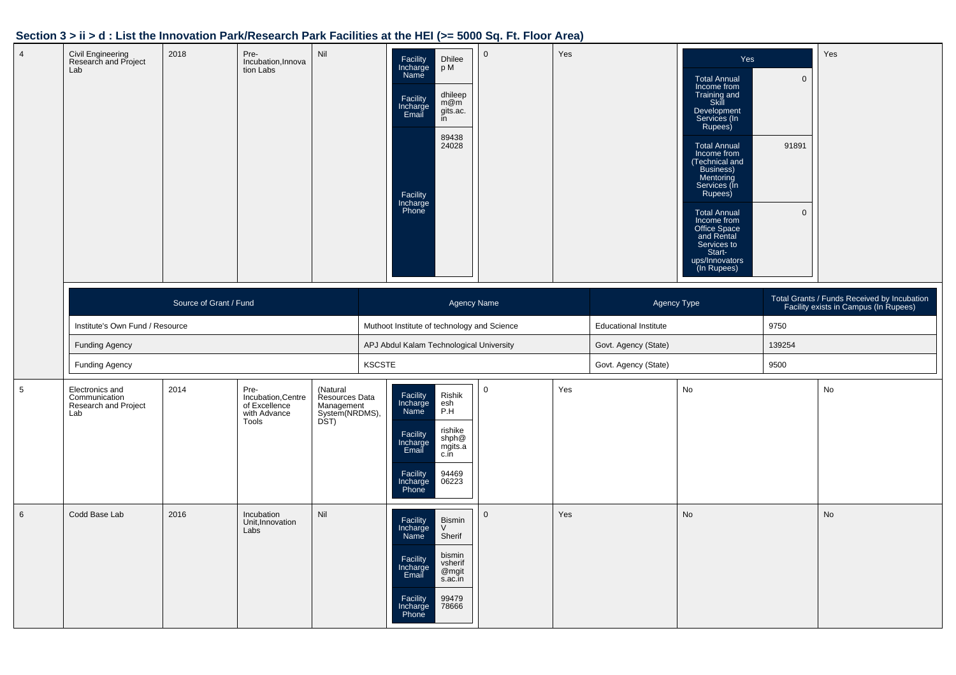#### **Section 3 > ii > d : List the Innovation Park/Research Park Facilities at the HEI (>= 5000 Sq. Ft. Floor Area)**

| $\overline{4}$  | Civil Engineering<br>Research and Project<br>Lab                | 2018                   | Pre-<br>Incubation, Innova<br>tion Labs                              | Nil                                                                |               | Facility<br>Incharge<br>Dhilee<br>p M<br>Name<br>dhileep<br>Facility<br>Incharge<br>Email<br>m@m<br>gits.ac.<br>in<br>89438<br>24028<br>Facility<br>Incharge<br>Phone              | $\overline{0}$ | Yes |                              | Yes<br><b>Total Annual</b><br>Income from<br>Training and<br>Skill<br>Development<br>Services (In<br>Rupees)<br><b>Total Annual</b><br>Income from<br>(Technical and<br>Business)<br>Mentoring<br>Services (In<br>Rupees)<br><b>Total Annual</b><br>Income from<br>Office Space<br>and Rental<br>Services to<br>Start-<br>ups/Innovators<br>(In Rupees) | $\mathbf{0}$<br>91891<br>$\mathbf 0$ | Yes                                                                                  |
|-----------------|-----------------------------------------------------------------|------------------------|----------------------------------------------------------------------|--------------------------------------------------------------------|---------------|------------------------------------------------------------------------------------------------------------------------------------------------------------------------------------|----------------|-----|------------------------------|---------------------------------------------------------------------------------------------------------------------------------------------------------------------------------------------------------------------------------------------------------------------------------------------------------------------------------------------------------|--------------------------------------|--------------------------------------------------------------------------------------|
|                 |                                                                 | Source of Grant / Fund |                                                                      |                                                                    |               |                                                                                                                                                                                    | Agency Name    |     | Agency Type                  |                                                                                                                                                                                                                                                                                                                                                         |                                      | Total Grants / Funds Received by Incubation<br>Facility exists in Campus (In Rupees) |
|                 | Institute's Own Fund / Resource                                 |                        |                                                                      |                                                                    |               | Muthoot Institute of technology and Science                                                                                                                                        |                |     | <b>Educational Institute</b> |                                                                                                                                                                                                                                                                                                                                                         | 9750                                 |                                                                                      |
|                 | <b>Funding Agency</b>                                           |                        |                                                                      |                                                                    |               | APJ Abdul Kalam Technological University                                                                                                                                           |                |     | Govt. Agency (State)         |                                                                                                                                                                                                                                                                                                                                                         | 139254                               |                                                                                      |
|                 | <b>Funding Agency</b>                                           |                        |                                                                      |                                                                    | <b>KSCSTE</b> |                                                                                                                                                                                    |                |     | Govt. Agency (State)         |                                                                                                                                                                                                                                                                                                                                                         | 9500                                 |                                                                                      |
| $5\phantom{.0}$ | Electronics and<br>Communication<br>Research and Project<br>Lab | 2014                   | Pre-<br>Incubation, Centre<br>of Excellence<br>with Advance<br>Tools | (Natural<br>Resources Data<br>Management<br>System(NRDMS),<br>DST) |               | Facility<br>Incharge<br>Name<br>Rishik<br>esh<br>P.H<br>rishike<br>Facility<br>Incharge<br>Email<br>shph@<br>mgits.a<br>c.in<br>Facility<br>Incharge<br>Phone<br>94469<br>06223    | $\overline{0}$ | Yes |                              | $\mathsf{No}$                                                                                                                                                                                                                                                                                                                                           |                                      | No                                                                                   |
| 6               | Codd Base Lab                                                   | 2016                   | Incubation<br>Unit, Innovation<br>Labs                               | Nil                                                                |               | Facility<br>Incharge<br>Name<br>Bismin<br>V<br>Sherif<br>bismin<br>Facility<br>Incharge<br>Email<br>vsherif<br>@mgit<br>s.ac.in<br>Facility<br>Incharge<br>Phone<br>99479<br>78666 | $\overline{0}$ | Yes |                              | No                                                                                                                                                                                                                                                                                                                                                      |                                      | No                                                                                   |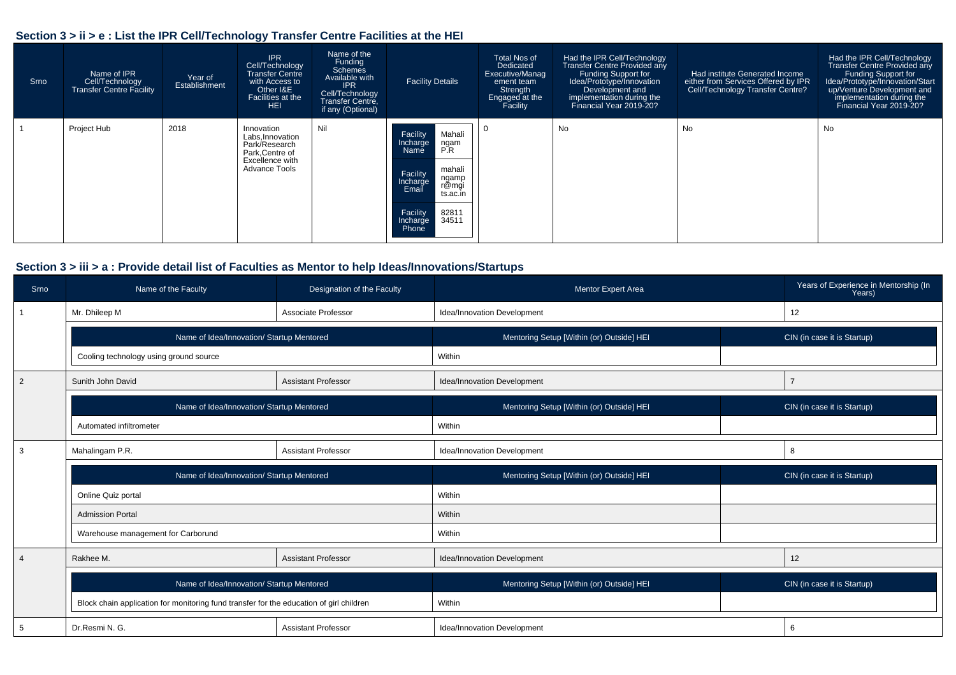#### **Section 3 > ii > e : List the IPR Cell/Technology Transfer Centre Facilities at the HEI**

| Srno | Name of IPR<br>Cell/Technology<br>Transfer Centre Facility | Year of<br>Establishment | <b>IPR</b><br>Cell/Technology<br><b>Transfer Centre</b><br>with Access to<br>Other I&E<br>Facilities at the<br><b>HEI</b> | Name of the<br>Funding<br>Schemes<br>Available with<br><b>IPR</b><br>Cell/Technology<br>Transfer Centre,<br>if any (Optional) | <b>Facility Details</b>                                                                                                                                                           | Total Nos of<br>Dedicated<br>Executive/Manag<br>ement team<br>Strength<br>Engaged at the<br>Facility | Had the IPR Cell/Technology<br><b>Transfer Centre Provided any</b><br>Funding Support for<br>Idea/Prototype/Innovation<br>Development and<br>implementation during the<br>Financial Year 2019-20? | Had institute Generated Income<br>either from Services Offered by IPR<br>Cell/Technology Transfer Centre? | Had the IPR Cell/Technology<br>Transfer Centre Provided any<br>Funding Support for<br>Idea/Prototype/Innovation/Start<br>up/Venture Development and<br>implementation during the<br>Financial Year 2019-20? |
|------|------------------------------------------------------------|--------------------------|---------------------------------------------------------------------------------------------------------------------------|-------------------------------------------------------------------------------------------------------------------------------|-----------------------------------------------------------------------------------------------------------------------------------------------------------------------------------|------------------------------------------------------------------------------------------------------|---------------------------------------------------------------------------------------------------------------------------------------------------------------------------------------------------|-----------------------------------------------------------------------------------------------------------|-------------------------------------------------------------------------------------------------------------------------------------------------------------------------------------------------------------|
|      | Project Hub                                                | 2018                     | Innovation<br>Labs, Innovation<br>Park/Research<br>Park, Centre of<br>Excellence with<br>Advance Tools                    | Nil                                                                                                                           | Facility<br>Mahali<br>Incharge<br>ngam<br>P.R<br>Name<br>mahali<br>Facility<br>Incharge<br>ngamp<br>r@mgi<br>Email<br>ts.ac.in<br>82811<br>34511<br>Facility<br>Incharge<br>Phone |                                                                                                      | No                                                                                                                                                                                                | No                                                                                                        | No                                                                                                                                                                                                          |

#### **Section 3 > iii > a : Provide detail list of Faculties as Mentor to help Ideas/Innovations/Startups**

| Srno           | Name of the Faculty                                                                     | Designation of the Faculty | Mentor Expert Area                        | Years of Experience in Mentorship (In<br>Years) |  |
|----------------|-----------------------------------------------------------------------------------------|----------------------------|-------------------------------------------|-------------------------------------------------|--|
|                | Mr. Dhileep M                                                                           | Associate Professor        | Idea/Innovation Development               | 12                                              |  |
|                | Name of Idea/Innovation/ Startup Mentored                                               |                            | Mentoring Setup [Within (or) Outside] HEI | CIN (in case it is Startup)                     |  |
|                | Cooling technology using ground source                                                  |                            | Within                                    |                                                 |  |
| $\overline{2}$ | Sunith John David                                                                       | <b>Assistant Professor</b> | Idea/Innovation Development               | $\overline{7}$                                  |  |
|                | Name of Idea/Innovation/ Startup Mentored                                               |                            | Mentoring Setup [Within (or) Outside] HEI | CIN (in case it is Startup)                     |  |
|                | Automated infiltrometer                                                                 |                            | Within                                    |                                                 |  |
| 3              | Mahalingam P.R.<br><b>Assistant Professor</b>                                           |                            | Idea/Innovation Development               | 8                                               |  |
|                | Name of Idea/Innovation/ Startup Mentored                                               |                            | Mentoring Setup [Within (or) Outside] HEI | CIN (in case it is Startup)                     |  |
|                | Online Quiz portal                                                                      |                            | Within                                    |                                                 |  |
|                | <b>Admission Portal</b>                                                                 |                            | Within                                    |                                                 |  |
|                | Warehouse management for Carborund                                                      |                            | Within                                    |                                                 |  |
| $\overline{4}$ | Rakhee M.                                                                               | <b>Assistant Professor</b> | Idea/Innovation Development               | 12                                              |  |
|                | Name of Idea/Innovation/ Startup Mentored                                               |                            | Mentoring Setup [Within (or) Outside] HEI | CIN (in case it is Startup)                     |  |
|                | Block chain application for monitoring fund transfer for the education of girl children |                            | Within                                    |                                                 |  |
| 5              | Dr.Resmi N. G.                                                                          | <b>Assistant Professor</b> | Idea/Innovation Development               | 6                                               |  |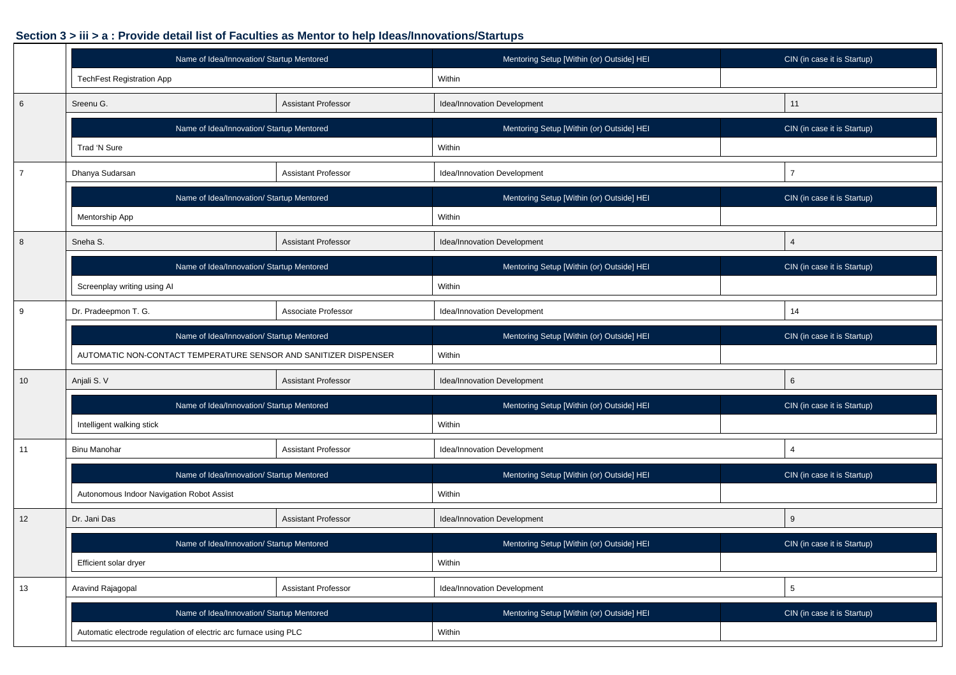#### **Section 3 > iii > a : Provide detail list of Faculties as Mentor to help Ideas/Innovations/Startups**

|                  | Name of Idea/Innovation/ Startup Mentored                        |                            | Mentoring Setup [Within (or) Outside] HEI | CIN (in case it is Startup) |  |  |  |  |
|------------------|------------------------------------------------------------------|----------------------------|-------------------------------------------|-----------------------------|--|--|--|--|
|                  | TechFest Registration App                                        |                            | Within                                    |                             |  |  |  |  |
| 6                | Sreenu G.                                                        | <b>Assistant Professor</b> | Idea/Innovation Development               | 11                          |  |  |  |  |
|                  | Name of Idea/Innovation/ Startup Mentored                        |                            | Mentoring Setup [Within (or) Outside] HEI | CIN (in case it is Startup) |  |  |  |  |
|                  | Trad 'N Sure                                                     |                            | Within                                    |                             |  |  |  |  |
| $\overline{7}$   | Dhanya Sudarsan<br><b>Assistant Professor</b>                    |                            | Idea/Innovation Development               | $\overline{7}$              |  |  |  |  |
|                  | Name of Idea/Innovation/ Startup Mentored                        |                            | Mentoring Setup [Within (or) Outside] HEI | CIN (in case it is Startup) |  |  |  |  |
|                  | Mentorship App                                                   |                            | Within                                    |                             |  |  |  |  |
| $\boldsymbol{8}$ | Sneha S.                                                         | <b>Assistant Professor</b> | Idea/Innovation Development               | $\overline{4}$              |  |  |  |  |
|                  | Name of Idea/Innovation/ Startup Mentored                        |                            | Mentoring Setup [Within (or) Outside] HEI | CIN (in case it is Startup) |  |  |  |  |
|                  | Screenplay writing using Al                                      |                            | Within                                    |                             |  |  |  |  |
| 9                | Dr. Pradeepmon T. G.                                             | Associate Professor        | Idea/Innovation Development               | 14                          |  |  |  |  |
|                  | Name of Idea/Innovation/ Startup Mentored                        |                            | Mentoring Setup [Within (or) Outside] HEI | CIN (in case it is Startup) |  |  |  |  |
|                  | AUTOMATIC NON-CONTACT TEMPERATURE SENSOR AND SANITIZER DISPENSER |                            | Within                                    |                             |  |  |  |  |
| 10               | Anjali S. V                                                      | <b>Assistant Professor</b> | Idea/Innovation Development               | 6                           |  |  |  |  |
|                  | Name of Idea/Innovation/ Startup Mentored                        |                            | Mentoring Setup [Within (or) Outside] HEI | CIN (in case it is Startup) |  |  |  |  |
|                  | Intelligent walking stick                                        |                            | Within                                    |                             |  |  |  |  |
| 11               | <b>Binu Manohar</b>                                              | <b>Assistant Professor</b> | Idea/Innovation Development               | $\overline{4}$              |  |  |  |  |
|                  | Name of Idea/Innovation/ Startup Mentored                        |                            | Mentoring Setup [Within (or) Outside] HEI | CIN (in case it is Startup) |  |  |  |  |
|                  | Autonomous Indoor Navigation Robot Assist                        |                            | Within                                    |                             |  |  |  |  |
| 12               | Dr. Jani Das                                                     | <b>Assistant Professor</b> | Idea/Innovation Development               | 9                           |  |  |  |  |
|                  | Name of Idea/Innovation/ Startup Mentored                        |                            | Mentoring Setup [Within (or) Outside] HEI | CIN (in case it is Startup) |  |  |  |  |
|                  | Efficient solar dryer                                            |                            | Within                                    |                             |  |  |  |  |
| 13               | Aravind Rajagopal                                                | <b>Assistant Professor</b> | Idea/Innovation Development               | $5\phantom{.0}$             |  |  |  |  |
|                  | Name of Idea/Innovation/ Startup Mentored                        |                            | Mentoring Setup [Within (or) Outside] HEI | CIN (in case it is Startup) |  |  |  |  |
|                  | Automatic electrode regulation of electric arc furnace using PLC |                            | Within                                    |                             |  |  |  |  |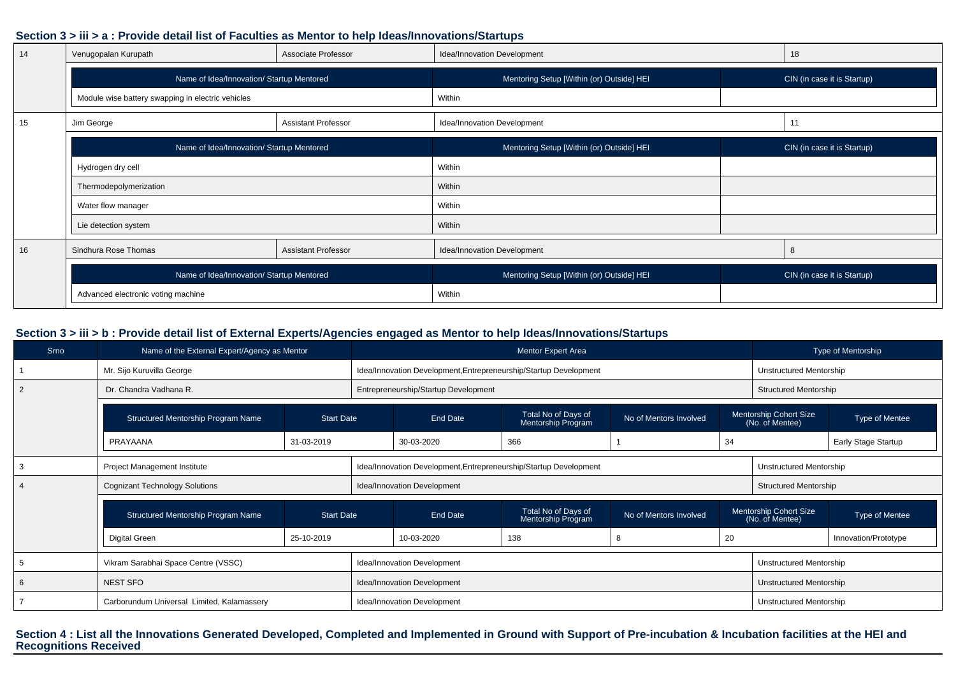#### **Section 3 > iii > a : Provide detail list of Faculties as Mentor to help Ideas/Innovations/Startups**

| 14 | Venugopalan Kurupath                              | Associate Professor        | Idea/Innovation Development               | 18                          |  |  |
|----|---------------------------------------------------|----------------------------|-------------------------------------------|-----------------------------|--|--|
|    | Name of Idea/Innovation/ Startup Mentored         |                            | Mentoring Setup [Within (or) Outside] HEI | CIN (in case it is Startup) |  |  |
|    | Module wise battery swapping in electric vehicles |                            | Within                                    |                             |  |  |
| 15 | Jim George                                        | <b>Assistant Professor</b> | Idea/Innovation Development               | 11                          |  |  |
|    | Name of Idea/Innovation/ Startup Mentored         |                            | Mentoring Setup [Within (or) Outside] HEI | CIN (in case it is Startup) |  |  |
|    | Hydrogen dry cell                                 |                            | Within                                    |                             |  |  |
|    | Thermodepolymerization                            |                            | Within                                    |                             |  |  |
|    | Water flow manager                                |                            | Within                                    |                             |  |  |
|    | Lie detection system                              |                            | Within                                    |                             |  |  |
| 16 | Sindhura Rose Thomas                              | <b>Assistant Professor</b> | Idea/Innovation Development               | 8                           |  |  |
|    | Name of Idea/Innovation/ Startup Mentored         |                            | Mentoring Setup [Within (or) Outside] HEI | CIN (in case it is Startup) |  |  |
|    | Advanced electronic voting machine                |                            | Within                                    |                             |  |  |

#### **Section 3 > iii > b : Provide detail list of External Experts/Agencies engaged as Mentor to help Ideas/Innovations/Startups**

| Srno | Name of the External Expert/Agency as Mentor |                   |                             |                                                                   | Mentor Expert Area                        |                        |                                           | Type of Mentorship           |                                |  |  |
|------|----------------------------------------------|-------------------|-----------------------------|-------------------------------------------------------------------|-------------------------------------------|------------------------|-------------------------------------------|------------------------------|--------------------------------|--|--|
|      | Mr. Sijo Kuruvilla George                    |                   |                             | Idea/Innovation Development, Entrepreneurship/Startup Development |                                           |                        |                                           | Unstructured Mentorship      |                                |  |  |
|      | Dr. Chandra Vadhana R.                       |                   |                             | Entrepreneurship/Startup Development                              |                                           |                        |                                           | <b>Structured Mentorship</b> |                                |  |  |
|      | Structured Mentorship Program Name           | <b>Start Date</b> |                             | End Date                                                          | Total No of Days of<br>Mentorship Program | No of Mentors Involved | Mentorship Cohort Size<br>(No. of Mentee) |                              | Type of Mentee                 |  |  |
|      | PRAYAANA                                     | 31-03-2019        |                             |                                                                   | 366<br>30-03-2020                         |                        | 34                                        |                              | Early Stage Startup            |  |  |
|      | Project Management Institute                 |                   |                             | Idea/Innovation Development, Entrepreneurship/Startup Development |                                           |                        |                                           |                              | <b>Unstructured Mentorship</b> |  |  |
|      | <b>Cognizant Technology Solutions</b>        |                   |                             | Idea/Innovation Development                                       |                                           |                        |                                           |                              | <b>Structured Mentorship</b>   |  |  |
|      | Structured Mentorship Program Name           | <b>Start Date</b> | End Date                    |                                                                   | Total No of Days of<br>Mentorship Program | No of Mentors Involved | Mentorship Cohort Size<br>(No. of Mentee) |                              | Type of Mentee                 |  |  |
|      | Digital Green                                | 25-10-2019        | 138<br>10-03-2020<br>8      |                                                                   |                                           | 20                     | Innovation/Prototype                      |                              |                                |  |  |
|      | Vikram Sarabhai Space Centre (VSSC)          |                   |                             | Idea/Innovation Development                                       |                                           |                        |                                           |                              | Unstructured Mentorship        |  |  |
|      | <b>NEST SFO</b>                              |                   |                             | Idea/Innovation Development                                       |                                           |                        |                                           |                              | Unstructured Mentorship        |  |  |
|      | Carborundum Universal Limited, Kalamassery   |                   | Idea/Innovation Development |                                                                   |                                           |                        |                                           | Unstructured Mentorship      |                                |  |  |

**Section 4 : List all the Innovations Generated Developed, Completed and Implemented in Ground with Support of Pre-incubation & Incubation facilities at the HEI andRecognitions Received**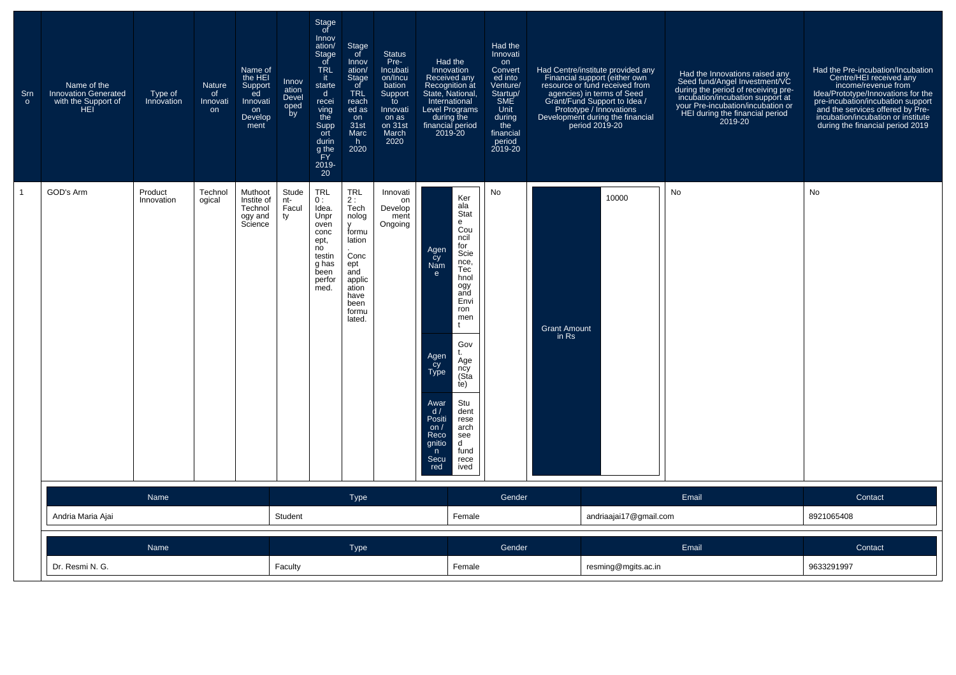| Srn<br>$\circ$ | Name of the<br><b>Innovation Generated</b><br>with the Support of<br>HEI | Type of<br>Innovation | Nature<br>of<br>Innovati<br>on | Name of<br>the HEI<br>Support<br>ed<br>Innovati<br>on<br>Develop<br>ment | Innov<br>ation<br>Devel<br>oped<br>by | Stage<br>of<br>Innov<br>ation/<br>Stage<br>of<br><b>TRL</b><br>- it<br>starte<br>$\mathsf{d}$<br>recei<br>ving<br>the<br>Supp<br>ort<br>durin<br>g the<br>FY<br>$^{2019-}_{20}$ | Stage<br>of<br>Innov<br>ation/<br>Stage<br>of<br><b>TRL</b><br>reach<br>ed as<br>on<br>31st<br>Marc<br>h.<br>2020                         | <b>Status</b><br>Pre-<br>Incubati<br>on/Incu<br>bation<br>Support<br>to<br>Innovati<br>on as<br>on 31st<br>March<br>2020 | Had the<br>Innovation<br>Received any<br>Recognition at<br>State, National,<br>International<br><b>Level Programs</b><br>during the<br>financial period<br>2019-20                                                                                                                                                                                                 | Had the<br>Innovati<br>on<br>Convert<br>ed into<br>Venture/<br>Startup/<br>SME<br>Unit<br>during<br>the<br>financial<br>period<br>2019-20 |                              | Had Centre/institute provided any<br>Financial support (either own<br>resource or fund received from<br>agencies) in terms of Seed<br>Grant/Fund Support to Idea /<br>Prototype / Innovations<br>Development during the financial<br>period 2019-20 | Had the Innovations raised any<br>Seed fund/Angel Investment/VC<br>during the period of receiving pre-<br>incubation/incubation support at<br>your Pre-incubation/incubation or<br>HEI during the financial period<br>2019-20 | Had the Pre-incubation/Incubation<br>Centre/HEI received any<br>income/revenue from<br>Idea/Prototype/Innovations for the<br>pre-incubation/incubation support<br>and the services offered by Pre-<br>incubation/incubation or institute<br>during the financial period 2019 |
|----------------|--------------------------------------------------------------------------|-----------------------|--------------------------------|--------------------------------------------------------------------------|---------------------------------------|---------------------------------------------------------------------------------------------------------------------------------------------------------------------------------|-------------------------------------------------------------------------------------------------------------------------------------------|--------------------------------------------------------------------------------------------------------------------------|--------------------------------------------------------------------------------------------------------------------------------------------------------------------------------------------------------------------------------------------------------------------------------------------------------------------------------------------------------------------|-------------------------------------------------------------------------------------------------------------------------------------------|------------------------------|-----------------------------------------------------------------------------------------------------------------------------------------------------------------------------------------------------------------------------------------------------|-------------------------------------------------------------------------------------------------------------------------------------------------------------------------------------------------------------------------------|------------------------------------------------------------------------------------------------------------------------------------------------------------------------------------------------------------------------------------------------------------------------------|
|                | GOD's Arm                                                                | Product<br>Innovation | Technol<br>ogical              | Muthoot<br>Instite of<br>Technol<br>ogy and<br>Science                   | Stude<br>nt-<br>Facul<br>ty           | <b>TRL</b><br>0:<br>Idea.<br>Unpr<br>oven<br>conc<br>ept,<br>no<br>testin<br>g has<br>been<br>perfor<br>med.                                                                    | TRL<br>2:<br>Tech<br>nolog<br>$\mathsf{v}$<br>formu<br>lation<br>Conc<br>ept<br>and<br>applic<br>ation<br>have<br>been<br>formu<br>lated. | Innovati<br>on<br>Develop<br>ment<br>Ongoing                                                                             | Ker<br>ala<br>Stat<br>e<br>Cou<br>ncil<br>for<br>Agen<br>Scie<br>$\overline{c}y$<br>nce,<br>Nam<br>Tec<br>e<br>hnol<br>ogy<br>and<br>Envi<br>ron<br>men<br>Ť.<br>Gov<br>Agen<br>Cy<br>Type<br>Age<br>ncy<br>(Sṫa<br>te)<br>Stu<br>Awar<br>d/<br>dent<br>Positi<br>rese<br>arch<br>on $/$<br>Reco<br>see<br>qnitio<br>d<br>fund<br>n<br>Secu<br>rece<br>red<br>ived | No                                                                                                                                        | <b>Grant Amount</b><br>in Rs | 10000                                                                                                                                                                                                                                               | No                                                                                                                                                                                                                            | No                                                                                                                                                                                                                                                                           |
|                |                                                                          | Name                  |                                |                                                                          |                                       |                                                                                                                                                                                 | <b>Type</b>                                                                                                                               |                                                                                                                          |                                                                                                                                                                                                                                                                                                                                                                    | Gender                                                                                                                                    |                              |                                                                                                                                                                                                                                                     | Email                                                                                                                                                                                                                         | Contact                                                                                                                                                                                                                                                                      |
|                | Andria Maria Ajai                                                        |                       |                                |                                                                          | Student                               |                                                                                                                                                                                 |                                                                                                                                           |                                                                                                                          | Female                                                                                                                                                                                                                                                                                                                                                             |                                                                                                                                           |                              | andriaajai17@gmail.com                                                                                                                                                                                                                              |                                                                                                                                                                                                                               | 8921065408                                                                                                                                                                                                                                                                   |
|                |                                                                          | Name                  |                                |                                                                          |                                       |                                                                                                                                                                                 | <b>Type</b>                                                                                                                               |                                                                                                                          |                                                                                                                                                                                                                                                                                                                                                                    | Gender                                                                                                                                    |                              |                                                                                                                                                                                                                                                     | Email                                                                                                                                                                                                                         | Contact                                                                                                                                                                                                                                                                      |
|                | Dr. Resmi N. G.                                                          |                       |                                |                                                                          | Faculty                               |                                                                                                                                                                                 |                                                                                                                                           |                                                                                                                          | Female                                                                                                                                                                                                                                                                                                                                                             |                                                                                                                                           |                              | resming@mgits.ac.in                                                                                                                                                                                                                                 |                                                                                                                                                                                                                               | 9633291997                                                                                                                                                                                                                                                                   |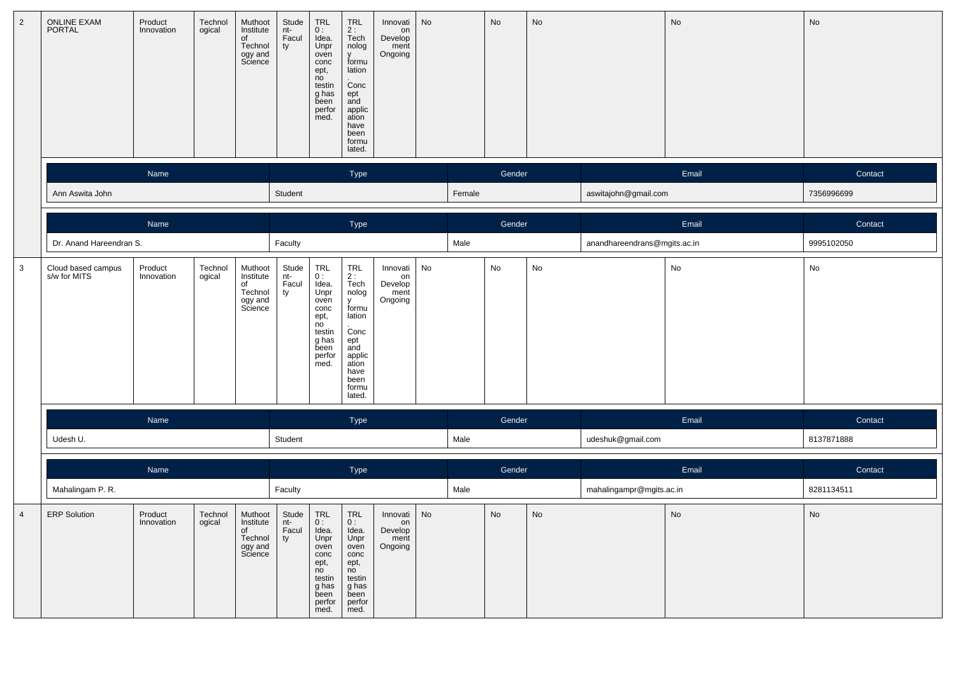| $\overline{2}$ | ONLINE EXAM<br>PORTAL              | Product<br>Innovation | Technol<br>ogical | Muthoot<br>Institute<br>of<br>Technol<br>ogy and<br>Science | Stude<br>nt-<br>Facul<br>ty | $\begin{array}{c} \mathsf{TRL} \\ \mathsf{0} : \end{array}$<br>Idea.<br>Unpr<br>oven<br>conc<br>ept,<br>no<br>testin<br>g has<br>been<br>perfor<br>med. | $TRL$<br>2 :<br>Tech<br>nolog<br><b>y</b><br>formu<br>lation<br>Conc<br>ept<br>and<br>applic<br>ation<br>have<br>been<br>formu<br>lated.  | Innovati<br>on<br>Develop<br>ment<br>Ongoing | No |        | No     | No                           |                              | No                           | $\operatorname{\mathsf{No}}$ |
|----------------|------------------------------------|-----------------------|-------------------|-------------------------------------------------------------|-----------------------------|---------------------------------------------------------------------------------------------------------------------------------------------------------|-------------------------------------------------------------------------------------------------------------------------------------------|----------------------------------------------|----|--------|--------|------------------------------|------------------------------|------------------------------|------------------------------|
|                |                                    | Name                  |                   |                                                             |                             |                                                                                                                                                         | Type                                                                                                                                      |                                              |    |        | Gender |                              |                              | Email                        | Contact                      |
|                | Ann Aswita John                    |                       |                   |                                                             | Student                     |                                                                                                                                                         |                                                                                                                                           |                                              |    | Female |        |                              | aswitajohn@gmail.com         |                              | 7356996699                   |
|                |                                    | Name                  |                   |                                                             |                             |                                                                                                                                                         | Type                                                                                                                                      |                                              |    |        | Gender |                              |                              | Email                        | Contact                      |
|                | Dr. Anand Hareendran S.            |                       |                   |                                                             | Faculty                     |                                                                                                                                                         |                                                                                                                                           |                                              |    | Male   |        |                              | anandhareendrans@mgits.ac.in |                              | 9995102050                   |
| $\mathbf{3}$   | Cloud based campus<br>s/w for MITS | Product<br>Innovation | Technol<br>ogical | Muthoot<br>Institute<br>of<br>Technol<br>ogy and<br>Science | Stude<br>nt-<br>Facul<br>ty | TRL<br>0:<br>Idea.<br>Unpr<br>oven<br>conc<br>ept,<br>no<br>testin<br>g has<br>been<br>perfor<br>med.                                                   | TRL<br>2:<br>Tech<br>nolog<br>$\mathsf{v}$<br>formu<br>lation<br>Conc<br>ept<br>and<br>applic<br>ation<br>have<br>been<br>formu<br>lated. | Innovati<br>on<br>Develop<br>ment<br>Ongoing | No |        | No     | $\operatorname{\mathsf{No}}$ |                              | No                           | No                           |
|                |                                    | Name                  |                   |                                                             |                             |                                                                                                                                                         | Type                                                                                                                                      |                                              |    |        | Gender |                              |                              | Email                        | Contact                      |
|                | Udesh U.                           |                       |                   |                                                             | Student                     |                                                                                                                                                         |                                                                                                                                           |                                              |    | Male   |        |                              | udeshuk@gmail.com            |                              | 8137871888                   |
|                |                                    | Name                  |                   |                                                             |                             |                                                                                                                                                         | Type                                                                                                                                      |                                              |    |        | Gender |                              |                              | Email                        | Contact                      |
|                | Mahalingam P.R.                    |                       |                   |                                                             | Faculty                     |                                                                                                                                                         |                                                                                                                                           |                                              |    | Male   |        |                              | mahalingampr@mgits.ac.in     |                              | 8281134511                   |
| $\overline{4}$ | <b>ERP</b> Solution                | Product<br>Innovation | Technol<br>ogical | Muthoot<br>Institute<br>of<br>Technol<br>ogy and<br>Science | Stude<br>-ne<br>Facul<br>ty | $\ensuremath{\mathsf{TRL}}$<br>υ.<br>Idea.<br>Unpr<br>oven<br>conc<br>ept,<br>no<br>testin<br>g has<br>been<br>perfor<br>med.                           | TRL<br>0:<br>Idea.<br>Unpr<br>oven<br>conc<br>ept,<br>no<br>testin<br>g has<br>been<br>perfor<br>med.                                     | Innovati<br>on<br>Develop<br>ment<br>Ongoing | No |        | No     | No                           |                              | $\operatorname{\mathsf{No}}$ | No                           |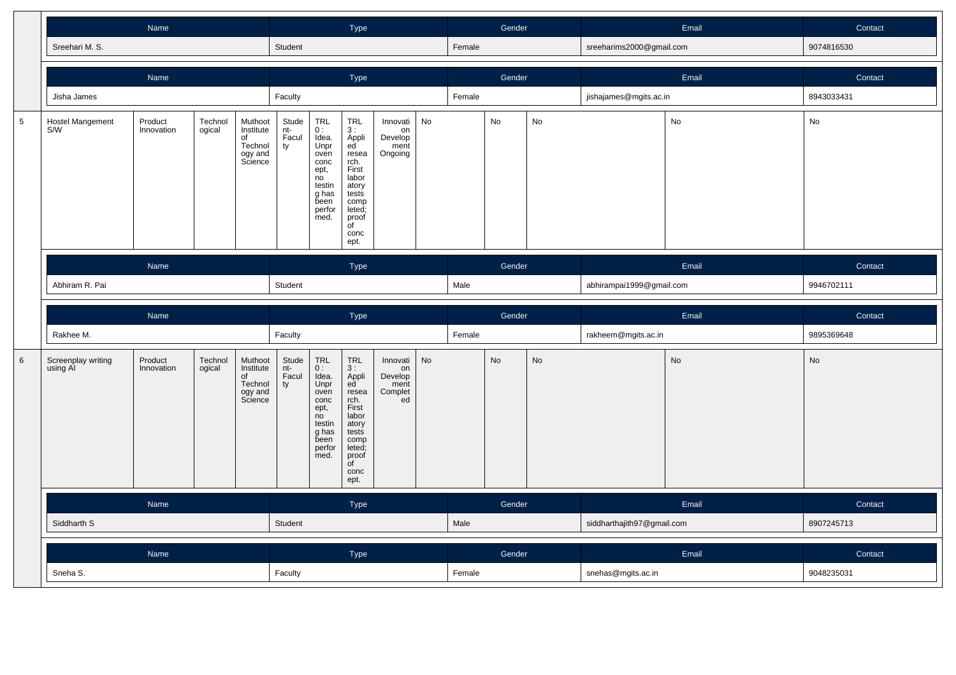|             |                                | Name                                                                                                              |                   |                                                             |                             | Type                                                                                                  |                                                                                                                                               |                                                    |    | Gender |           |           | Email                      | Contact   |            |
|-------------|--------------------------------|-------------------------------------------------------------------------------------------------------------------|-------------------|-------------------------------------------------------------|-----------------------------|-------------------------------------------------------------------------------------------------------|-----------------------------------------------------------------------------------------------------------------------------------------------|----------------------------------------------------|----|--------|-----------|-----------|----------------------------|-----------|------------|
|             | Sreehari M. S.                 |                                                                                                                   |                   |                                                             | Student                     |                                                                                                       |                                                                                                                                               |                                                    |    | Female |           |           | sreeharims2000@gmail.com   |           | 9074816530 |
|             |                                | Name                                                                                                              |                   |                                                             |                             |                                                                                                       | Type                                                                                                                                          |                                                    |    |        | Gender    |           |                            | Email     | Contact    |
|             | Jisha James                    |                                                                                                                   |                   |                                                             | Faculty                     |                                                                                                       |                                                                                                                                               |                                                    |    | Female |           |           | jishajames@mgits.ac.in     |           | 8943033431 |
| $\,$ 5 $\,$ | Hostel Mangement<br>S/W        | Muthoot<br>Product<br>Technol<br>Innovation<br>ogical<br>Institute<br>of<br>Technol<br>ogy and<br>Science<br>Name |                   |                                                             |                             |                                                                                                       | TRL<br>3:<br>Appli<br>ed<br>resea<br>rch.<br>First<br>labor<br>atory<br>tests<br>comp<br>leted;<br>proof<br>$\overline{C}$<br>conc<br>ept.    | Innovati<br>on<br>Develop<br>ment<br>Ongoing       | No |        | No        | No        |                            | No        | No         |
|             |                                |                                                                                                                   |                   |                                                             |                             |                                                                                                       | Type                                                                                                                                          |                                                    |    |        | Gender    |           |                            | Email     | Contact    |
|             | Abhiram R. Pai                 |                                                                                                                   |                   |                                                             |                             |                                                                                                       |                                                                                                                                               |                                                    |    | Male   |           |           | abhirampai1999@gmail.com   |           | 9946702111 |
|             |                                |                                                                                                                   |                   |                                                             |                             |                                                                                                       |                                                                                                                                               |                                                    |    |        |           |           |                            |           |            |
|             |                                | Name                                                                                                              |                   |                                                             | Student                     |                                                                                                       | Type                                                                                                                                          |                                                    |    |        | Gender    |           |                            | Email     | Contact    |
|             | Rakhee M.                      |                                                                                                                   |                   |                                                             | Faculty                     |                                                                                                       |                                                                                                                                               |                                                    |    | Female |           |           | rakheem@mgits.ac.in        |           | 9895369648 |
| 6           | Screenplay writing<br>using Al | Product<br>Innovation                                                                                             | Technol<br>ogical | Muthoot<br>Institute<br>of<br>Technol<br>ogy and<br>Science | Stude<br>nt-<br>Facul<br>ty | TRL<br>0:<br>Idea.<br>Unpr<br>oven<br>conc<br>ept,<br>no<br>testin<br>g has<br>been<br>perfor<br>med. | $TRL$<br>3 :<br>Appli<br>ed<br>resea<br>rch.<br>First<br>labor<br>atory<br>tests<br>comp<br>leted;<br>proof<br>$\overline{C}$<br>conc<br>ept. | Innovati<br>on<br>Develop<br>ment<br>Complet<br>ed | No |        | <b>No</b> | <b>No</b> |                            | <b>No</b> | No         |
|             |                                | Name                                                                                                              |                   |                                                             |                             |                                                                                                       | <b>Type</b>                                                                                                                                   |                                                    |    |        | Gender    |           |                            | Email     | Contact    |
|             | Siddharth S                    |                                                                                                                   |                   |                                                             | Student                     |                                                                                                       |                                                                                                                                               |                                                    |    | Male   |           |           | siddharthajith97@gmail.com |           | 8907245713 |
|             |                                | Name                                                                                                              |                   |                                                             |                             |                                                                                                       | Type                                                                                                                                          |                                                    |    |        | Gender    |           |                            | Email     | Contact    |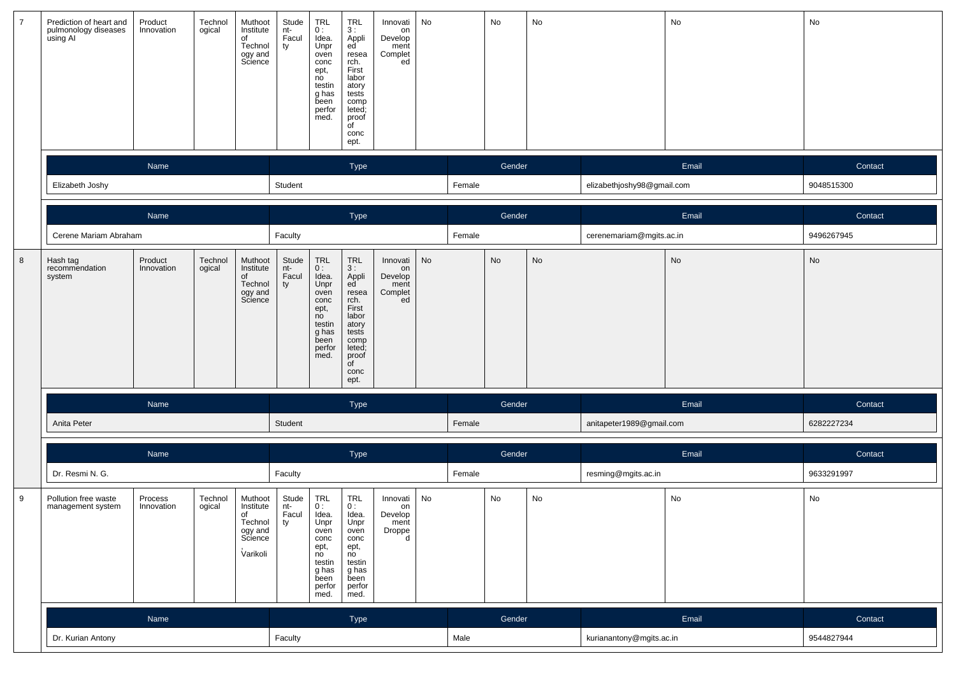| $\overline{7}$ | Prediction of heart and<br>pulmonology diseases<br>using Al | Product<br>Innovation | Technol<br>ogical | Muthoot<br>Institute<br>of<br>Technol<br>ogy and<br>Science             | Stude<br>nt-<br>Facul<br>ty     | TRL<br>0:<br>Idea.<br>Unpr<br>oven<br>conc<br>ept,<br>no<br>testin<br>g has<br>been<br>perfor<br>med. | <b>TRL</b><br>3:<br>Appli<br>ed<br>resea<br>rch.<br>First<br>labor<br>atory<br>tests<br>comp<br>leted;<br>proof<br>of<br>conc<br>ept.                                  | Innovati<br>on<br>Develop<br>ment<br>Complet<br>ed | No |        | No     | No |                            | No    | No            |
|----------------|-------------------------------------------------------------|-----------------------|-------------------|-------------------------------------------------------------------------|---------------------------------|-------------------------------------------------------------------------------------------------------|------------------------------------------------------------------------------------------------------------------------------------------------------------------------|----------------------------------------------------|----|--------|--------|----|----------------------------|-------|---------------|
|                |                                                             | Name                  |                   |                                                                         |                                 |                                                                                                       | Type                                                                                                                                                                   |                                                    |    |        | Gender |    |                            | Email | Contact       |
|                | Elizabeth Joshy                                             |                       |                   |                                                                         | Student                         |                                                                                                       |                                                                                                                                                                        |                                                    |    | Female |        |    | elizabethjoshy98@gmail.com |       | 9048515300    |
|                |                                                             | Name                  |                   |                                                                         |                                 |                                                                                                       | Type                                                                                                                                                                   |                                                    |    |        | Gender |    |                            | Email | Contact       |
|                | Cerene Mariam Abraham                                       |                       |                   |                                                                         | Faculty                         |                                                                                                       |                                                                                                                                                                        |                                                    |    | Female |        |    | cerenemariam@mgits.ac.in   |       | 9496267945    |
| 8              | Hash tag<br>recommendation<br>system                        | Product<br>Innovation | Technol<br>ogical | Muthoot<br>Institute<br>of<br>Technol<br>ogy and<br>Science             | Stude<br>nt-<br>Facul<br>ty     | TRL<br>0:<br>Idea.<br>Unpr<br>oven<br>conc<br>ept,<br>no<br>testin<br>g has<br>been<br>perfor<br>med. | $\begin{array}{c} \mathsf{TRL} \\ 3: \end{array}$<br>Appli<br>ed<br>resea<br>rch.<br>First<br>labor<br>atory<br>tests<br>comp<br>leted;<br>proof<br>of<br>conc<br>ept. | Innovati<br>on<br>Develop<br>ment<br>Complet<br>ed | No |        | No     | No |                            | No    | No            |
|                |                                                             | Name                  |                   |                                                                         |                                 |                                                                                                       | Type                                                                                                                                                                   |                                                    |    |        | Gender |    |                            | Email | Contact       |
|                | Anita Peter                                                 |                       |                   |                                                                         | Student                         |                                                                                                       |                                                                                                                                                                        |                                                    |    | Female |        |    | anitapeter1989@gmail.com   |       | 6282227234    |
|                |                                                             | Name                  |                   |                                                                         |                                 |                                                                                                       | Type                                                                                                                                                                   |                                                    |    |        | Gender |    |                            | Email | Contact       |
|                | Dr. Resmi N. G.                                             |                       |                   |                                                                         | Faculty                         |                                                                                                       |                                                                                                                                                                        |                                                    |    | Female |        |    | resming@mgits.ac.in        |       | 9633291997    |
| 9              | Pollution free waste<br>management system                   | Process<br>Innovation | Technol<br>ogical | Muthoot<br>Institute<br>of<br>Technol<br>ogy and<br>Science<br>Varikoli | Stude<br>nt-<br>Facul<br>$ $ ty | TRL<br>0:<br>Idea.<br>Unpr<br>oven<br>conc<br>ept,<br>no<br>testin<br>g has<br>been<br>perfor<br>med. | TRL<br>0:<br>Idea.<br>Unpr<br>oven<br>conc<br>ept,<br>no<br>testin<br>g has<br>been<br>perfor<br>med.                                                                  | Innovati<br>on<br>Develop<br>ment<br>Droppe<br>d   | No |        | No     | No |                            | No    | $\mathsf{No}$ |
|                |                                                             | Name                  |                   |                                                                         |                                 |                                                                                                       | Type                                                                                                                                                                   |                                                    |    |        | Gender |    |                            | Email | Contact       |
|                | Dr. Kurian Antony                                           |                       |                   |                                                                         | Faculty                         |                                                                                                       |                                                                                                                                                                        |                                                    |    | Male   |        |    | kurianantony@mgits.ac.in   |       | 9544827944    |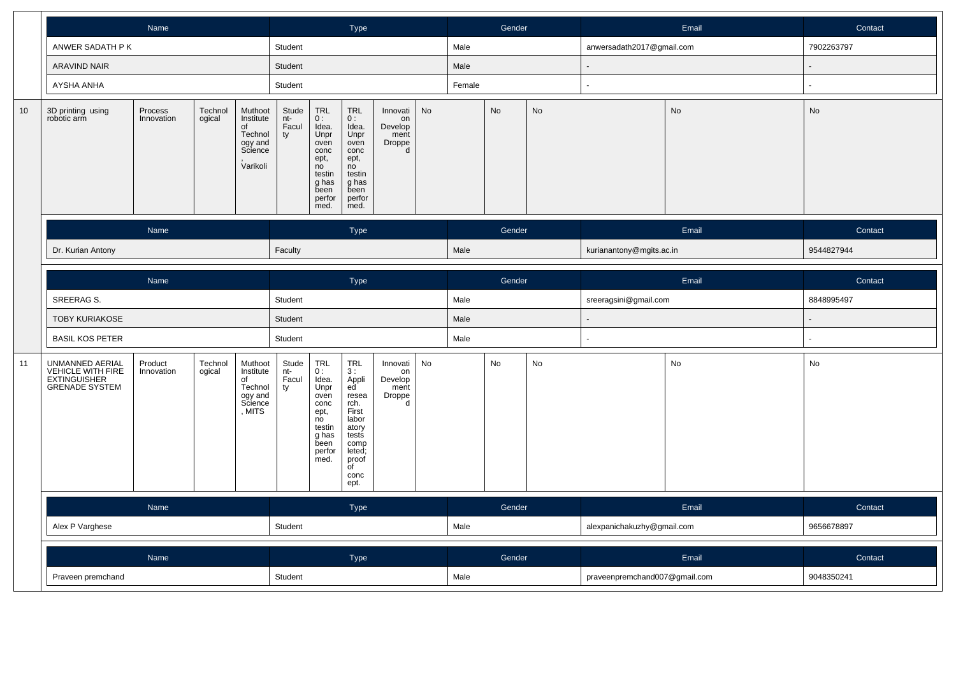|                 |                                                                                      | Name                                                                                                                                                       |  |  |         | Type                                                                                                         |                                                                                                                                                                |                                                  |           | Gender |        |    | Email                         | Contact |            |
|-----------------|--------------------------------------------------------------------------------------|------------------------------------------------------------------------------------------------------------------------------------------------------------|--|--|---------|--------------------------------------------------------------------------------------------------------------|----------------------------------------------------------------------------------------------------------------------------------------------------------------|--------------------------------------------------|-----------|--------|--------|----|-------------------------------|---------|------------|
|                 | ANWER SADATH P K                                                                     |                                                                                                                                                            |  |  | Student |                                                                                                              |                                                                                                                                                                |                                                  |           | Male   |        |    | anwersadath2017@gmail.com     |         | 7902263797 |
|                 | <b>ARAVIND NAIR</b>                                                                  |                                                                                                                                                            |  |  | Student |                                                                                                              |                                                                                                                                                                |                                                  |           | Male   |        |    |                               |         |            |
|                 | AYSHA ANHA                                                                           |                                                                                                                                                            |  |  | Student |                                                                                                              |                                                                                                                                                                |                                                  |           | Female |        |    |                               |         |            |
| 10 <sup>1</sup> | 3D printing using<br>robotic arm                                                     | Muthoot<br>Process<br>Technol<br>Innovation<br>ogical<br>Institute<br>of<br>Technol<br>ogy and<br>Science<br>Varikoli<br>Name                              |  |  |         |                                                                                                              | TRL<br>0:<br>Idea.<br>Unpr<br>oven<br>conc<br>ept,<br>no<br>testin<br>g has<br>been<br>perfor<br>med.                                                          | Innovati<br>on<br>Develop<br>ment<br>Droppe<br>d | <b>No</b> |        | No     | No |                               | No      | No         |
|                 |                                                                                      |                                                                                                                                                            |  |  |         |                                                                                                              | Type                                                                                                                                                           |                                                  |           |        | Gender |    |                               | Email   | Contact    |
|                 | Dr. Kurian Antony                                                                    |                                                                                                                                                            |  |  |         |                                                                                                              |                                                                                                                                                                |                                                  |           | Male   |        |    | kurianantony@mgits.ac.in      |         | 9544827944 |
|                 |                                                                                      | Name                                                                                                                                                       |  |  |         |                                                                                                              | Type                                                                                                                                                           |                                                  |           |        | Gender |    |                               | Email   | Contact    |
|                 | SREERAG S.                                                                           |                                                                                                                                                            |  |  | Student |                                                                                                              |                                                                                                                                                                |                                                  |           | Male   |        |    | sreeragsini@gmail.com         |         | 8848995497 |
|                 |                                                                                      |                                                                                                                                                            |  |  | Student |                                                                                                              |                                                                                                                                                                |                                                  |           | Male   |        |    |                               |         |            |
|                 | <b>BASIL KOS PETER</b>                                                               |                                                                                                                                                            |  |  | Student |                                                                                                              |                                                                                                                                                                |                                                  |           | Male   |        |    |                               |         |            |
| 11              | UNMANNED AERIAL<br>VEHICLE WITH FIRE<br><b>EXTINGUISHER</b><br><b>GRENADE SYSTEM</b> | <b>TOBY KURIAKOSE</b><br>Product<br>Technol<br>Muthoot<br>ogical<br>Institute<br>Innovation<br>$\overline{0}$ f<br>Technol<br>ogy and<br>Science<br>, MITS |  |  |         | <b>TRL</b><br>0:<br>Idea.<br>Unpr<br>oven<br>conc<br>ept,<br>no<br>testin<br>g has<br>been<br>perfor<br>med. | <b>TRL</b><br>3:<br>Appli<br>ed <sup>®</sup><br>resea<br>rch.<br>First<br>labor<br>atory<br>tests<br>comp<br>leted;<br>proof<br>$\overline{C}$<br>conc<br>ept. | Innovati<br>on<br>Develop<br>ment<br>Droppe<br>d | No        |        | No     | No |                               | No      | No         |
|                 |                                                                                      | Name                                                                                                                                                       |  |  |         |                                                                                                              | Type                                                                                                                                                           |                                                  |           |        | Gender |    |                               | Email   | Contact    |
|                 | Alex P Varghese                                                                      |                                                                                                                                                            |  |  | Student |                                                                                                              |                                                                                                                                                                |                                                  |           | Male   |        |    | alexpanichakuzhy@gmail.com    |         | 9656678897 |
|                 |                                                                                      | Name                                                                                                                                                       |  |  |         |                                                                                                              | Type                                                                                                                                                           |                                                  |           |        | Gender |    |                               | Email   | Contact    |
|                 | Praveen premchand                                                                    |                                                                                                                                                            |  |  | Student |                                                                                                              |                                                                                                                                                                |                                                  |           | Male   |        |    | praveenpremchand007@gmail.com |         | 9048350241 |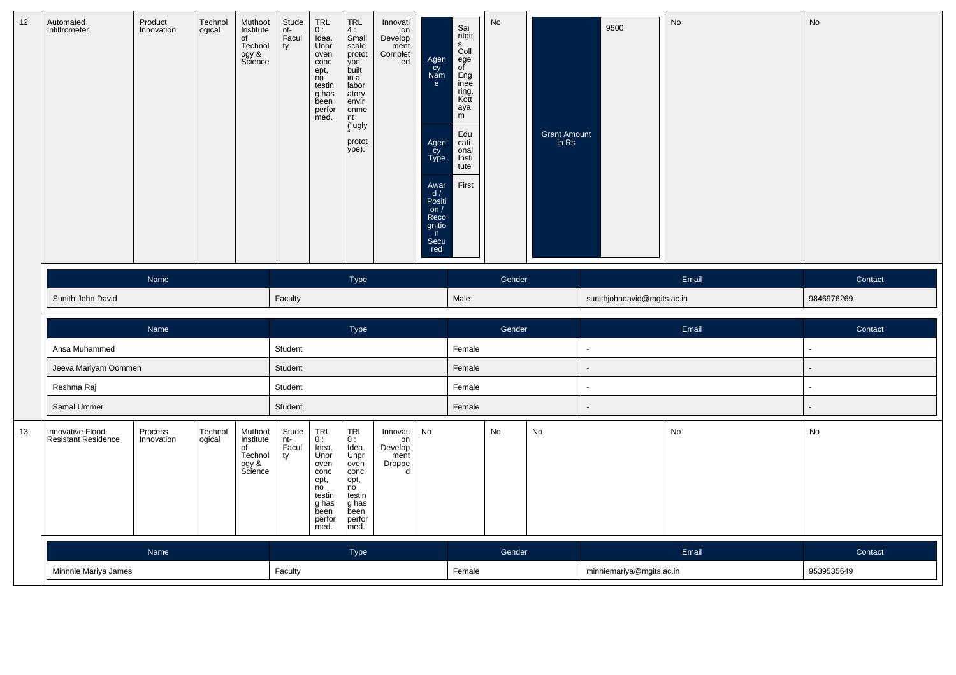| 12 | Automated<br>Infiltrometer                     | Product<br>Innovation | Technol<br>ogical | Muthoot<br>Institute<br>of<br>Technol<br>ogy &<br>Science | Stude<br>nt-<br>Facul<br>ty | $\mathop{\mathsf{TRL}}\limits_{0\ :\ }$<br>Idea.<br>Unpr<br>oven<br>conc<br>ept,<br>no<br>testin<br>g has<br>been<br>perfor<br>med. | $TRL$<br>4:<br>Small<br>scale<br>protot<br>ype<br>built<br>in a<br>labor<br>atory<br>envír<br>onme<br>nt<br>("ugly<br>protot<br>ype). | Innovati<br>on<br>Develop<br>ment<br>Complet<br>ed | Agen<br>Cy<br>Nam<br>$\mathbf{e}$<br>Agen<br>Cy<br>Type<br>Awar<br>d/<br>Positi<br>on $/$<br>Reco<br>gnitio<br>n<br>Secu<br>red | Sai<br>ntgit<br>$\mathsf{s}$<br>Coll<br>ege<br>of<br>Eng<br>inee<br>ring,<br>Kott<br>aya<br>m<br>Edu<br>cati<br>onal<br>Insti<br>tute<br>First | No     | Grant Amount<br>in Rs | 9500                        | No    | No             |
|----|------------------------------------------------|-----------------------|-------------------|-----------------------------------------------------------|-----------------------------|-------------------------------------------------------------------------------------------------------------------------------------|---------------------------------------------------------------------------------------------------------------------------------------|----------------------------------------------------|---------------------------------------------------------------------------------------------------------------------------------|------------------------------------------------------------------------------------------------------------------------------------------------|--------|-----------------------|-----------------------------|-------|----------------|
|    |                                                | Name                  |                   |                                                           |                             |                                                                                                                                     | Type                                                                                                                                  |                                                    |                                                                                                                                 |                                                                                                                                                | Gender |                       |                             | Email | Contact        |
|    | Sunith John David                              |                       |                   |                                                           | Faculty                     |                                                                                                                                     |                                                                                                                                       |                                                    |                                                                                                                                 | Male                                                                                                                                           |        |                       | sunithjohndavid@mgits.ac.in |       | 9846976269     |
|    |                                                | Name                  |                   |                                                           |                             |                                                                                                                                     | Type                                                                                                                                  |                                                    |                                                                                                                                 |                                                                                                                                                | Gender |                       |                             | Email | Contact        |
|    | Ansa Muhammed                                  |                       |                   |                                                           | Student                     |                                                                                                                                     |                                                                                                                                       |                                                    |                                                                                                                                 | Female                                                                                                                                         |        |                       |                             |       |                |
|    | Jeeva Mariyam Oommen                           |                       |                   |                                                           | Student                     |                                                                                                                                     |                                                                                                                                       |                                                    |                                                                                                                                 | Female                                                                                                                                         |        |                       |                             |       |                |
|    | Reshma Raj                                     |                       |                   |                                                           | Student                     |                                                                                                                                     |                                                                                                                                       |                                                    |                                                                                                                                 | Female                                                                                                                                         |        |                       | $\overline{a}$              |       | $\overline{a}$ |
|    | Samal Ummer                                    |                       |                   |                                                           | Student                     |                                                                                                                                     |                                                                                                                                       |                                                    |                                                                                                                                 | Female                                                                                                                                         |        |                       |                             |       |                |
| 13 | Innovative Flood<br><b>Resistant Residence</b> | Process<br>Innovation | Technol<br>ogical | Muthoot<br>Institute<br>of<br>Technol<br>ogy &<br>Science | Stude<br>nt-<br>Facul<br>ty | $TRL$<br>$0:$<br>Idea.<br>Unpr<br>oven<br>conc<br>ept,<br>no<br>testin<br>g has<br>been<br>perfor<br>med.                           | TRL<br>0:<br>Idea.<br>Unpr<br>oven<br>conc<br>ept,<br>no<br>testin<br>g has<br>been<br>perfor<br>med.                                 | Innovati<br>on<br>Develop<br>ment<br>Droppe<br>d   | No                                                                                                                              |                                                                                                                                                | No     | No                    |                             | No    | No             |
|    |                                                | Name                  |                   |                                                           |                             |                                                                                                                                     | Type                                                                                                                                  |                                                    |                                                                                                                                 |                                                                                                                                                | Gender |                       |                             | Email | Contact        |
|    | Minnnie Mariya James                           |                       |                   |                                                           | Faculty                     |                                                                                                                                     |                                                                                                                                       |                                                    |                                                                                                                                 | Female                                                                                                                                         |        |                       | minniemariya@mgits.ac.in    |       | 9539535649     |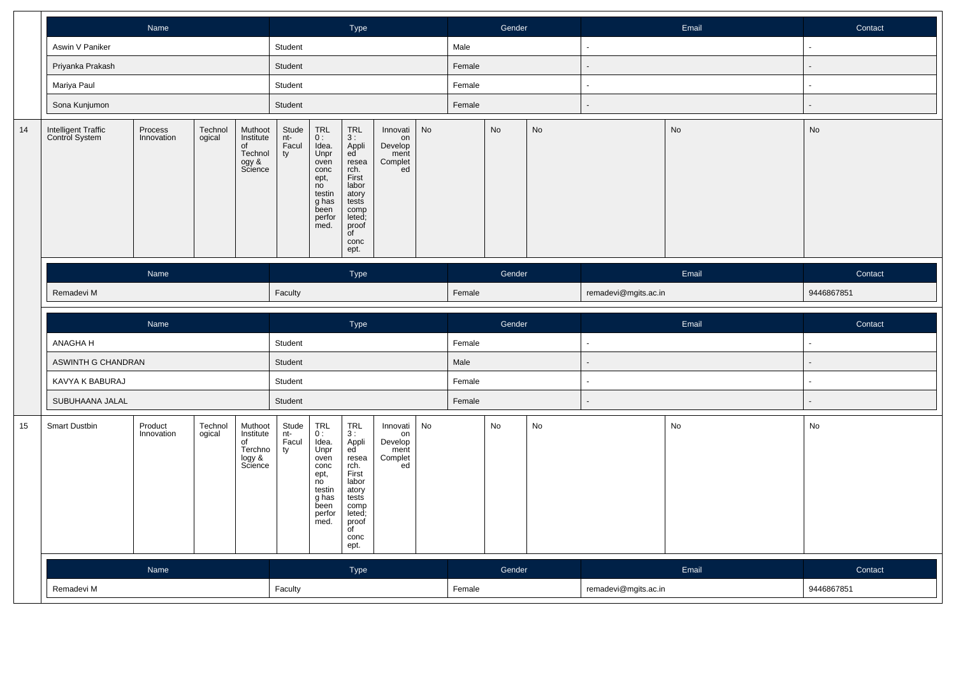|    |                                       | Name                                                                                                            |                   |                                                            |                             | Type                                                                                                         |                                                                                                                                                    |                                                    |    | Gender |        |           | Email                    | Contact       |                |
|----|---------------------------------------|-----------------------------------------------------------------------------------------------------------------|-------------------|------------------------------------------------------------|-----------------------------|--------------------------------------------------------------------------------------------------------------|----------------------------------------------------------------------------------------------------------------------------------------------------|----------------------------------------------------|----|--------|--------|-----------|--------------------------|---------------|----------------|
|    | Aswin V Paniker                       |                                                                                                                 |                   |                                                            | Student                     |                                                                                                              |                                                                                                                                                    |                                                    |    | Male   |        |           | $\blacksquare$           |               |                |
|    | Priyanka Prakash                      |                                                                                                                 |                   |                                                            | Student                     |                                                                                                              |                                                                                                                                                    |                                                    |    | Female |        |           | $\overline{\phantom{a}}$ |               | $\blacksquare$ |
|    | Mariya Paul                           |                                                                                                                 |                   |                                                            | Student                     |                                                                                                              |                                                                                                                                                    |                                                    |    | Female |        |           | ÷,                       |               | ÷,             |
|    | Sona Kunjumon                         |                                                                                                                 |                   |                                                            | Student                     |                                                                                                              |                                                                                                                                                    |                                                    |    | Female |        |           | $\blacksquare$           |               | $\overline{a}$ |
| 14 | Intelligent Traffic<br>Control System | Muthoot<br>Process<br>Technol<br>ogical<br>Institute<br>Innovation<br>of<br>Technol<br>ogy &<br>Science<br>Name |                   |                                                            |                             |                                                                                                              | <b>TRL</b><br>3 :<br>Appli<br>ed<br>resea<br>rch.<br>First<br>labor<br>atory<br>tests<br>comp<br>leted;<br>proof<br>$\overline{f}$<br>conc<br>ept. | Innovati<br>on<br>Develop<br>ment<br>Complet<br>ed | No |        | No     | <b>No</b> |                          | No            | No             |
|    |                                       |                                                                                                                 |                   |                                                            |                             |                                                                                                              | <b>Type</b>                                                                                                                                        |                                                    |    |        | Gender |           |                          | Email         | Contact        |
|    | Remadevi M                            |                                                                                                                 |                   |                                                            |                             |                                                                                                              |                                                                                                                                                    |                                                    |    | Female |        |           | remadevi@mgits.ac.in     |               | 9446867851     |
|    |                                       |                                                                                                                 |                   |                                                            |                             |                                                                                                              |                                                                                                                                                    |                                                    |    |        |        |           |                          |               |                |
|    |                                       | Name                                                                                                            |                   |                                                            |                             |                                                                                                              | Type                                                                                                                                               |                                                    |    |        | Gender |           |                          | Email         | Contact        |
|    | ANAGHA H                              |                                                                                                                 |                   |                                                            | Student                     |                                                                                                              |                                                                                                                                                    |                                                    |    | Female |        |           | $\blacksquare$           |               | $\sim$         |
|    | ASWINTH G CHANDRAN                    |                                                                                                                 |                   |                                                            | Student                     |                                                                                                              |                                                                                                                                                    |                                                    |    | Male   |        |           | $\overline{\phantom{a}}$ |               | $\blacksquare$ |
|    | KAVYA K BABURAJ                       |                                                                                                                 |                   |                                                            | Student                     |                                                                                                              |                                                                                                                                                    |                                                    |    | Female |        |           | $\blacksquare$           |               | $\blacksquare$ |
|    | SUBUHAANA JALAL                       |                                                                                                                 |                   |                                                            | Student                     |                                                                                                              |                                                                                                                                                    |                                                    |    | Female |        |           | $\blacksquare$           |               | $\blacksquare$ |
| 15 | <b>Smart Dustbin</b>                  | Product<br>Innovation                                                                                           | Technol<br>ogical | Muthoot<br>Institute<br>of<br>Terchno<br>logy &<br>Science | Stude<br>nt-<br>Facul<br>ty | <b>TRL</b><br>0:<br>Idea.<br>Unpr<br>oven<br>conc<br>ept,<br>no<br>testin<br>g has<br>been<br>perfor<br>med. | <b>TRL</b><br>3:<br>Appli<br>ed<br>resea<br>rch.<br>First<br>labor<br>atory<br>tests<br>comp<br>leted;<br>proof<br>$\overline{C}$<br>conc<br>ept.  | Innovati<br>on<br>Develop<br>ment<br>Complet<br>ed | No |        | No     | No        |                          | $\mathsf{No}$ | No             |
|    |                                       | Name                                                                                                            |                   |                                                            |                             |                                                                                                              | Type                                                                                                                                               |                                                    |    |        | Gender |           |                          | Email         | Contact        |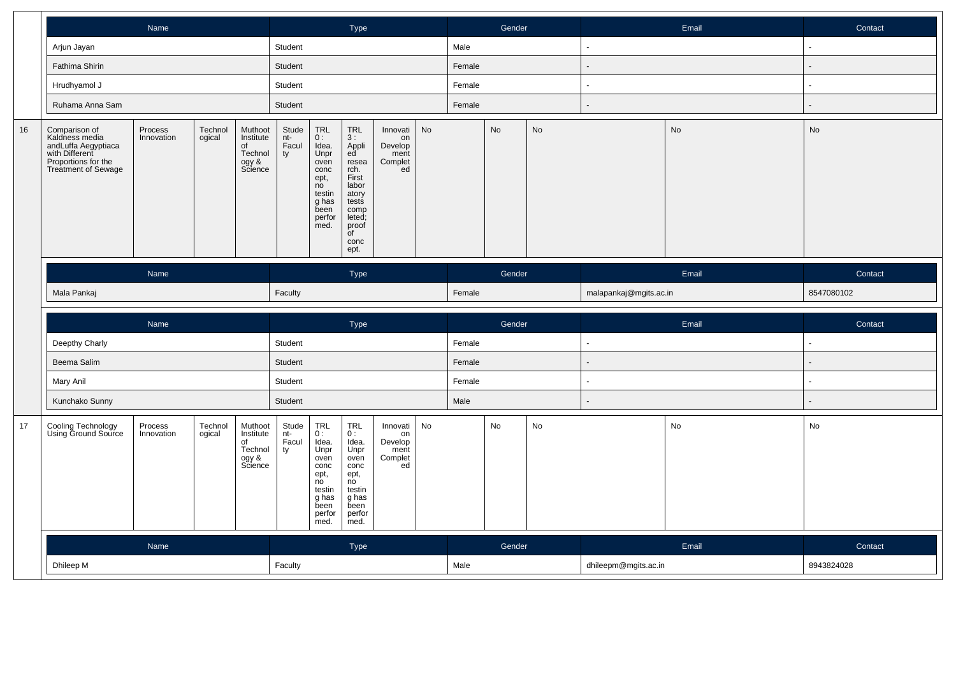|    |                                                                                                                               | Name                                                                                                            |                   |                                                           |                             |                                                                                                       | Type                                                                                                                           |                                                    |    |        | Gender |    |                          | Email | Contact                  |
|----|-------------------------------------------------------------------------------------------------------------------------------|-----------------------------------------------------------------------------------------------------------------|-------------------|-----------------------------------------------------------|-----------------------------|-------------------------------------------------------------------------------------------------------|--------------------------------------------------------------------------------------------------------------------------------|----------------------------------------------------|----|--------|--------|----|--------------------------|-------|--------------------------|
|    | Arjun Jayan                                                                                                                   |                                                                                                                 |                   |                                                           | Student                     |                                                                                                       |                                                                                                                                |                                                    |    | Male   |        |    | $\overline{\phantom{a}}$ |       | ä,                       |
|    | Fathima Shirin                                                                                                                |                                                                                                                 |                   |                                                           | Student                     |                                                                                                       |                                                                                                                                |                                                    |    | Female |        |    | $\overline{a}$           |       |                          |
|    | Hrudhyamol J                                                                                                                  |                                                                                                                 |                   |                                                           | Student                     |                                                                                                       |                                                                                                                                |                                                    |    | Female |        |    | $\sim$                   |       | $\sim$                   |
|    | Ruhama Anna Sam                                                                                                               |                                                                                                                 |                   |                                                           | Student                     |                                                                                                       |                                                                                                                                |                                                    |    | Female |        |    | $\blacksquare$           |       |                          |
| 16 | Comparison of<br>Kaldness media<br>andLuffa Aegyptiaca<br>with Different<br>Proportions for the<br><b>Treatment of Sewage</b> | Muthoot<br>Technol<br>Process<br>Innovation<br>ogical<br>Institute<br>of<br>Technol<br>ogy &<br>Science<br>Name |                   |                                                           |                             |                                                                                                       | TRL<br>3:<br>Appli<br>ed<br>resea<br>rch.<br>First<br>labor<br>atory<br>tests<br>comp<br>leted;<br>proof<br>of<br>conc<br>ept. | Innovati<br>on<br>Develop<br>ment<br>Complet<br>ed | No |        | No     | No |                          | No    | No                       |
|    |                                                                                                                               |                                                                                                                 |                   |                                                           |                             |                                                                                                       | Type                                                                                                                           |                                                    |    |        | Gender |    |                          | Email | Contact                  |
|    | Mala Pankaj                                                                                                                   |                                                                                                                 |                   |                                                           | Faculty                     |                                                                                                       |                                                                                                                                |                                                    |    | Female |        |    | malapankaj@mgits.ac.in   |       | 8547080102               |
|    |                                                                                                                               |                                                                                                                 |                   |                                                           |                             |                                                                                                       |                                                                                                                                |                                                    |    |        |        |    |                          |       |                          |
|    |                                                                                                                               | Name                                                                                                            |                   |                                                           |                             |                                                                                                       | Type                                                                                                                           |                                                    |    |        | Gender |    |                          | Email | Contact                  |
|    | Deepthy Charly                                                                                                                |                                                                                                                 |                   |                                                           | Student                     |                                                                                                       |                                                                                                                                |                                                    |    | Female |        |    |                          |       |                          |
|    | Beema Salim                                                                                                                   |                                                                                                                 |                   |                                                           | Student                     |                                                                                                       |                                                                                                                                |                                                    |    | Female |        |    | ÷.                       |       |                          |
|    | Mary Anil                                                                                                                     |                                                                                                                 |                   |                                                           | Student                     |                                                                                                       |                                                                                                                                |                                                    |    | Female |        |    | $\sim$                   |       | $\overline{\phantom{a}}$ |
|    | Kunchako Sunny                                                                                                                |                                                                                                                 |                   |                                                           | Student                     |                                                                                                       |                                                                                                                                |                                                    |    | Male   |        |    | $\blacksquare$           |       |                          |
| 17 | Cooling Technology<br>Using Ground Source                                                                                     | Process<br>Innovation                                                                                           | Technol<br>ogical | Muthoot<br>Institute<br>of<br>Technol<br>ogy &<br>Science | Stude<br>nt-<br>Facul<br>ty | TRL<br>0:<br>Idea.<br>Unpr<br>oven<br>conc<br>ept,<br>no<br>testin<br>g has<br>been<br>perfor<br>med. | TRL<br>0:<br>Idea.<br>Unpr<br>oven<br>conc<br>ept,<br>no<br>testin<br>g has<br>been<br>perfor<br>med.                          | Innovati<br>on<br>Develop<br>ment<br>Complet<br>ed | No |        | No     | No |                          | No    | No                       |
|    |                                                                                                                               | Name                                                                                                            |                   |                                                           |                             |                                                                                                       | Type                                                                                                                           |                                                    |    |        | Gender |    |                          | Email | Contact                  |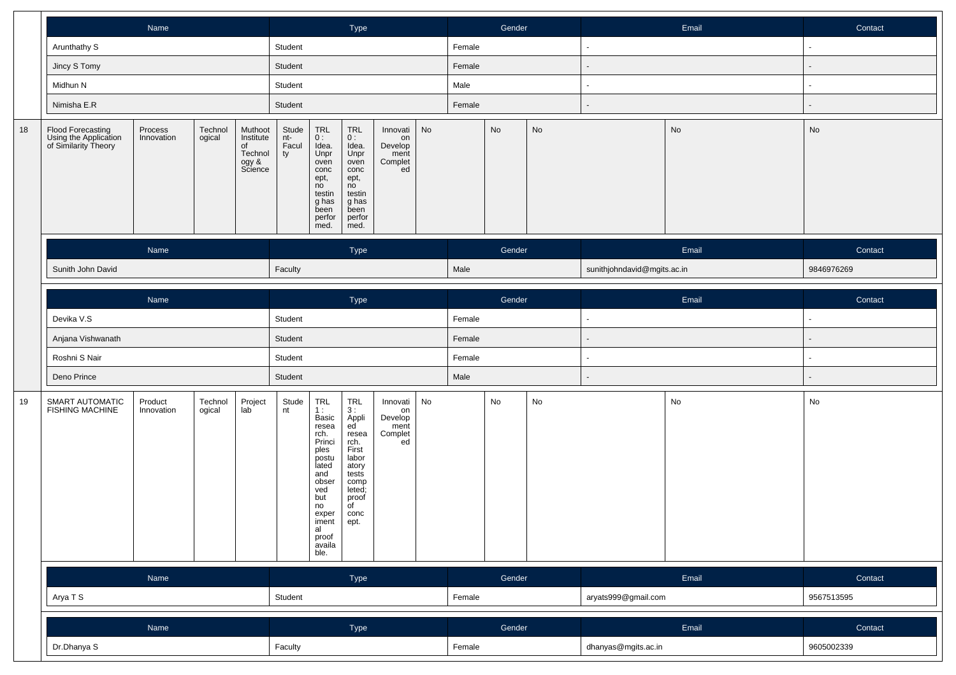|    |                                                                                                    | Name                                                                                                            |  |  |             | Type                                                                                                                                                           |                                                                                                                                |                                                    |    | Gender |        |               | Email                       | Contact |            |
|----|----------------------------------------------------------------------------------------------------|-----------------------------------------------------------------------------------------------------------------|--|--|-------------|----------------------------------------------------------------------------------------------------------------------------------------------------------------|--------------------------------------------------------------------------------------------------------------------------------|----------------------------------------------------|----|--------|--------|---------------|-----------------------------|---------|------------|
|    | Arunthathy S                                                                                       |                                                                                                                 |  |  | Student     |                                                                                                                                                                |                                                                                                                                |                                                    |    | Female |        |               |                             |         |            |
|    | Jincy S Tomy                                                                                       |                                                                                                                 |  |  | Student     |                                                                                                                                                                |                                                                                                                                |                                                    |    | Female |        |               |                             |         |            |
|    | Midhun N                                                                                           |                                                                                                                 |  |  | Student     |                                                                                                                                                                |                                                                                                                                |                                                    |    | Male   |        |               |                             |         | $\sim$     |
|    | Nimisha E.R                                                                                        |                                                                                                                 |  |  | Student     |                                                                                                                                                                |                                                                                                                                |                                                    |    | Female |        |               |                             |         |            |
| 18 | Flood Forecasting<br>Using the Application<br>of Similarity Theory                                 | Process<br>Technol<br>Muthoot<br>Institute<br>Innovation<br>ogical<br>of<br>Technol<br>ogy &<br>Science<br>Name |  |  |             |                                                                                                                                                                | $\ensuremath{\mathsf{TRL}}$<br>0:<br>Idea.<br>Unpr<br>oven<br>conc<br>ept,<br>no<br>testin<br>g has<br>been<br>perfor<br>med.  | Innovati<br>on<br>Develop<br>ment<br>Complet<br>ed | No |        | No     | No            |                             | No      | No         |
|    |                                                                                                    |                                                                                                                 |  |  |             |                                                                                                                                                                | Type                                                                                                                           |                                                    |    |        | Gender |               |                             | Email   | Contact    |
|    | Sunith John David                                                                                  |                                                                                                                 |  |  |             |                                                                                                                                                                |                                                                                                                                |                                                    |    | Male   |        |               | sunithjohndavid@mgits.ac.in |         | 9846976269 |
|    |                                                                                                    | Name                                                                                                            |  |  |             |                                                                                                                                                                | Type                                                                                                                           |                                                    |    |        | Gender |               |                             | Email   | Contact    |
|    | Devika V.S                                                                                         |                                                                                                                 |  |  | Student     |                                                                                                                                                                |                                                                                                                                |                                                    |    | Female |        |               |                             |         |            |
|    | Anjana Vishwanath                                                                                  |                                                                                                                 |  |  | Student     |                                                                                                                                                                |                                                                                                                                |                                                    |    | Female |        |               |                             |         |            |
|    | Roshni S Nair                                                                                      |                                                                                                                 |  |  | Student     |                                                                                                                                                                |                                                                                                                                |                                                    |    | Female |        |               |                             |         |            |
|    | Deno Prince                                                                                        |                                                                                                                 |  |  | Student     |                                                                                                                                                                |                                                                                                                                |                                                    |    | Male   |        |               |                             |         |            |
| 19 | Project<br>lab<br>SMART AUTOMATIC<br>FISHING MACHINE<br>Product<br>Technol<br>Innovation<br>ogical |                                                                                                                 |  |  | Stude<br>nt | TRL<br>1:<br>Basic<br>resea<br>rch.<br>Princi<br>ples<br>postu<br>lated<br>and<br>obser<br>ved<br>but<br>no<br>exper<br>iment<br>al<br>proof<br>availa<br>ble. | TRL<br>3:<br>Appli<br>ed<br>resea<br>rch.<br>First<br>labor<br>atory<br>tests<br>comp<br>leted;<br>proof<br>of<br>conc<br>ept. | Innovati<br>on<br>Develop<br>ment<br>Complet<br>ed | No |        | No     | $\mathsf{No}$ |                             | No      | No         |
|    |                                                                                                    | Name                                                                                                            |  |  |             |                                                                                                                                                                | Type                                                                                                                           |                                                    |    |        | Gender |               |                             | Email   | Contact    |
|    | Arya T S                                                                                           |                                                                                                                 |  |  | Student     |                                                                                                                                                                |                                                                                                                                |                                                    |    | Female |        |               | aryats999@gmail.com         |         | 9567513595 |
|    |                                                                                                    | Name                                                                                                            |  |  |             |                                                                                                                                                                | Type                                                                                                                           |                                                    |    |        | Gender |               |                             | Email   | Contact    |
|    | Dr.Dhanya S                                                                                        |                                                                                                                 |  |  | Faculty     |                                                                                                                                                                |                                                                                                                                |                                                    |    | Female |        |               | dhanyas@mgits.ac.in         |         | 9605002339 |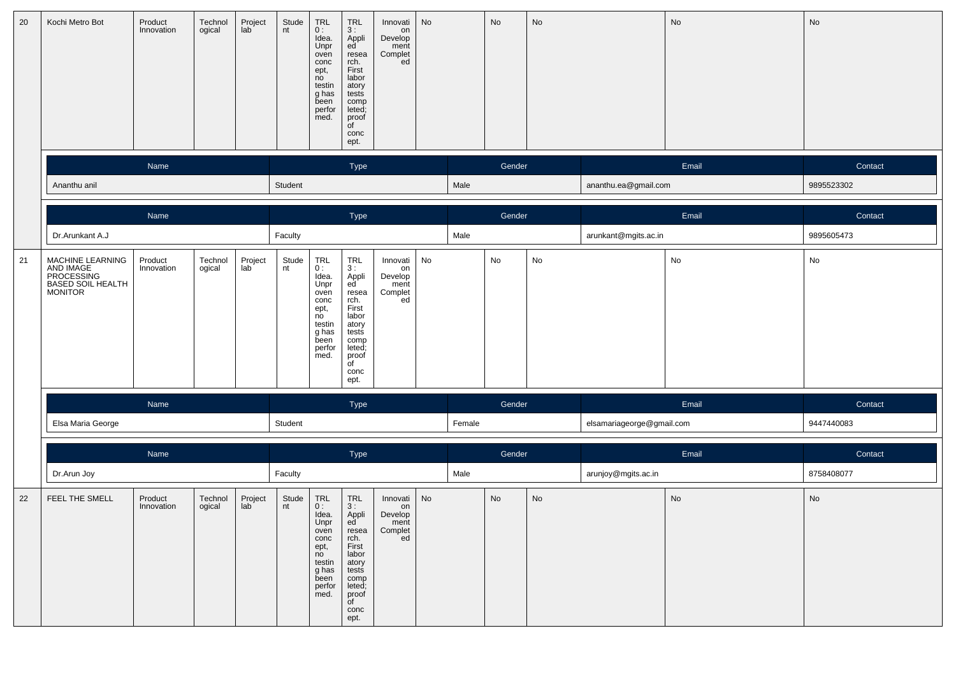| 20 | Kochi Metro Bot                                                             | Product<br>Innovation | Technol<br>ogical | Project<br>lab | Stude<br>nt | TRL<br>0:<br>Idea.<br>Unpr<br>oven<br>conc<br>ept,<br>no<br>testin<br>g has<br>been<br>perfor<br>med.     | $\begin{array}{c} \mathsf{TRL} \\ \mathsf{3}: \end{array}$<br>Appli<br>ed<br>resea<br>rch.<br>First<br>labor<br>atory<br>tests<br>comp<br>leted;<br>proof<br>of<br>conc<br>ept. | Innovati<br>on<br>Develop<br>ment<br>Complet<br>ed | No |        | No     | No                           |                           | No    | No                           |
|----|-----------------------------------------------------------------------------|-----------------------|-------------------|----------------|-------------|-----------------------------------------------------------------------------------------------------------|---------------------------------------------------------------------------------------------------------------------------------------------------------------------------------|----------------------------------------------------|----|--------|--------|------------------------------|---------------------------|-------|------------------------------|
|    |                                                                             | Name                  |                   |                |             |                                                                                                           | Type                                                                                                                                                                            |                                                    |    |        | Gender |                              |                           | Email | Contact                      |
|    | Ananthu anil                                                                |                       |                   |                | Student     |                                                                                                           |                                                                                                                                                                                 |                                                    |    | Male   |        |                              | ananthu.ea@gmail.com      |       | 9895523302                   |
|    |                                                                             | Name                  |                   |                |             |                                                                                                           | Type                                                                                                                                                                            |                                                    |    |        | Gender |                              |                           | Email | Contact                      |
|    | Dr.Arunkant A.J                                                             |                       |                   |                | Faculty     |                                                                                                           |                                                                                                                                                                                 |                                                    |    | Male   |        |                              | arunkant@mgits.ac.in      |       | 9895605473                   |
| 21 | MACHINE LEARNING<br>AND IMAGE<br>PROCESSING<br>BASED SOIL HEALTH<br>MONITOR | Product<br>Innovation | Technol<br>ogical | Project<br>lab | Stude<br>nt | $TRL$<br>$0:$<br>Idea.<br>Unpr<br>oven<br>conc<br>ept,<br>no<br>testin<br>g has<br>been<br>perfor<br>med. | $_{3}^{TRL}$<br>Appli<br>ed<br>resea<br>rch.<br>First<br>labor<br>atory<br>tests<br>comp<br>leted;<br>proof<br>of<br>conc<br>ept.                                               | Innovati<br>on<br>Develop<br>ment<br>Complet<br>ed | No |        | No     | No                           |                           | No    | No                           |
|    |                                                                             | Name                  |                   |                |             |                                                                                                           | Type                                                                                                                                                                            |                                                    |    |        | Gender |                              |                           | Email | Contact                      |
|    | Elsa Maria George                                                           |                       |                   |                | Student     |                                                                                                           |                                                                                                                                                                                 |                                                    |    | Female |        |                              | elsamariageorge@gmail.com |       | 9447440083                   |
|    |                                                                             | Name                  |                   |                |             |                                                                                                           | Type                                                                                                                                                                            |                                                    |    |        | Gender |                              |                           | Email | Contact                      |
|    | Dr.Arun Joy                                                                 |                       |                   |                | Faculty     |                                                                                                           |                                                                                                                                                                                 |                                                    |    | Male   |        |                              | arunjoy@mgits.ac.in       |       | 8758408077                   |
| 22 | FEEL THE SMELL                                                              | Product<br>Innovation | Technol<br>ogical | Project<br>lab | Stude<br>nt | TRL<br>0:<br>Idea.<br>Unpr<br>oven<br>conc<br>ept,<br>no<br>testin<br>g has<br>been<br>perfor<br>med.     | TRL<br>3:<br>Appli<br>ed<br>resea<br>rch.<br>First<br>labor<br>atory<br>tests<br>comp<br>leted;<br>proof<br>of<br>conc<br>ept.                                                  | Innovati<br>on<br>Develop<br>ment<br>Complet<br>ed | No |        | No     | $\operatorname{\mathsf{No}}$ |                           | No    | $\operatorname{\mathsf{No}}$ |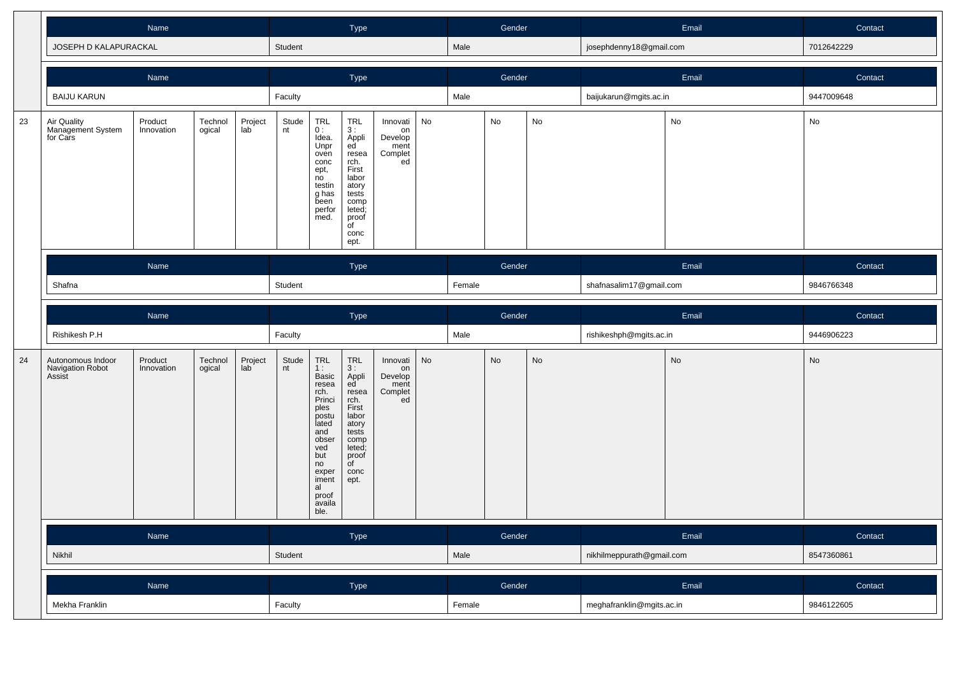|    |                                                 |                                            |                   |                | Type        |                                                                                                                                                                                                        |                                                                                                                                |                                                      | Gender |        |        | Email                        | Contact                   |            |            |
|----|-------------------------------------------------|--------------------------------------------|-------------------|----------------|-------------|--------------------------------------------------------------------------------------------------------------------------------------------------------------------------------------------------------|--------------------------------------------------------------------------------------------------------------------------------|------------------------------------------------------|--------|--------|--------|------------------------------|---------------------------|------------|------------|
|    | JOSEPH D KALAPURACKAL                           |                                            |                   |                | Student     |                                                                                                                                                                                                        |                                                                                                                                |                                                      |        | Male   |        |                              | josephdenny18@gmail.com   |            | 7012642229 |
|    |                                                 | Name                                       |                   |                |             |                                                                                                                                                                                                        | Type                                                                                                                           |                                                      |        |        | Gender |                              |                           | Email      | Contact    |
|    | <b>BAIJU KARUN</b>                              |                                            |                   |                | Faculty     |                                                                                                                                                                                                        |                                                                                                                                |                                                      |        | Male   |        |                              | baijukarun@mgits.ac.in    |            | 9447009648 |
| 23 | Air Quality<br>Management System<br>for Cars    | Product<br>Innovation                      | Technol<br>ogical | Project<br>lab | Stude<br>nt | TRL<br>0:<br>Idea.<br>Unpr<br>oven<br>conc<br>ept,<br>no<br>testin<br>g has<br>been<br>perfor<br>med.                                                                                                  | TRL<br>3:<br>Appli<br>ed<br>resea<br>rch.<br>First<br>labor<br>atory<br>tests<br>comp<br>leted;<br>proof<br>of<br>conc<br>ept. | Innovati<br>on<br>Develop<br>ment<br>Complet<br>ed · | No     |        | No     | $\operatorname{\mathsf{No}}$ |                           | ${\sf No}$ | No         |
|    |                                                 | Name                                       |                   |                |             |                                                                                                                                                                                                        | Type                                                                                                                           |                                                      |        |        | Gender |                              |                           | Email      | Contact    |
|    | Shafna                                          |                                            |                   |                |             |                                                                                                                                                                                                        |                                                                                                                                |                                                      |        | Female |        |                              | shafnasalim17@gmail.com   |            | 9846766348 |
|    |                                                 | Name                                       |                   |                |             |                                                                                                                                                                                                        | Type                                                                                                                           |                                                      |        |        | Gender |                              |                           | Email      | Contact    |
|    | Rishikesh P.H                                   |                                            |                   |                | Faculty     |                                                                                                                                                                                                        |                                                                                                                                |                                                      |        | Male   |        |                              | rishikeshph@mgits.ac.in   |            | 9446906223 |
| 24 | Autonomous Indoor<br>Navigation Robot<br>Assist | Product<br>Technol<br>Innovation<br>ogical |                   | Project<br>lab | Stude<br>nt | $\begin{array}{c} \mathsf{TRL} \\ 1: \end{array}$<br>Basic<br>resea<br>rch.<br>Princi<br>ples<br>postu<br>lated<br>and<br>obser<br>ved<br>but<br>no<br>exper<br>iment<br>al<br>proof<br>availa<br>ble. | TRL<br>3:<br>Appli<br>ed<br>resea<br>rch.<br>First<br>labor<br>atory<br>tests<br>comp<br>leted;<br>proof<br>of<br>conc<br>ept. | Innovati<br>on<br>Develop<br>ment<br>Complet<br>ed   | No     |        | No     | No                           |                           | No         | No         |
|    |                                                 | Name                                       |                   |                |             |                                                                                                                                                                                                        | Type                                                                                                                           |                                                      |        |        | Gender |                              |                           | Email      | Contact    |
|    | Nikhil                                          |                                            |                   |                | Student     |                                                                                                                                                                                                        |                                                                                                                                |                                                      |        | Male   |        |                              | nikhilmeppurath@gmail.com |            | 8547360861 |
|    |                                                 | Name                                       |                   |                |             |                                                                                                                                                                                                        | Type                                                                                                                           |                                                      |        |        | Gender |                              |                           | Email      | Contact    |
|    | Mekha Franklin                                  |                                            |                   |                |             |                                                                                                                                                                                                        |                                                                                                                                |                                                      |        | Female |        |                              | meghafranklin@mgits.ac.in |            | 9846122605 |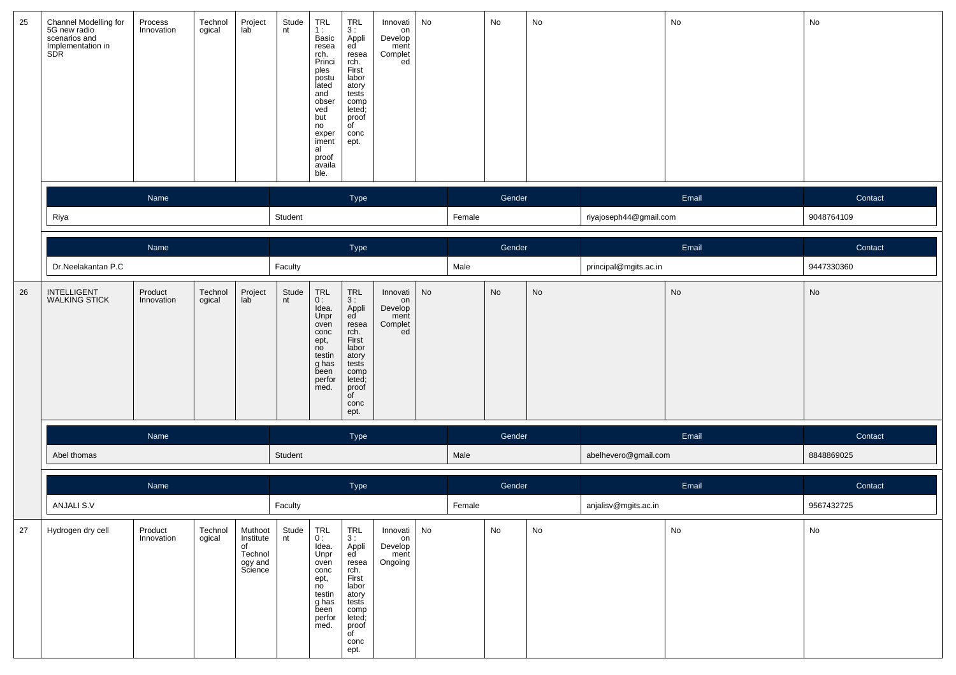| 25 | Channel Modelling for<br>5G new radio<br>scenarios and<br>Implementation in<br>SDR | Process<br>Innovation | Technol<br>ogical | Project<br>lab                                              | Stude<br>nt | TRL<br>1:<br>Basic<br>resea<br>rch.<br>Princi<br>ples<br>postu<br>lated<br>and<br>obser<br>ved<br>but<br>no<br>exper<br>iment<br>al<br>proof<br>availa<br>ble. | <b>TRL</b><br>3:<br>Appli<br>ed<br>resea<br>rch.<br>First<br>labor<br>atory<br>tests<br>comp<br>leted;<br>proof<br>of<br>conc<br>ept.                                              | Innovati<br>on<br>Develop<br>ment<br>Complet<br>ed | No                           |        | No     | No |                        | No    | No         |
|----|------------------------------------------------------------------------------------|-----------------------|-------------------|-------------------------------------------------------------|-------------|----------------------------------------------------------------------------------------------------------------------------------------------------------------|------------------------------------------------------------------------------------------------------------------------------------------------------------------------------------|----------------------------------------------------|------------------------------|--------|--------|----|------------------------|-------|------------|
|    |                                                                                    | Name                  |                   |                                                             |             |                                                                                                                                                                | Type                                                                                                                                                                               |                                                    |                              |        | Gender |    |                        | Email | Contact    |
|    | Riya                                                                               | Name                  |                   |                                                             | Student     |                                                                                                                                                                |                                                                                                                                                                                    |                                                    |                              | Female |        |    | riyajoseph44@gmail.com |       | 9048764109 |
|    |                                                                                    |                       |                   |                                                             |             |                                                                                                                                                                | Type                                                                                                                                                                               |                                                    |                              |        | Gender |    |                        | Email | Contact    |
|    | Dr.Neelakantan P.C<br>Product                                                      |                       |                   |                                                             | Faculty     |                                                                                                                                                                |                                                                                                                                                                                    |                                                    |                              | Male   |        |    | principal@mgits.ac.in  |       | 9447330360 |
| 26 | INTELLIGENT<br>WALKING STICK                                                       | Innovation            | Technol<br>ogical | Project<br>lab                                              | Stude<br>nt | TRL<br>0:<br>Idea.<br>Unpr<br>oven<br>conc<br>ept,<br>no<br>testin<br>g has<br>been<br>perfor<br>med.                                                          | $\begin{array}{c} \mathsf{TRL} \\ 3: \end{array}$<br>Appli<br>ed<br>resea<br>rch.<br>First<br>labor<br>atory<br>tests<br>comp<br>leted;<br>proof<br>$\overline{C}$<br>conc<br>ept. | Innovati<br>on<br>Develop<br>ment<br>Complet<br>ed | $\operatorname{\mathsf{No}}$ |        | No     | No |                        | No    | No         |
|    |                                                                                    | Name                  |                   |                                                             |             |                                                                                                                                                                | Type                                                                                                                                                                               |                                                    |                              |        | Gender |    |                        | Email | Contact    |
|    | Abel thomas                                                                        |                       |                   |                                                             | Student     |                                                                                                                                                                |                                                                                                                                                                                    |                                                    |                              | Male   |        |    | abelhevero@gmail.com   |       | 8848869025 |
|    |                                                                                    | Name                  |                   |                                                             |             |                                                                                                                                                                | Type                                                                                                                                                                               |                                                    |                              |        | Gender |    |                        | Email | Contact    |
|    | ANJALI S.V                                                                         |                       |                   |                                                             | Faculty     |                                                                                                                                                                |                                                                                                                                                                                    |                                                    |                              | Female |        |    | anjalisv@mgits.ac.in   |       | 9567432725 |
| 27 | Hydrogen dry cell                                                                  | Product<br>Innovation | Technol<br>ogical | Muthoot<br>Institute<br>of<br>Technol<br>ogy and<br>Science | Stude<br>nt | TRL<br>0:<br>Idea.<br>Unpr<br>oven<br>conc<br>ept,<br>no<br>testin<br>g has<br>been<br>perfor<br>med.                                                          | $TRL$<br>3:<br>Appli<br>ed<br>resea<br>rch.<br>First<br>labor<br>atory<br>tests<br>comp<br>leted;<br>proof<br>of<br>conc<br>ept.                                                   | Innovati<br>on<br>Develop<br>ment<br>Ongoing       | No                           |        | No     | No |                        | No    | No         |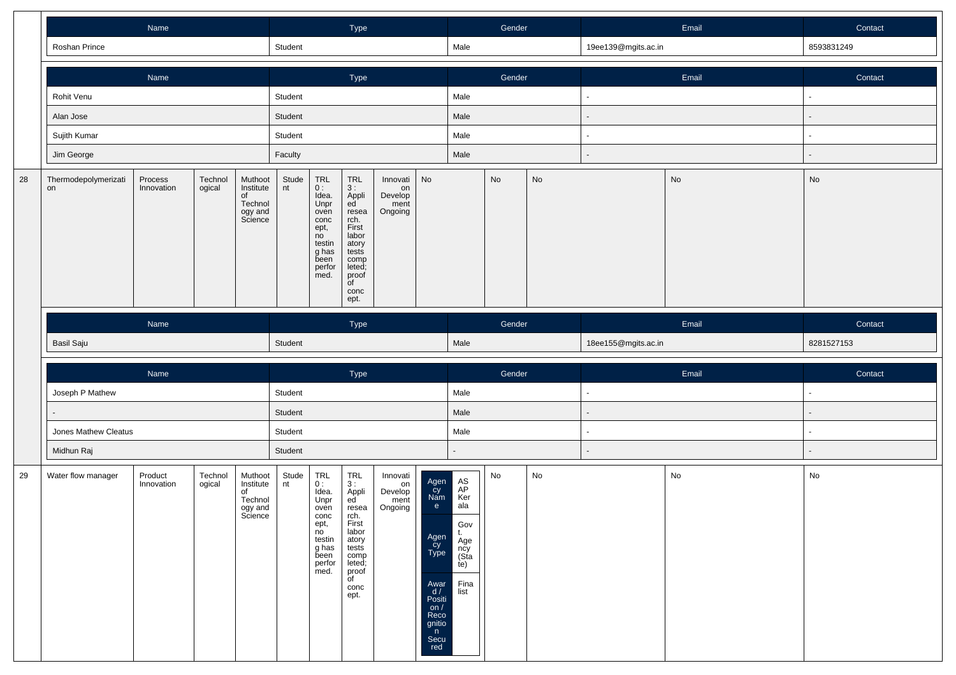|    |                            |                       |                   |                                                             | Type        |                                                                                                           |                                                                                                                                                                |                                              | Gender                                                                                                                 |                                                                                  |                              | Email                        | Contact             |                              |            |
|----|----------------------------|-----------------------|-------------------|-------------------------------------------------------------|-------------|-----------------------------------------------------------------------------------------------------------|----------------------------------------------------------------------------------------------------------------------------------------------------------------|----------------------------------------------|------------------------------------------------------------------------------------------------------------------------|----------------------------------------------------------------------------------|------------------------------|------------------------------|---------------------|------------------------------|------------|
|    | Roshan Prince              |                       |                   |                                                             | Student     |                                                                                                           |                                                                                                                                                                |                                              |                                                                                                                        | Male                                                                             |                              |                              | 19ee139@mgits.ac.in |                              | 8593831249 |
|    |                            | Name                  |                   |                                                             |             |                                                                                                           | Type                                                                                                                                                           |                                              |                                                                                                                        |                                                                                  | Gender                       |                              |                     | Email                        | Contact    |
|    | Rohit Venu                 |                       |                   |                                                             | Student     |                                                                                                           |                                                                                                                                                                |                                              |                                                                                                                        | Male                                                                             |                              |                              | ٠                   |                              | $\sim$     |
|    | Alan Jose                  |                       |                   |                                                             | Student     |                                                                                                           |                                                                                                                                                                |                                              |                                                                                                                        | Male                                                                             |                              |                              |                     |                              |            |
|    | Sujith Kumar               |                       |                   |                                                             | Student     |                                                                                                           |                                                                                                                                                                |                                              |                                                                                                                        | Male                                                                             |                              |                              | $\blacksquare$      |                              | $\sim$     |
|    | Jim George                 |                       |                   |                                                             | Faculty     |                                                                                                           |                                                                                                                                                                |                                              |                                                                                                                        | Male                                                                             |                              |                              | ÷.                  |                              |            |
| 28 | Thermodepolymerizati<br>on | Process<br>Innovation | Technol<br>ogical | Muthoot<br>Institute<br>of<br>Technol<br>ogy and<br>Science | Stude<br>nt | TRL<br>0 :<br>Idea.<br>Unpr<br>oven<br>conc<br>ept,<br>no<br>testin<br>g has<br>been<br>perfor<br>med.    | TRL<br>3:<br>Appli<br>ed<br>resea<br>rch.<br>First<br>labor<br>atory<br>tests<br>comp<br>leted;<br>proof<br>$\overline{\mathsf{of}}$<br>conc<br>ept.           | Innovati<br>on<br>Develop<br>ment<br>Ongoing | No                                                                                                                     |                                                                                  | $\operatorname{\mathsf{No}}$ | $\operatorname{\mathsf{No}}$ |                     | No                           | No         |
|    |                            | Name                  |                   |                                                             |             |                                                                                                           | Type                                                                                                                                                           |                                              |                                                                                                                        |                                                                                  | Gender                       |                              |                     | Email                        | Contact    |
|    | Basil Saju                 |                       |                   |                                                             |             |                                                                                                           |                                                                                                                                                                |                                              |                                                                                                                        | Male                                                                             |                              |                              | 18ee155@mgits.ac.in |                              | 8281527153 |
|    |                            | Name                  |                   |                                                             |             |                                                                                                           |                                                                                                                                                                |                                              |                                                                                                                        |                                                                                  | Gender                       |                              |                     | Email                        | Contact    |
|    | Joseph P Mathew            |                       |                   |                                                             | Student     |                                                                                                           | Type                                                                                                                                                           |                                              |                                                                                                                        | Male                                                                             |                              |                              | $\blacksquare$      |                              | $\sim$     |
|    |                            |                       |                   |                                                             | Student     |                                                                                                           |                                                                                                                                                                |                                              |                                                                                                                        | Male                                                                             |                              |                              |                     |                              |            |
|    | Jones Mathew Cleatus       |                       |                   |                                                             | Student     |                                                                                                           |                                                                                                                                                                |                                              |                                                                                                                        | Male                                                                             |                              |                              |                     |                              | $\sim$     |
|    | Midhun Raj                 |                       |                   |                                                             | Student     |                                                                                                           |                                                                                                                                                                |                                              |                                                                                                                        |                                                                                  |                              |                              |                     |                              |            |
| 29 | Water flow manager         | Product<br>Innovation | Technol<br>ogical | Muthoot<br>Institute<br>of<br>Technol<br>ogy and<br>Science | Stude<br>nt | $TRL$<br>$0:$<br>Idea.<br>Unpr<br>oven<br>conc<br>ept,<br>no<br>testin<br>g has<br>been<br>perfor<br>med. | $\begin{array}{c}\nTRL \\ 3\n\end{array}$<br>Appli<br>ed<br>resea<br>rch.<br>First<br>labor<br>atory<br>tests<br>comp<br>leted;<br>proof<br>of<br>conc<br>ept. | Innovati<br>on<br>Develop<br>ment<br>Ongoing | Agen<br>Cy<br>Nam<br>e<br>Agen<br>cy<br>Type<br>Awar<br>$\frac{d}{dx}$<br>on $/$<br>Reco<br>gnitio<br>n<br>Secu<br>red | AS<br>AP<br>Ker<br>ala<br>Gov<br>t.<br>Age<br>ncy<br>(Sta<br>te)<br>Fina<br>list | No                           | No                           |                     | $\operatorname{\mathsf{No}}$ | No         |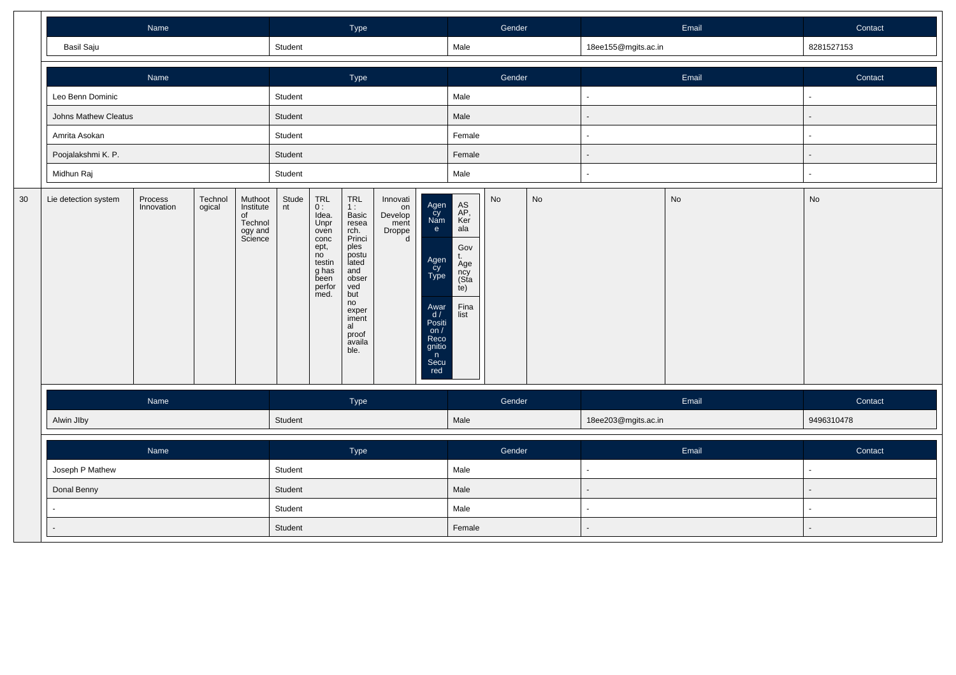|    |                                                                                                                                   | Name |  |  |             |                                                                                                                                                         | Type                                                                                                                                                          |                                                  |                                                                                                                     |                                                                                   | Gender |       |                     | Email   |            | Contact |
|----|-----------------------------------------------------------------------------------------------------------------------------------|------|--|--|-------------|---------------------------------------------------------------------------------------------------------------------------------------------------------|---------------------------------------------------------------------------------------------------------------------------------------------------------------|--------------------------------------------------|---------------------------------------------------------------------------------------------------------------------|-----------------------------------------------------------------------------------|--------|-------|---------------------|---------|------------|---------|
|    | Basil Saju                                                                                                                        |      |  |  | Student     |                                                                                                                                                         |                                                                                                                                                               |                                                  |                                                                                                                     | Male                                                                              |        |       | 18ee155@mgits.ac.in |         | 8281527153 |         |
|    |                                                                                                                                   | Name |  |  |             |                                                                                                                                                         | Type                                                                                                                                                          |                                                  |                                                                                                                     |                                                                                   | Gender |       |                     | Email   |            | Contact |
|    | Leo Benn Dominic                                                                                                                  |      |  |  | Student     |                                                                                                                                                         |                                                                                                                                                               |                                                  |                                                                                                                     | Male                                                                              |        |       |                     |         |            |         |
|    | Johns Mathew Cleatus                                                                                                              |      |  |  | Student     |                                                                                                                                                         |                                                                                                                                                               |                                                  |                                                                                                                     | Male                                                                              |        |       |                     |         |            |         |
|    | Amrita Asokan                                                                                                                     |      |  |  | Student     |                                                                                                                                                         |                                                                                                                                                               |                                                  |                                                                                                                     | Female                                                                            |        |       |                     |         |            |         |
|    | Poojalakshmi K. P.                                                                                                                |      |  |  | Student     |                                                                                                                                                         |                                                                                                                                                               |                                                  |                                                                                                                     | Female                                                                            |        |       |                     |         |            |         |
|    | Midhun Raj                                                                                                                        |      |  |  | Student     |                                                                                                                                                         |                                                                                                                                                               |                                                  |                                                                                                                     | Male                                                                              |        |       |                     |         |            |         |
| 30 | Technol<br>Lie detection system<br>Process<br>Muthoot<br>Innovation<br>ogical<br>Institute<br>of<br>Technol<br>ogy and<br>Science |      |  |  | Stude<br>nt | $\begin{array}{c} \mathsf{TRL} \\ \mathsf{0} : \end{array}$<br>Idea.<br>Unpr<br>oven<br>conc<br>ept,<br>no<br>testin<br>g has<br>been<br>perfor<br>med. | TRL<br>$1:$ Basic<br>resea<br>rch.<br>Princi<br>ples<br>postu<br>lated<br>and<br>obser<br>ved<br>but<br>no<br>exper<br>iment<br>al<br>proof<br>availa<br>ble. | Innovati<br>on<br>Develop<br>ment<br>Droppe<br>d | Agen<br>Cy<br>Nam<br>e<br>Agen<br>Cy<br>Type<br>Awar<br>$\frac{d}{dx}$<br>on/<br>Reco<br>gnitio<br>n<br>Secu<br>red | AS<br>AP,<br>Ker<br>ala<br>Gov<br>t.<br>Age<br>ncy<br>(Sta<br>te)<br>Fina<br>list | No     | No    |                     | No      | No         |         |
|    |                                                                                                                                   | Name |  |  |             |                                                                                                                                                         | Type                                                                                                                                                          |                                                  |                                                                                                                     |                                                                                   | Gender |       |                     | Email   |            | Contact |
|    | Alwin Jlby                                                                                                                        |      |  |  | Student     |                                                                                                                                                         |                                                                                                                                                               |                                                  |                                                                                                                     | Male                                                                              |        |       | 18ee203@mgits.ac.in |         | 9496310478 |         |
|    |                                                                                                                                   |      |  |  | Type        |                                                                                                                                                         |                                                                                                                                                               |                                                  | Gender                                                                                                              |                                                                                   |        | Email |                     | Contact |            |         |
|    | Joseph P Mathew                                                                                                                   |      |  |  | Student     |                                                                                                                                                         |                                                                                                                                                               |                                                  |                                                                                                                     | Male                                                                              |        |       |                     |         |            |         |
|    | Donal Benny                                                                                                                       |      |  |  | Student     |                                                                                                                                                         |                                                                                                                                                               |                                                  |                                                                                                                     | Male                                                                              |        |       |                     |         |            |         |
|    |                                                                                                                                   |      |  |  | Student     |                                                                                                                                                         |                                                                                                                                                               |                                                  |                                                                                                                     | Male                                                                              |        |       | $\sim$              |         | $\sim$     |         |
|    |                                                                                                                                   |      |  |  | Student     |                                                                                                                                                         |                                                                                                                                                               |                                                  |                                                                                                                     | Female                                                                            |        |       |                     |         |            |         |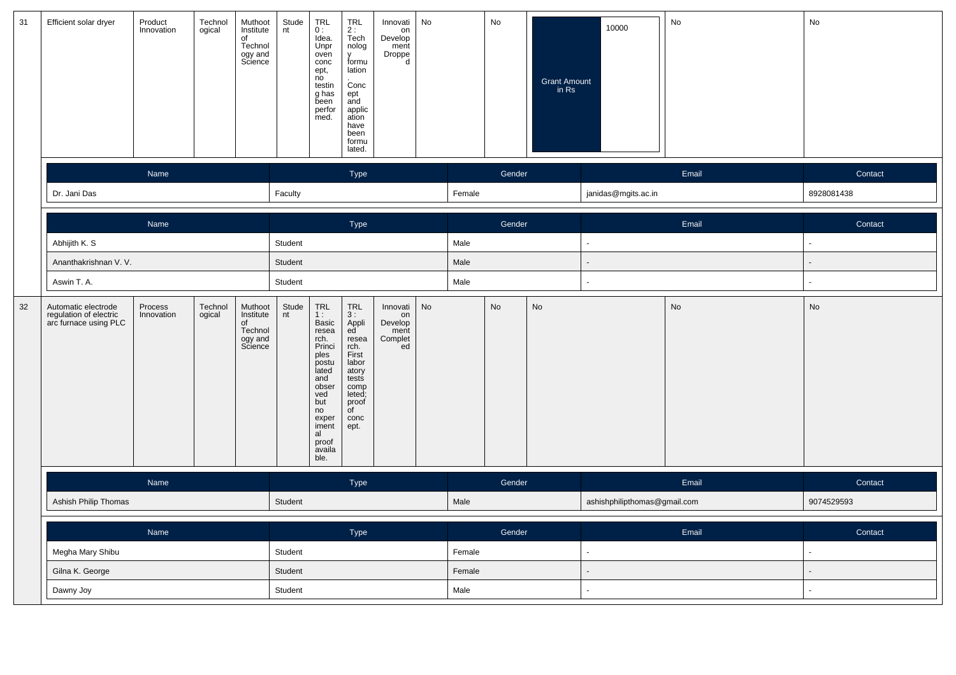| 31     | Efficient solar dryer                                                  | Product<br>Innovation | Technol<br>ogical | Muthoot<br>Institute<br>of<br>Technol<br>ogy and<br>Science | Stude<br>nt | <b>TRL</b><br>0:<br>Idea.<br>Unpr<br>oven<br>conc<br>ept,<br>no<br>testin<br>g has<br>been<br>perfor<br>med.                                                    | <b>TRL</b><br>$2:$<br>Tech<br>nolog<br>y<br>formu<br>lation<br>Conc<br>ept<br>and<br>applic<br>ation<br>have<br>been<br>formu<br>lated.     | Innovati<br>on<br>Develop<br>ment<br>Droppe<br>d   | No     |        | No     | Grant Amount<br>in Rs | 10000                        | No    | No         |
|--------|------------------------------------------------------------------------|-----------------------|-------------------|-------------------------------------------------------------|-------------|-----------------------------------------------------------------------------------------------------------------------------------------------------------------|---------------------------------------------------------------------------------------------------------------------------------------------|----------------------------------------------------|--------|--------|--------|-----------------------|------------------------------|-------|------------|
|        |                                                                        | Name                  |                   |                                                             |             |                                                                                                                                                                 | Type                                                                                                                                        |                                                    |        |        | Gender |                       |                              | Email | Contact    |
|        | Dr. Jani Das                                                           |                       |                   |                                                             | Faculty     |                                                                                                                                                                 |                                                                                                                                             |                                                    |        | Female |        |                       | janidas@mgits.ac.in          |       | 8928081438 |
|        |                                                                        | Name                  |                   |                                                             |             |                                                                                                                                                                 | Type                                                                                                                                        |                                                    |        |        | Gender |                       |                              | Email | Contact    |
|        | Abhijith K. S                                                          |                       |                   |                                                             |             |                                                                                                                                                                 |                                                                                                                                             |                                                    |        | Male   |        |                       | $\blacksquare$               |       | $\sim$     |
|        | Ananthakrishnan V. V.                                                  |                       |                   |                                                             |             |                                                                                                                                                                 |                                                                                                                                             |                                                    |        | Male   |        |                       |                              |       |            |
|        | Aswin T. A.                                                            |                       |                   |                                                             |             |                                                                                                                                                                 |                                                                                                                                             |                                                    |        | Male   |        |                       | $\omega$                     |       |            |
| $32\,$ | Automatic electrode<br>regulation of electric<br>arc furnace using PLC | Process<br>Innovation | Technol<br>ogical | Muthoot<br>Institute<br>of<br>Technol<br>ogy and<br>Science | Stude<br>nt | TRL<br>1 :<br>Basic<br>resea<br>rch.<br>Princi<br>ples<br>postu<br>lated<br>and<br>obser<br>ved<br>but<br>no<br>exper<br>iment<br>al<br>proof<br>availa<br>ble. | TRL<br>3 :<br>Appli<br>ed<br>resea<br>rch.<br>First<br>labor<br>atory<br>tests<br>comp<br>leted;<br>proof<br>$\overline{C}$<br>conc<br>ept. | Innovati<br>on<br>Develop<br>ment<br>Complet<br>ed | No     |        | No     | No                    |                              | No    | No         |
|        |                                                                        | Name                  |                   |                                                             |             |                                                                                                                                                                 | Type                                                                                                                                        |                                                    |        |        | Gender |                       |                              | Email | Contact    |
|        | Ashish Philip Thomas                                                   |                       |                   |                                                             | Student     |                                                                                                                                                                 |                                                                                                                                             |                                                    |        | Male   |        |                       | ashishphilipthomas@gmail.com |       | 9074529593 |
|        |                                                                        |                       |                   |                                                             | Type        |                                                                                                                                                                 |                                                                                                                                             |                                                    | Gender |        |        | Email                 | Contact                      |       |            |
|        | Megha Mary Shibu                                                       | Name                  |                   |                                                             |             |                                                                                                                                                                 |                                                                                                                                             |                                                    |        | Female |        |                       | $\sim$                       |       | $\sim$     |
|        | Gilna K. George                                                        |                       |                   |                                                             | Student     |                                                                                                                                                                 |                                                                                                                                             |                                                    |        | Female |        |                       |                              |       |            |
|        | Dawny Joy                                                              |                       |                   |                                                             |             |                                                                                                                                                                 |                                                                                                                                             |                                                    |        | Male   |        |                       |                              |       |            |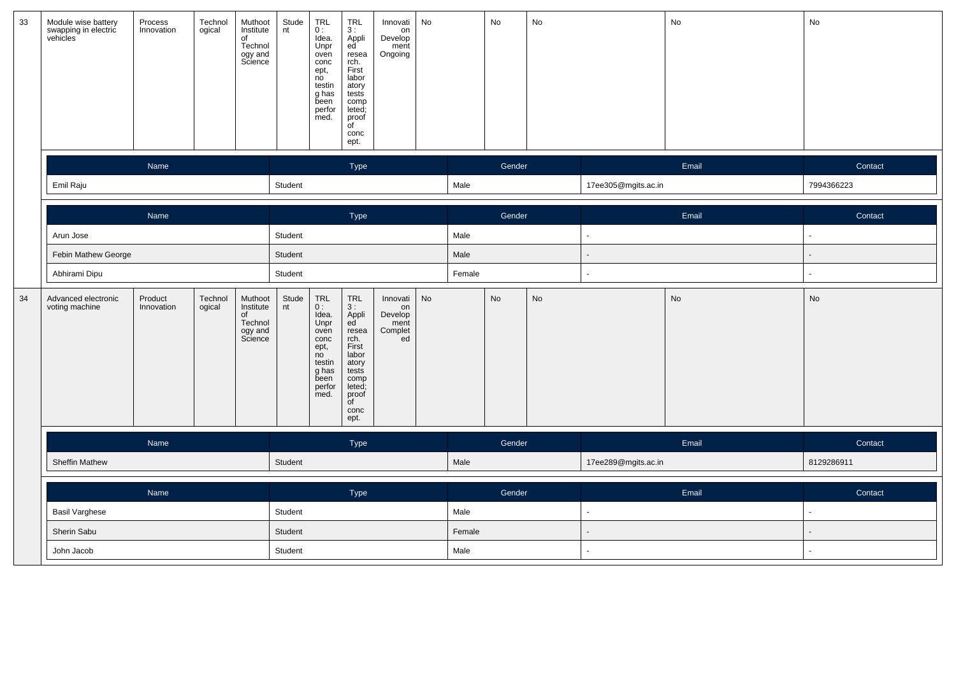| 33 | Module wise battery<br>swapping in electric<br>vehicles | Process<br>Innovation | Technol<br>ogical | Muthoot<br>Institute<br>of<br>Technol<br>ogy and<br>Science | Stude<br>nt | $_{0}^{TRL}$<br>Idea.<br>Unpr<br>oven<br>conc<br>ept,<br>no<br>testin<br>g has<br>been<br>perfor<br>med. | $TRL$<br>3:<br>Appli<br>ed<br>resea<br>rch.<br>First<br>labor<br>atory<br>tests<br>comp<br>leted;<br>proof<br>of<br>conc<br>ept.      | Innovati<br>on<br>Develop<br>ment<br>Ongoing       | No |        | No     | No |                     | No    | No         |
|----|---------------------------------------------------------|-----------------------|-------------------|-------------------------------------------------------------|-------------|----------------------------------------------------------------------------------------------------------|---------------------------------------------------------------------------------------------------------------------------------------|----------------------------------------------------|----|--------|--------|----|---------------------|-------|------------|
|    |                                                         | Name                  |                   |                                                             |             |                                                                                                          | Type                                                                                                                                  |                                                    |    |        | Gender |    |                     | Email | Contact    |
|    | Emil Raju                                               |                       |                   |                                                             | Student     |                                                                                                          |                                                                                                                                       |                                                    |    | Male   |        |    | 17ee305@mgits.ac.in |       | 7994366223 |
|    |                                                         | Name                  |                   |                                                             |             |                                                                                                          | Type                                                                                                                                  |                                                    |    |        | Gender |    |                     | Email | Contact    |
|    | Arun Jose                                               |                       |                   |                                                             |             |                                                                                                          |                                                                                                                                       |                                                    |    | Male   |        |    |                     |       |            |
|    | Febin Mathew George                                     |                       |                   |                                                             |             |                                                                                                          |                                                                                                                                       |                                                    |    | Male   |        |    |                     |       |            |
|    | Abhirami Dipu                                           |                       |                   |                                                             |             |                                                                                                          |                                                                                                                                       |                                                    |    | Female |        |    |                     |       |            |
| 34 | Advanced electronic<br>voting machine                   | Product<br>Innovation | Technol<br>ogical | Muthoot<br>Institute<br>of<br>Technol<br>ogy and<br>Science | Stude<br>nt | TRL<br>0:<br>Idea.<br>Unpr<br>oven<br>conc<br>ept,<br>no<br>testin<br>g has<br>been<br>perfor<br>med.    | <b>TRL</b><br>3:<br>Appli<br>ed<br>resea<br>rch.<br>First<br>labor<br>atory<br>tests<br>comp<br>leted;<br>proof<br>of<br>conc<br>ept. | Innovati<br>on<br>Develop<br>ment<br>Complet<br>ed | No |        | No     | No |                     | No    | No         |
|    |                                                         | Name                  |                   |                                                             |             |                                                                                                          | Type                                                                                                                                  |                                                    |    |        | Gender |    |                     | Email | Contact    |
|    | <b>Sheffin Mathew</b>                                   |                       |                   |                                                             | Student     |                                                                                                          |                                                                                                                                       |                                                    |    | Male   |        |    | 17ee289@mgits.ac.in |       | 8129286911 |
|    | Name                                                    |                       |                   |                                                             |             |                                                                                                          | Type                                                                                                                                  |                                                    |    |        | Gender |    |                     | Email | Contact    |
|    | <b>Basil Varghese</b>                                   |                       | Student           |                                                             |             |                                                                                                          |                                                                                                                                       | Male                                               |    |        |        |    |                     |       |            |
|    | Sherin Sabu                                             |                       |                   |                                                             | Student     |                                                                                                          |                                                                                                                                       |                                                    |    | Female |        |    |                     |       |            |
|    | John Jacob                                              |                       |                   |                                                             |             |                                                                                                          |                                                                                                                                       |                                                    |    | Male   |        |    |                     |       |            |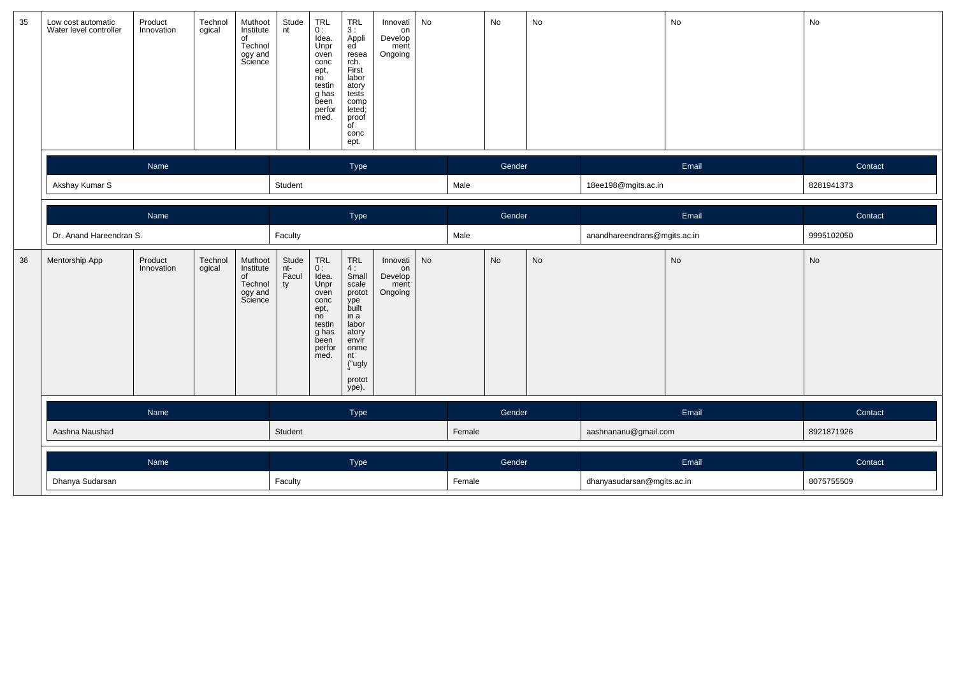| 35 | Low cost automatic<br>Water level controller | Product<br>Innovation | Technol<br>ogical | Muthoot<br>Institute<br>of<br>Technol<br>ogy and<br>Science | Stude<br>nt                 | $TRL$<br>$0:$<br>Idea.<br>Unpr<br>oven<br>conc<br>ept,<br>no<br>testin<br>g has<br>been<br>perfor<br>med.                                                       | <b>TRL</b><br>3:<br>Appli<br>ed <sup>'</sup><br>resea<br>rch.<br>First<br>labor<br>atory<br>tests<br>comp<br>leted;<br>proof<br>of<br>conc<br>ept. | Innovati<br>on<br>Develop<br>ment<br>Ongoing | No     |      | No                   | No                         |                              | No         | No         |
|----|----------------------------------------------|-----------------------|-------------------|-------------------------------------------------------------|-----------------------------|-----------------------------------------------------------------------------------------------------------------------------------------------------------------|----------------------------------------------------------------------------------------------------------------------------------------------------|----------------------------------------------|--------|------|----------------------|----------------------------|------------------------------|------------|------------|
|    |                                              | Name                  |                   |                                                             |                             |                                                                                                                                                                 | Type                                                                                                                                               |                                              |        |      | Gender               |                            |                              | Email      | Contact    |
|    | Akshay Kumar S                               |                       |                   |                                                             | Student                     |                                                                                                                                                                 |                                                                                                                                                    |                                              |        | Male |                      |                            | 18ee198@mgits.ac.in          |            | 8281941373 |
|    |                                              | Name                  |                   |                                                             |                             |                                                                                                                                                                 | Type                                                                                                                                               |                                              |        |      | Gender               |                            |                              | Email      | Contact    |
|    | Dr. Anand Hareendran S.                      |                       |                   |                                                             | Faculty                     |                                                                                                                                                                 |                                                                                                                                                    |                                              |        | Male |                      |                            | anandhareendrans@mgits.ac.in |            | 9995102050 |
| 36 | Mentorship App                               | Product<br>Innovation | Technol<br>ogical | Muthoot<br>Institute<br>of<br>Technol<br>ogy and<br>Science | Stude<br>nt-<br>Facul<br>ty | $\begin{array}{c} \mathsf{TRL} \\ \mathsf{0} \, \colon \end{array}$<br>Idea.<br>Unpr<br>oven<br>conc<br>ept,<br>no<br>testin<br>g has<br>been<br>perfor<br>med. | <b>TRL</b><br>4:<br>Small<br>scale<br>protot<br>ype<br>built<br>in a<br>labor<br>atory<br>envir<br>onme<br>nt<br>("ugly<br>protot<br>ype).         | Innovati<br>on<br>Develop<br>ment<br>Ongoing | No     |      | <b>No</b>            | No                         |                              | No         | No         |
|    |                                              |                       |                   |                                                             | Type                        |                                                                                                                                                                 |                                                                                                                                                    |                                              | Gender |      |                      | Email                      | Contact                      |            |            |
|    | Aashna Naushad                               |                       | Student           |                                                             |                             |                                                                                                                                                                 |                                                                                                                                                    | Female                                       |        |      | aashnananu@gmail.com |                            | 8921871926                   |            |            |
|    |                                              |                       |                   |                                                             | Type                        |                                                                                                                                                                 |                                                                                                                                                    |                                              | Gender |      |                      | Email                      | Contact                      |            |            |
|    | Dhanya Sudarsan                              |                       |                   | Faculty                                                     |                             |                                                                                                                                                                 |                                                                                                                                                    |                                              | Female |      |                      | dhanyasudarsan@mgits.ac.in |                              | 8075755509 |            |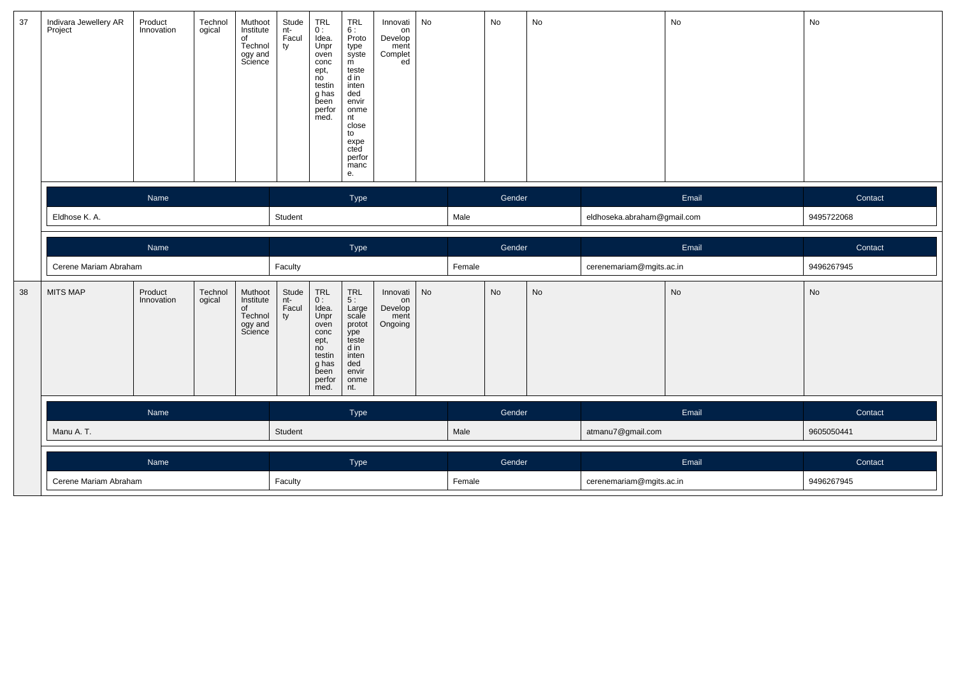| 37 | Indivara Jewellery AR<br>Project | Product<br>Innovation | Technol<br>ogical | Muthoot<br>Institute<br>of<br>Technol<br>ogy and<br>Science | Stude<br>nt-<br>Facul<br>ty | TRL<br>0:<br>Idea.<br>Unpr<br>oven<br>conc<br>ept,<br>no<br>testin<br>g has<br>been<br>perfor<br>med. | <b>TRL</b><br>6:<br>Proto<br>type<br>syste<br>m<br>teste<br>d in<br>inten<br>ded<br>envir<br>onme<br>nt<br>close<br>to<br>expe<br>cted<br>perfor<br>manc<br>е. | Innovati<br>on<br>Develop<br>ment<br>Complet<br>ed | No |        | No        | No |                             | $\mathsf{No}$ | No         |
|----|----------------------------------|-----------------------|-------------------|-------------------------------------------------------------|-----------------------------|-------------------------------------------------------------------------------------------------------|----------------------------------------------------------------------------------------------------------------------------------------------------------------|----------------------------------------------------|----|--------|-----------|----|-----------------------------|---------------|------------|
|    |                                  | Name                  |                   |                                                             |                             |                                                                                                       | Type                                                                                                                                                           |                                                    |    |        | Gender    |    |                             | Email         | Contact    |
|    | Eldhose K. A.                    |                       |                   |                                                             |                             |                                                                                                       |                                                                                                                                                                |                                                    |    | Male   |           |    | eldhoseka.abraham@gmail.com |               | 9495722068 |
|    |                                  | Name                  |                   |                                                             |                             |                                                                                                       | Type                                                                                                                                                           |                                                    |    |        | Gender    |    |                             | Email         | Contact    |
|    | Cerene Mariam Abraham            |                       |                   |                                                             | Faculty                     |                                                                                                       |                                                                                                                                                                |                                                    |    | Female |           |    | cerenemariam@mgits.ac.in    |               | 9496267945 |
| 38 | <b>MITS MAP</b>                  | Product<br>Innovation | Technol<br>ogical | Muthoot<br>Institute<br>of<br>Technol<br>ogy and<br>Science | Stude<br>nt-<br>Facul<br>ty | TRL<br>$0:$<br>Idea.<br>Unpr<br>oven<br>conc<br>ept,<br>no                                            | $TRL$<br>$5:$<br>Large<br>scale<br>protot<br>ype<br>teste<br>d in                                                                                              | Innovati<br>on<br>Develop<br>ment<br>Ongoing       | No |        | <b>No</b> | No |                             | $\mathsf{No}$ | No         |
|    |                                  |                       |                   |                                                             |                             | testin<br>g has<br>been<br>perfor<br>med.                                                             | inten<br>ded<br>envir<br>onme<br>nt.                                                                                                                           |                                                    |    |        |           |    |                             |               |            |
|    |                                  | Name                  |                   |                                                             |                             |                                                                                                       | Type                                                                                                                                                           |                                                    |    |        | Gender    |    |                             | Email         | Contact    |
|    | Manu A.T.                        |                       |                   |                                                             | Student                     |                                                                                                       |                                                                                                                                                                |                                                    |    | Male   |           |    | atmanu7@gmail.com           |               | 9605050441 |
|    |                                  | Name                  |                   |                                                             |                             |                                                                                                       | Type                                                                                                                                                           |                                                    |    |        | Gender    |    |                             | Email         | Contact    |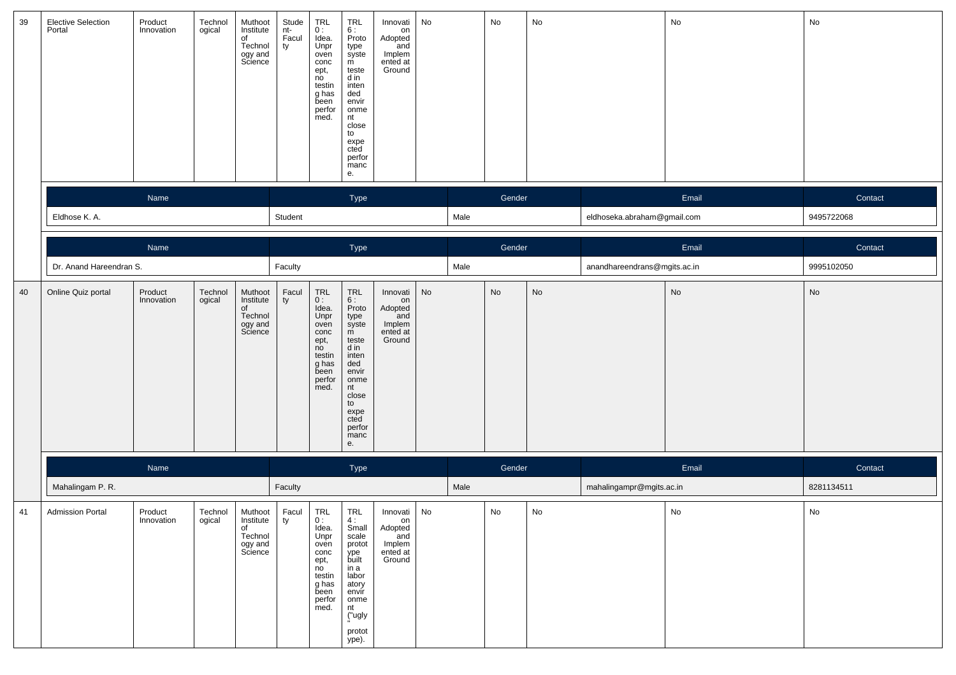| 39 | <b>Elective Selection</b><br>Portal | Product<br>Innovation | Technol<br>ogical | Muthoot<br>Institute<br>of<br>Technol<br>ogy and<br>Science | Stude<br>nt-<br>Facul<br>ty | TRL<br>0:<br>Idea.<br>Unpr<br>oven<br>conc<br>ept,<br>no<br>testin<br>g has<br>been<br>perfor<br>med.        | <b>TRL</b><br>6:<br>Proto<br>type<br>syste<br>m<br>teste<br>d in<br>inten<br>ded<br>envir<br>onme<br>nt<br>close<br>to<br>expe<br>cted<br>perfor<br>manc<br>е. | Innovati<br>on<br>Adopted<br>and<br>Implem<br>ented at<br>Ground | No |      | No     | No |                              | No                           | No                           |
|----|-------------------------------------|-----------------------|-------------------|-------------------------------------------------------------|-----------------------------|--------------------------------------------------------------------------------------------------------------|----------------------------------------------------------------------------------------------------------------------------------------------------------------|------------------------------------------------------------------|----|------|--------|----|------------------------------|------------------------------|------------------------------|
|    |                                     | Name                  |                   |                                                             |                             |                                                                                                              | Type                                                                                                                                                           |                                                                  |    |      | Gender |    |                              | Email                        | Contact                      |
|    | Eldhose K. A.                       |                       |                   |                                                             | Student                     |                                                                                                              |                                                                                                                                                                |                                                                  |    | Male |        |    | eldhoseka.abraham@gmail.com  |                              | 9495722068                   |
|    |                                     | Name                  |                   |                                                             |                             |                                                                                                              |                                                                                                                                                                |                                                                  |    |      | Gender |    |                              | Email                        |                              |
|    | Dr. Anand Hareendran S.             |                       |                   |                                                             | Faculty                     |                                                                                                              | Type                                                                                                                                                           |                                                                  |    | Male |        |    | anandhareendrans@mgits.ac.in |                              | Contact<br>9995102050        |
| 40 | Online Quiz portal                  | Product               | Technol           | Muthoot                                                     | Facul                       | TRL                                                                                                          | $\ensuremath{\mathsf{TRL}}$                                                                                                                                    | Innovati                                                         | No |      | No     | No |                              | $\operatorname{\mathsf{No}}$ | $\operatorname{\mathsf{No}}$ |
|    |                                     | Innovation            | ogical            | Institute<br>of<br>Technol<br>ogy and<br>Science            | ty                          | 0:<br>Idea.<br>Unpr<br>oven<br>conc<br>ept,<br>no<br>testin<br>g has<br>been<br>perfor<br>med.               | 6:<br>Proto<br>type<br>syste<br>m<br>teste<br>d in<br>inten<br>ded<br>envir<br>onme<br>nt<br>close<br>to<br>expe<br>cted<br>perfor<br>manc<br>e.               | on<br>Adopted<br>and<br>Implem<br>ented at<br>Ground             |    |      |        |    |                              |                              |                              |
|    |                                     | Name                  |                   |                                                             |                             |                                                                                                              | Type                                                                                                                                                           |                                                                  |    |      | Gender |    |                              | Email                        | Contact                      |
|    | Mahalingam P. R.                    |                       |                   |                                                             | Faculty                     |                                                                                                              |                                                                                                                                                                |                                                                  |    | Male |        |    | mahalingampr@mgits.ac.in     |                              | 8281134511                   |
| 41 | <b>Admission Portal</b>             | Product<br>innovation | Technol<br>ogical | Muthoot<br>institute<br>of<br>Technol<br>ogy and<br>Science | Facul<br>ΙV                 | <b>TRL</b><br>υ:<br>Idea.<br>Unpr<br>oven<br>conc<br>ept,<br>no<br>testin<br>g has<br>been<br>perfor<br>med. | <b>TRL</b><br>Small<br>scale<br>protot<br>ype<br>built<br>in a<br>labor<br>atory<br>envir<br>onme<br>nt<br>("ugly<br>protot<br>ype).                           | Innovati<br>on<br>Adopted<br>and<br>Implem<br>ented at<br>Ground | No |      | No     | No |                              | No                           | ${\sf No}$                   |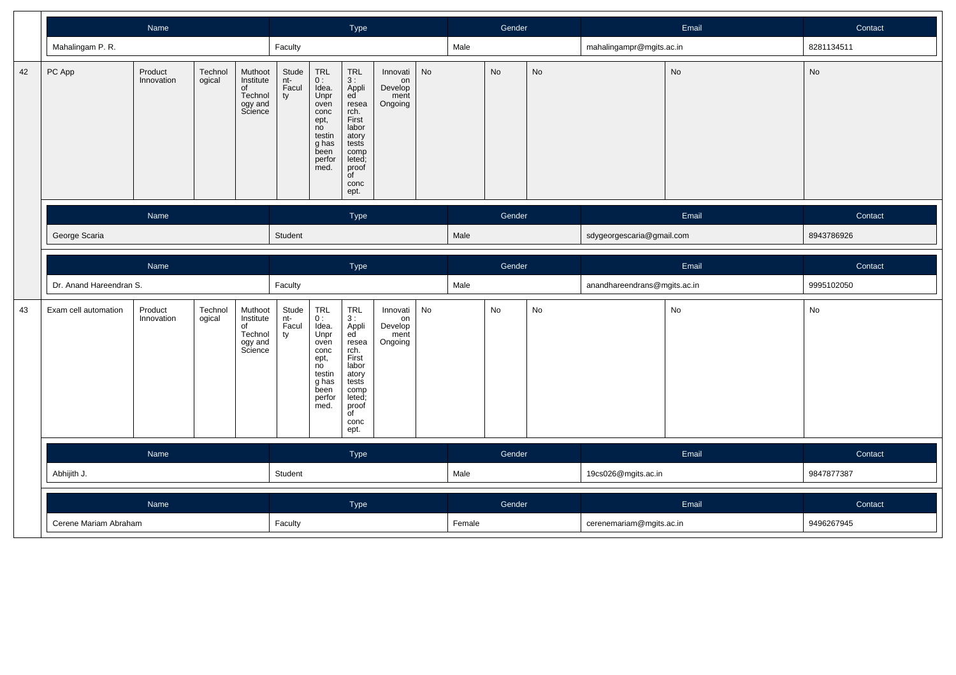|    |                                                                                                     | Name                  |                   |                                                             |                             |                                                                                                       | Type                                                                                                                                                     |                                              |    |      | Gender                   |           |                              | Email | Contact    |
|----|-----------------------------------------------------------------------------------------------------|-----------------------|-------------------|-------------------------------------------------------------|-----------------------------|-------------------------------------------------------------------------------------------------------|----------------------------------------------------------------------------------------------------------------------------------------------------------|----------------------------------------------|----|------|--------------------------|-----------|------------------------------|-------|------------|
|    | Mahalingam P. R.                                                                                    |                       |                   |                                                             | Faculty                     |                                                                                                       |                                                                                                                                                          |                                              |    | Male |                          |           | mahalingampr@mgits.ac.in     |       | 8281134511 |
| 42 | PC App                                                                                              | Product<br>Innovation | Technol<br>ogical | Muthoot<br>Institute<br>of<br>Technol<br>ogy and<br>Science | Stude<br>nt-<br>Facul<br>ty | TRL<br>0:<br>Idea.<br>Unpr<br>oven<br>conc<br>ept,<br>no<br>testin<br>g has<br>been<br>perfor<br>med. | TRL<br>3 :<br>Appli<br>ed <sup>'</sup><br>resea<br>rch.<br>First<br>labor<br>atory<br>tests<br>comp<br>leted;<br>proof<br>$\overline{f}$<br>conc<br>ept. | Innovati<br>on<br>Develop<br>ment<br>Ongoing | No |      | No                       | <b>No</b> |                              | No    | No         |
|    |                                                                                                     | Name                  |                   |                                                             |                             |                                                                                                       | Type                                                                                                                                                     |                                              |    |      | Gender                   |           |                              | Email | Contact    |
|    | George Scaria                                                                                       |                       |                   |                                                             |                             |                                                                                                       |                                                                                                                                                          |                                              |    | Male |                          |           | sdygeorgescaria@gmail.com    |       | 8943786926 |
|    | Name                                                                                                |                       |                   |                                                             |                             |                                                                                                       | Type                                                                                                                                                     |                                              |    |      | Gender                   |           |                              | Email | Contact    |
|    |                                                                                                     |                       |                   |                                                             | Faculty                     |                                                                                                       |                                                                                                                                                          |                                              |    | Male |                          |           | anandhareendrans@mgits.ac.in |       | 9995102050 |
| 43 | Dr. Anand Hareendran S.<br>Product<br>Technol<br>Exam cell automation<br>Innovation<br>ogical<br>of |                       |                   | Muthoot<br>Institute<br>Technol<br>ogy and<br>Science       | Stude<br>nt-<br>Facul<br>ty | TRL<br>0:<br>Idea.<br>Unpr<br>oven<br>conc<br>ept,<br>no<br>testin<br>g has<br>been<br>perfor<br>med. | TRL<br>3 :<br>Appli<br>ed<br>resea<br>rch.<br>First<br>labor<br>atory<br>tests<br>comp<br>leted;<br>proof<br>$\overline{C}$<br>conc<br>ept.              | Innovati<br>on<br>Develop<br>ment<br>Ongoing | No |      | No                       | No        |                              | No    | No         |
|    | Name                                                                                                |                       |                   |                                                             |                             |                                                                                                       | Type                                                                                                                                                     |                                              |    |      | Gender                   |           |                              | Email | Contact    |
|    | Abhijith J.                                                                                         |                       |                   |                                                             | Student                     |                                                                                                       |                                                                                                                                                          |                                              |    | Male |                          |           | 19cs026@mgits.ac.in          |       | 9847877387 |
|    |                                                                                                     | Name                  |                   |                                                             |                             |                                                                                                       | Type                                                                                                                                                     |                                              |    |      | Gender                   |           |                              | Email | Contact    |
|    | Cerene Mariam Abraham                                                                               |                       | Faculty           |                                                             |                             |                                                                                                       |                                                                                                                                                          | Female                                       |    |      | cerenemariam@mgits.ac.in |           | 9496267945                   |       |            |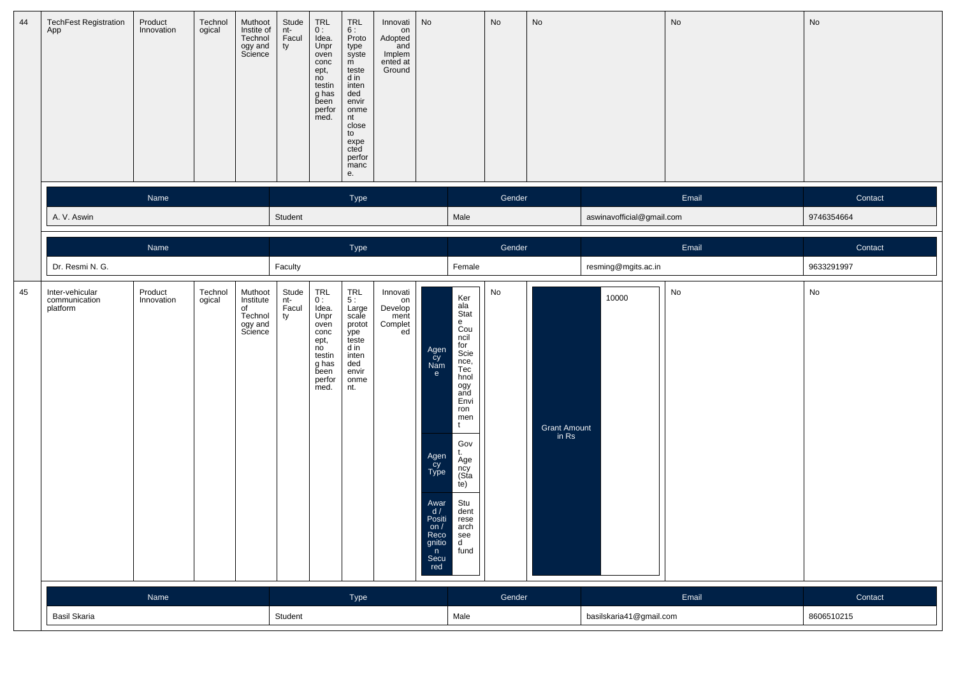| 44 | <b>TechFest Registration</b><br>App          | Product<br>Innovation | Technol<br>ogical | Muthoot<br>Instite of<br>Technol<br>ogy and<br>Science      | Stude<br>nt-<br>Facul<br>ty | TRL<br>0:<br>Idea.<br>Unpr<br>oven<br>conc<br>ept,<br>no<br>testin<br>g has<br>been<br>perfor<br>med. | $TRL$<br>6 :<br>Proto<br>type<br>syste<br>m<br>teste<br>d in<br>inten<br>ded<br>envir<br>onme<br>nt<br>close<br>to<br>expe<br>cted<br>perfor<br>manc<br>е. | Innovati<br>on<br>Adopted<br>and<br>Implem<br>ented at<br>Ground | No                                                                                                                   |                                                                                                                                                                                                                                                                              | No                      | No                    |                           | No    | $\operatorname{\mathsf{No}}$ |
|----|----------------------------------------------|-----------------------|-------------------|-------------------------------------------------------------|-----------------------------|-------------------------------------------------------------------------------------------------------|------------------------------------------------------------------------------------------------------------------------------------------------------------|------------------------------------------------------------------|----------------------------------------------------------------------------------------------------------------------|------------------------------------------------------------------------------------------------------------------------------------------------------------------------------------------------------------------------------------------------------------------------------|-------------------------|-----------------------|---------------------------|-------|------------------------------|
|    |                                              | Name                  |                   |                                                             |                             |                                                                                                       | Type                                                                                                                                                       |                                                                  |                                                                                                                      |                                                                                                                                                                                                                                                                              | Gender                  |                       |                           | Email | Contact                      |
|    | A. V. Aswin                                  |                       |                   |                                                             | Student                     |                                                                                                       |                                                                                                                                                            |                                                                  |                                                                                                                      | Male                                                                                                                                                                                                                                                                         |                         |                       | aswinavofficial@gmail.com |       | 9746354664                   |
|    |                                              | Name                  |                   |                                                             |                             |                                                                                                       | Type                                                                                                                                                       |                                                                  |                                                                                                                      |                                                                                                                                                                                                                                                                              | Gender                  |                       |                           | Email | Contact                      |
|    | Dr. Resmi N. G.                              |                       |                   |                                                             | Faculty                     |                                                                                                       |                                                                                                                                                            |                                                                  |                                                                                                                      | Female                                                                                                                                                                                                                                                                       |                         |                       | resming@mgits.ac.in       |       | 9633291997                   |
| 45 | Inter-vehicular<br>communication<br>platform | Product<br>Innovation | Technol<br>ogical | Muthoot<br>Institute<br>of<br>Technol<br>ogy and<br>Science | Stude<br>nt-<br>Facul<br>ty | TRL<br>0:<br>Idea.<br>Unpr<br>oven<br>conc<br>ept,<br>no<br>testin<br>g has<br>been<br>perfor<br>med. | $\begin{array}{c} \mathsf{TRL} \\ 5: \end{array}$<br>Large<br>scale<br>protot<br>ype<br>teste<br>d in<br>inten<br>ded<br>envir<br>onme<br>nt.              | Innovati<br>on<br>Develop<br>ment<br>Complet<br>ed               | Agen<br>cy<br>Nam<br>e<br>Agen<br>Cy<br>Type<br>Awar $d /$<br>Positi<br>on $/$<br>Reco<br>gnitio<br>n<br>Secu<br>red | Ker<br>ala<br>Stat<br>e<br>Cou<br>ncil<br>for<br>Scie<br>nce,<br>Tec<br>hnol<br>ogy<br>and<br>Envi<br>ron<br>men<br>t<br>Gov<br>Äge<br>ncy<br>(Sta<br>te)<br>Stu<br>dent<br>rese<br>$\begin{bmatrix} \n\text{arch} \\ \n\text{see} \\ \n\text{d} \\ \n\end{bmatrix}$<br>fund | No                      | Grant Amount<br>in Rs | 10000                     | No    | No                           |
|    |                                              | Name                  |                   |                                                             |                             |                                                                                                       | Type                                                                                                                                                       |                                                                  |                                                                                                                      |                                                                                                                                                                                                                                                                              | Gender                  |                       |                           | Email | Contact                      |
|    | Basil Skaria                                 |                       | Student           |                                                             |                             |                                                                                                       |                                                                                                                                                            | Male                                                             |                                                                                                                      |                                                                                                                                                                                                                                                                              | basilskaria41@gmail.com |                       | 8606510215                |       |                              |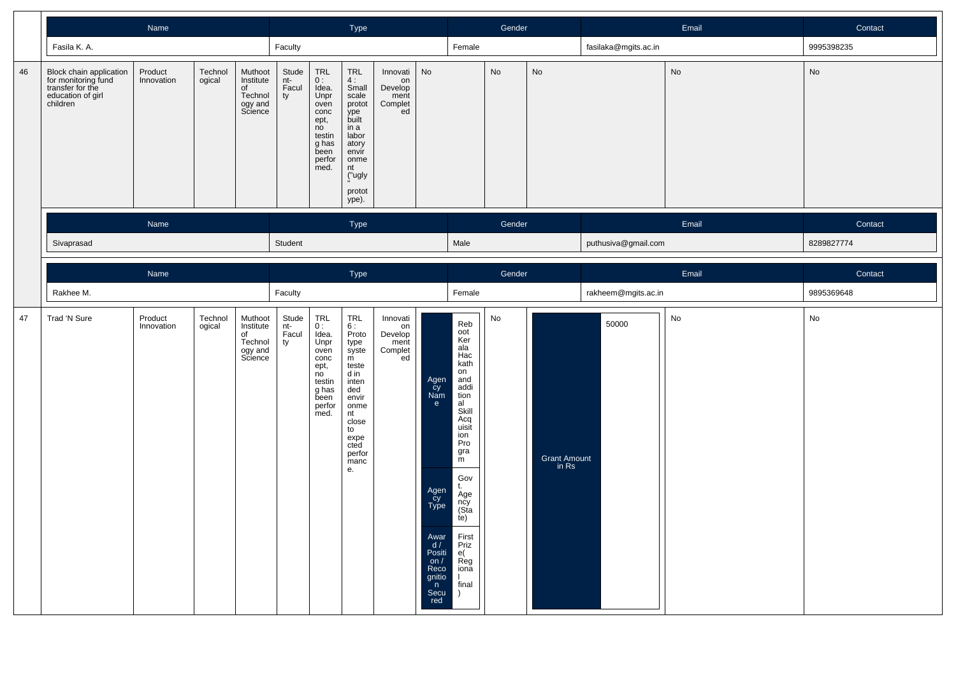|    |                                                                                                     | Name                  |                   |                                                             |                             | Type                                                                                                                           |                                                                                                                                                            |                                                    |                                                                                                                                    | Gender                                                                                                                                                                                                                                   |        |                       | Email                | Contact |               |
|----|-----------------------------------------------------------------------------------------------------|-----------------------|-------------------|-------------------------------------------------------------|-----------------------------|--------------------------------------------------------------------------------------------------------------------------------|------------------------------------------------------------------------------------------------------------------------------------------------------------|----------------------------------------------------|------------------------------------------------------------------------------------------------------------------------------------|------------------------------------------------------------------------------------------------------------------------------------------------------------------------------------------------------------------------------------------|--------|-----------------------|----------------------|---------|---------------|
|    | Fasila K. A.                                                                                        |                       |                   |                                                             | Faculty                     |                                                                                                                                |                                                                                                                                                            |                                                    |                                                                                                                                    | Female                                                                                                                                                                                                                                   |        |                       | fasilaka@mgits.ac.in |         | 9995398235    |
| 46 | Block chain application<br>for monitoring fund<br>transfer for the<br>education of girl<br>children | Product<br>Innovation | Technol<br>ogical | Muthoot<br>Institute<br>of<br>Technol<br>ogy and<br>Science | Stude<br>nt-<br>Facul<br>ty | $\ensuremath{\mathsf{TRL}}$<br>0 :<br>Idea.<br>Unpr<br>oven<br>conc<br>ept,<br>no<br>testin<br>g has<br>been<br>perfor<br>med. | TRL<br>$\frac{4}{3}$ :<br>scale<br>protot<br>ype<br>built<br>in a<br>labor<br>atory<br>envir<br>onme<br>nt<br>("ugly<br>protot<br>ype).                    | Innovati<br>on<br>Develop<br>ment<br>Complet<br>ed | No                                                                                                                                 |                                                                                                                                                                                                                                          | No     | No                    |                      | No      | No            |
|    |                                                                                                     | Name                  |                   |                                                             |                             |                                                                                                                                | Type                                                                                                                                                       |                                                    |                                                                                                                                    |                                                                                                                                                                                                                                          | Gender |                       |                      | Email   | Contact       |
|    | Sivaprasad                                                                                          |                       |                   |                                                             | Student                     |                                                                                                                                |                                                                                                                                                            |                                                    |                                                                                                                                    | Male                                                                                                                                                                                                                                     |        |                       | puthusiva@gmail.com  |         | 8289827774    |
|    |                                                                                                     | Name                  |                   |                                                             |                             |                                                                                                                                | Type                                                                                                                                                       |                                                    |                                                                                                                                    |                                                                                                                                                                                                                                          | Gender |                       |                      | Email   | Contact       |
|    | Rakhee M.                                                                                           |                       |                   |                                                             | Faculty                     |                                                                                                                                |                                                                                                                                                            |                                                    |                                                                                                                                    | Female                                                                                                                                                                                                                                   |        |                       | rakheem@mgits.ac.in  |         | 9895369648    |
| 47 | Trad 'N Sure                                                                                        | Product<br>Innovation | Technol<br>ogical | Muthoot<br>Institute<br>of<br>Technol<br>ogy and<br>Science | Stude<br>nt-<br>Facul<br>ty | $_{0}^{\mathsf{TRL}}$<br>Idea.<br>Unpr<br>oven<br>conc<br>ept,<br>no<br>testin<br>g has<br>been<br>perfor<br>med.              | $TRL$<br>6 :<br>Proto<br>type<br>syste<br>m<br>teste<br>d in<br>inten<br>ded<br>envir<br>onme<br>nt<br>close<br>to<br>expe<br>cted<br>perfor<br>manc<br>e. | Innovati<br>on<br>Develop<br>ment<br>Complet<br>ed | Agen<br>Cy<br>Nam<br>$\mathbf{e}$<br>Agen<br>Cy<br>Type<br>Awar<br>$d /$<br>Positi<br>on $/$<br>Reco<br>gnitio<br>n<br>Secu<br>red | Reb<br>oot<br>Ker<br>a/a<br>Hac<br>kath<br>on<br>and<br>addi<br>tion<br>al<br>Skill<br>Acq<br>uisit<br>ion<br>Pro<br>gra<br>m<br>Gov<br>t.<br>Age<br>ncy<br>(Sta<br>te)<br>First<br>Priz<br>e(<br>Reg<br>iona<br>L<br>final<br>$\lambda$ | No     | Grant Amount<br>in Rs | 50000                | No      | $\mathsf{No}$ |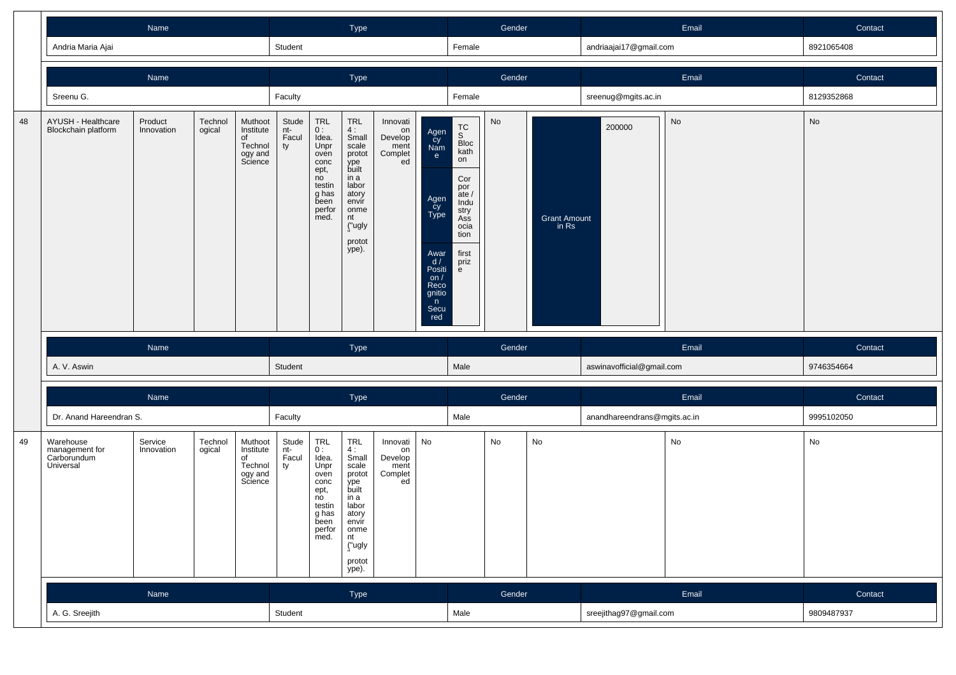|    |                                                                                                                                        |                       |                   |                                                             | Type                        |                                                                                                       |                                                                                                                                               |                                                    | Gender                                                                                                               |                                                                                                                                 |        | Email                        | Contact                      |       |               |
|----|----------------------------------------------------------------------------------------------------------------------------------------|-----------------------|-------------------|-------------------------------------------------------------|-----------------------------|-------------------------------------------------------------------------------------------------------|-----------------------------------------------------------------------------------------------------------------------------------------------|----------------------------------------------------|----------------------------------------------------------------------------------------------------------------------|---------------------------------------------------------------------------------------------------------------------------------|--------|------------------------------|------------------------------|-------|---------------|
|    | Andria Maria Ajai                                                                                                                      |                       |                   |                                                             | Student                     |                                                                                                       |                                                                                                                                               |                                                    |                                                                                                                      | Female                                                                                                                          |        |                              | andriaajai17@gmail.com       |       | 8921065408    |
|    |                                                                                                                                        | Name                  |                   |                                                             |                             |                                                                                                       | Type                                                                                                                                          |                                                    |                                                                                                                      |                                                                                                                                 | Gender |                              |                              | Email | Contact       |
|    | Sreenu G.                                                                                                                              |                       |                   |                                                             | Faculty                     |                                                                                                       |                                                                                                                                               |                                                    |                                                                                                                      | Female                                                                                                                          |        |                              | sreenug@mgits.ac.in          |       | 8129352868    |
| 48 | AYUSH - Healthcare<br>Blockchain platform                                                                                              | Product<br>Innovation | Technol<br>ogical | Muthoot<br>Institute<br>of<br>Technol<br>ogy and<br>Science | Stude<br>nt-<br>Facul<br>ty | TRL<br>0:<br>Idea.<br>Unpr<br>oven<br>conc<br>ept,<br>no<br>testin<br>g has<br>been<br>perfor<br>med. | <b>TRL</b><br>4:<br>Small<br>scale<br>protot<br>ype<br>built<br>in a<br>labor<br>atory<br>envir<br>onme<br>nt<br>("ugly<br>protot<br>ype).    | Innovati<br>on<br>Develop<br>ment<br>Complet<br>ed | Agen<br>Cy<br>Nam<br>e<br>Agen<br>cy<br>Type<br>Awar<br>d/<br>Positi<br>on $/$<br>Reco<br>gnitio<br>n<br>Secu<br>red | TC<br>S<br>Bloc<br>kath<br>on<br>Cor<br>por<br>$\frac{1}{2}$ ate /<br>Indu<br>stry<br>Ass<br>ocia<br>tion<br>first<br>priz<br>e | No     | <b>Grant Amount</b><br>in Rs | 200000                       | No    | No            |
|    |                                                                                                                                        | Name                  |                   |                                                             |                             |                                                                                                       | Type                                                                                                                                          |                                                    |                                                                                                                      |                                                                                                                                 | Gender |                              |                              | Email | Contact       |
|    | A. V. Aswin                                                                                                                            |                       |                   |                                                             | Student                     |                                                                                                       |                                                                                                                                               |                                                    |                                                                                                                      | Male                                                                                                                            |        |                              | aswinavofficial@gmail.com    |       | 9746354664    |
|    |                                                                                                                                        | Name                  |                   |                                                             |                             |                                                                                                       | Type                                                                                                                                          |                                                    |                                                                                                                      |                                                                                                                                 | Gender |                              |                              | Email | Contact       |
|    |                                                                                                                                        |                       |                   |                                                             | Faculty                     |                                                                                                       |                                                                                                                                               |                                                    |                                                                                                                      | Male                                                                                                                            |        |                              | anandhareendrans@mgits.ac.in |       | 9995102050    |
| 49 | Dr. Anand Hareendran S.<br>Technol<br>Warehouse<br>Service<br>management for<br>ogical<br>Innovation<br>Carborundum<br>of<br>Universal |                       |                   | Muthoot<br>Institute<br>Technol<br>ogy and<br>Science       | Stude<br>nt-<br>Facul<br>ty | TRL<br>0:<br>Idea.<br>Unpr<br>oven<br>conc<br>ept,<br>no<br>testin<br>g has<br>been<br>perfor<br>med. | <b>TRL</b><br>4:<br>Small<br>scale<br>protot<br>ype<br>built<br>in a<br>labor<br>atory<br>envír<br>onme<br>nt<br>("ugly<br>protot<br>$ype)$ . | Innovati<br>on<br>Develop<br>ment<br>Complet<br>ed | No                                                                                                                   |                                                                                                                                 | No     | No                           |                              | No    | $\mathsf{No}$ |
|    |                                                                                                                                        | Name                  |                   |                                                             |                             |                                                                                                       | Type                                                                                                                                          |                                                    |                                                                                                                      |                                                                                                                                 | Gender |                              |                              | Email | Contact       |
|    | A. G. Sreejith                                                                                                                         |                       |                   |                                                             | Student                     |                                                                                                       |                                                                                                                                               |                                                    |                                                                                                                      | Male                                                                                                                            |        |                              | sreejithag97@gmail.com       |       | 9809487937    |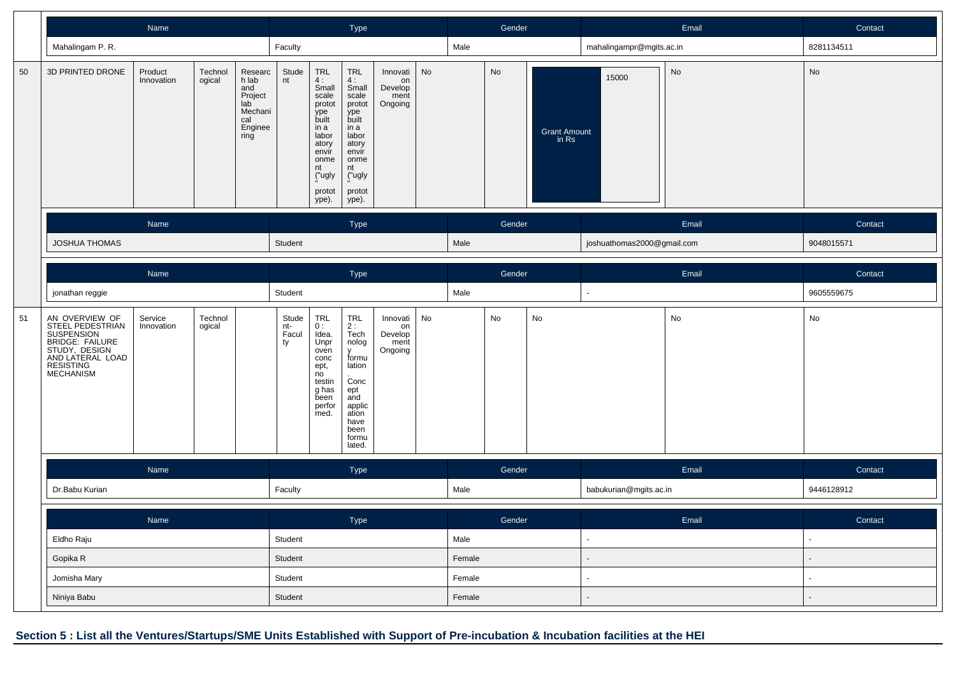|    |                                                                                                                                                           | Name                  |                   |                                                                                |                             |                                                                                                                                     | Type                                                                                                                                    |                                              |        |        | Gender |                       |                            | Email | Contact        |
|----|-----------------------------------------------------------------------------------------------------------------------------------------------------------|-----------------------|-------------------|--------------------------------------------------------------------------------|-----------------------------|-------------------------------------------------------------------------------------------------------------------------------------|-----------------------------------------------------------------------------------------------------------------------------------------|----------------------------------------------|--------|--------|--------|-----------------------|----------------------------|-------|----------------|
|    | Mahalingam P. R.                                                                                                                                          |                       |                   |                                                                                | Faculty                     |                                                                                                                                     |                                                                                                                                         |                                              |        | Male   |        |                       | mahalingampr@mgits.ac.in   |       | 8281134511     |
| 50 | 3D PRINTED DRONE                                                                                                                                          | Product<br>Innovation | Technol<br>ogical | Researc<br>h lab<br>and<br>Project<br>lab<br>Mechani<br>cal<br>Enginee<br>ring | Stude<br>nt                 | TRL<br>4:<br>Small<br>scale<br>protot<br>ype<br>built<br>in a<br>labor<br>atory<br>envir<br>onme<br>nt<br>("ugly<br>protot<br>ype). | TRL<br>$\frac{4}{3}$ :<br>scale<br>protot<br>ype<br>built<br>in a<br>labor<br>atory<br>envir<br>onme<br>nt<br>("ugly<br>protot<br>ype). | Innovati<br>on<br>Develop<br>ment<br>Ongoing | No     |        | No     | Grant Amount<br>in Rs | 15000                      | No    | No             |
|    |                                                                                                                                                           | Name                  |                   |                                                                                |                             |                                                                                                                                     | Type                                                                                                                                    |                                              |        |        | Gender |                       |                            | Email | Contact        |
|    | <b>JOSHUA THOMAS</b>                                                                                                                                      |                       |                   |                                                                                | Student                     |                                                                                                                                     |                                                                                                                                         |                                              |        | Male   |        |                       | joshuathomas2000@gmail.com |       | 9048015571     |
|    |                                                                                                                                                           | Name                  |                   |                                                                                |                             |                                                                                                                                     | Type                                                                                                                                    |                                              |        |        | Gender |                       |                            | Email | Contact        |
|    | jonathan reggie                                                                                                                                           |                       |                   |                                                                                |                             |                                                                                                                                     |                                                                                                                                         |                                              |        | Male   |        |                       |                            |       | 9605559675     |
| 51 | AN OVERVIEW OF<br>STEEL PEDESTRIAN<br>SUSPENSION<br><b>BRIDGE: FAILURE<br/>STUDY, DESIGN<br/>AND LATERAL LOAD</b><br><b>RESISTING</b><br><b>MECHANISM</b> | Service<br>Innovation | Technol<br>ogical |                                                                                | Stude<br>nt-<br>Facul<br>ty | TRL<br>0:<br>Idea.<br>Unpr<br>oven<br>conc<br>ept,<br>no<br>testin<br>g has<br>been<br>perfor<br>med.                               | TRL<br>2 :<br>Tech<br>nolog<br>V<br>formu<br>lation<br>Conc<br>ept<br>and<br>applic<br>ation<br>have<br>been<br>formu<br>lated.         | Innovati<br>on<br>Develop<br>ment<br>Ongoing | No     |        | No     | No                    |                            | No    | No             |
|    |                                                                                                                                                           | Name                  |                   |                                                                                |                             |                                                                                                                                     | Type                                                                                                                                    |                                              |        |        | Gender |                       |                            | Email | Contact        |
|    | Dr.Babu Kurian                                                                                                                                            |                       |                   |                                                                                | Faculty                     |                                                                                                                                     |                                                                                                                                         |                                              |        | Male   |        |                       | babukurian@mgits.ac.in     |       | 9446128912     |
|    |                                                                                                                                                           | Name                  |                   |                                                                                |                             |                                                                                                                                     | Type                                                                                                                                    |                                              |        |        | Gender |                       |                            | Email | Contact        |
|    | Eldho Raju                                                                                                                                                |                       |                   |                                                                                |                             |                                                                                                                                     |                                                                                                                                         |                                              |        | Male   |        |                       | $\sim$                     |       | $\blacksquare$ |
|    | Gopika R                                                                                                                                                  |                       |                   |                                                                                | Student                     |                                                                                                                                     |                                                                                                                                         |                                              |        | Female |        |                       | $\overline{\phantom{a}}$   |       | $\blacksquare$ |
|    | Jomisha Mary                                                                                                                                              |                       |                   |                                                                                | Student                     |                                                                                                                                     |                                                                                                                                         |                                              |        | Female |        |                       | $\overline{\phantom{a}}$   |       | $\sim$         |
|    | Niniya Babu                                                                                                                                               |                       |                   | Student                                                                        |                             |                                                                                                                                     |                                                                                                                                         |                                              | Female |        |        |                       |                            |       |                |

**Section 5 : List all the Ventures/Startups/SME Units Established with Support of Pre-incubation & Incubation facilities at the HEI**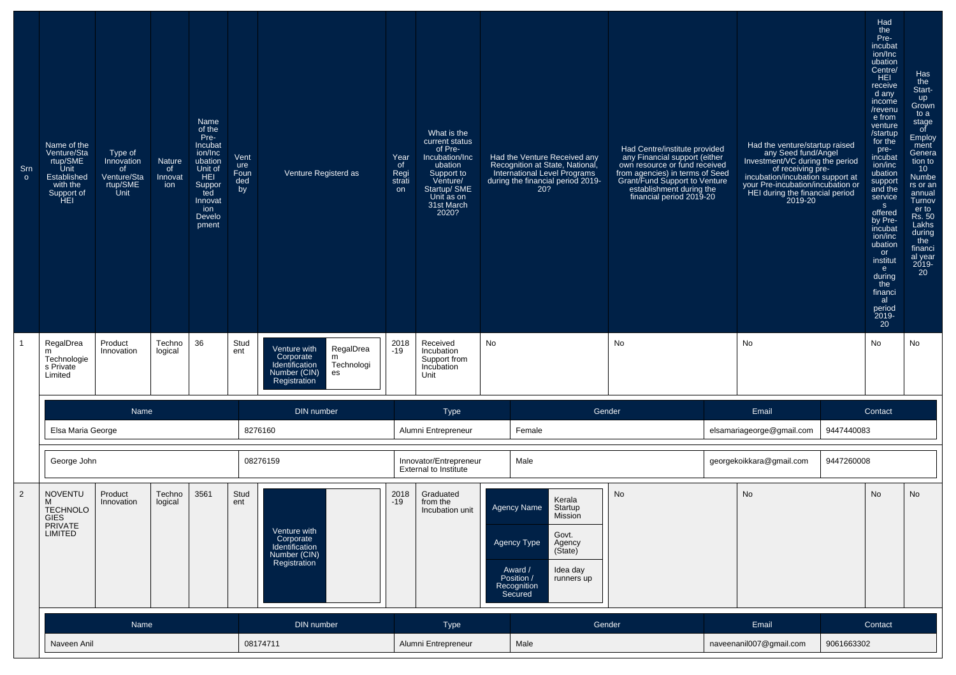| Sm<br>$\circ$  | Name of the<br>Venture/Sta<br>rtup/SME<br>Unit<br>Established<br>with the<br>Support of<br>HEI | Type of<br>Innovation<br>of<br>Venture/Sta<br>rtup/SME<br>Unit | <b>Nature</b><br>of<br>Innovat<br>ion | Name<br>of the<br>Pre-<br>Incubat<br>ion/Inc<br>ubation<br>Unit of<br>HEI<br>Suppor<br>ted<br>Innovat<br>ion<br>Develo<br>pment | Vent<br>ure<br>Foun<br>ded<br>by | Venture Registerd as                                                                                              | Year<br>of<br>Regi<br>strati<br>on | What is the<br>current status<br>of Pre-<br>Incubation/Inc<br>ubation<br>Support to<br>Venture/<br>Startup/ SME<br>Unit as on<br>31st March<br>2020? | Had the Venture Received any<br>Recognition at State, National,<br>International Level Programs<br>during the financial period 2019-<br>20?                                   | Had Centre/institute provided<br>rany Financial support (either<br>own resource or fund received<br>from agencies) in terms of Seed<br>Grant/Fund Support to Venture<br>establishment during the<br>financial period 2019-20 |                                        | Had the venture/startup raised<br>any Seed fund/Angel<br>Investment/VC during the period<br>of receiving pre-<br>incubation/incubation support at<br>your Pre-incubation/incubation or<br>HEI during the financial period<br>2019-20 |            | Had<br>the<br>Pre-<br>incubat<br>ion/Inc<br>ubation<br>Centre/<br>HEI<br>receive<br>d any<br>income<br>/revenu<br>e from<br>venture<br>/startup<br>for the<br>pre-<br>incubat<br>ion/inc<br>ubation<br>support<br>and the<br>service<br>S<br>offered<br>by Pre-<br>incubat<br>ion/inc<br>ubation<br>or<br>institut<br>e<br>during<br>the<br>financi<br>al<br>period<br>2019-<br>20 | Has<br>the<br>Start-<br>up<br>Grown<br>to a<br>stage<br>of<br>Employ<br>ment<br>Genera<br>tion to<br>10 <sup>°</sup><br>Numbe<br>rs or an<br>annual<br>Turnov<br>er to<br>Rs. 50<br>Lakhs<br>during<br>the<br>financi<br>al year<br>2019-<br>20 |  |
|----------------|------------------------------------------------------------------------------------------------|----------------------------------------------------------------|---------------------------------------|---------------------------------------------------------------------------------------------------------------------------------|----------------------------------|-------------------------------------------------------------------------------------------------------------------|------------------------------------|------------------------------------------------------------------------------------------------------------------------------------------------------|-------------------------------------------------------------------------------------------------------------------------------------------------------------------------------|------------------------------------------------------------------------------------------------------------------------------------------------------------------------------------------------------------------------------|----------------------------------------|--------------------------------------------------------------------------------------------------------------------------------------------------------------------------------------------------------------------------------------|------------|------------------------------------------------------------------------------------------------------------------------------------------------------------------------------------------------------------------------------------------------------------------------------------------------------------------------------------------------------------------------------------|-------------------------------------------------------------------------------------------------------------------------------------------------------------------------------------------------------------------------------------------------|--|
|                | RegalDrea<br>m<br>Technologie<br>s Private<br>Limited                                          | Product<br>Innovation                                          | Techno<br>logical                     | 36                                                                                                                              | Stud<br>ent                      | RegalDrea<br>Venture with<br>Corporate<br>m<br>Identification<br>Technologi<br>Number (CIN)<br>es<br>Registration | 2018<br>$-19$                      | Received<br>Incubation<br>Support from<br>Incubation<br>Unit                                                                                         | No                                                                                                                                                                            | No                                                                                                                                                                                                                           |                                        | No                                                                                                                                                                                                                                   |            | No                                                                                                                                                                                                                                                                                                                                                                                 | No                                                                                                                                                                                                                                              |  |
|                |                                                                                                | Name                                                           |                                       |                                                                                                                                 |                                  | DIN number                                                                                                        |                                    | Type                                                                                                                                                 |                                                                                                                                                                               | Gender                                                                                                                                                                                                                       |                                        | Email                                                                                                                                                                                                                                |            | Contact                                                                                                                                                                                                                                                                                                                                                                            |                                                                                                                                                                                                                                                 |  |
|                | Elsa Maria George                                                                              |                                                                |                                       |                                                                                                                                 |                                  | 8276160                                                                                                           |                                    | Alumni Entrepreneur                                                                                                                                  | Female                                                                                                                                                                        |                                                                                                                                                                                                                              |                                        | elsamariageorge@gmail.com                                                                                                                                                                                                            | 9447440083 |                                                                                                                                                                                                                                                                                                                                                                                    |                                                                                                                                                                                                                                                 |  |
|                | George John                                                                                    |                                                                |                                       |                                                                                                                                 |                                  | 08276159                                                                                                          |                                    | Innovator/Entrepreneur<br>Male<br><b>External to Institute</b>                                                                                       |                                                                                                                                                                               |                                                                                                                                                                                                                              | georgekoikkara@gmail.com<br>9447260008 |                                                                                                                                                                                                                                      |            |                                                                                                                                                                                                                                                                                                                                                                                    |                                                                                                                                                                                                                                                 |  |
| $\overline{2}$ | <b>NOVENTU</b><br>м<br><b>TECHNOLO</b><br>GIES<br>PRIVATE<br>LIMITED                           | Product<br>Innovation                                          | Techno<br>logical                     | 3561                                                                                                                            | Stud<br>ent                      | Venture with<br>Corporate<br>Identification<br>Number (CIN)<br>Registration                                       | 2018<br>$-19$                      | Graduated<br>from the<br>Incubation unit                                                                                                             | Kerala<br>Agency Name<br>Startup<br><b>MISSION</b><br>Govt.<br>Agency Type<br>Agency<br>(Sitate)<br>Award /<br>Idea day<br>Position /<br>runners up<br>Recognition<br>Secured | <b>No</b>                                                                                                                                                                                                                    |                                        | No                                                                                                                                                                                                                                   |            | No                                                                                                                                                                                                                                                                                                                                                                                 | No                                                                                                                                                                                                                                              |  |
|                |                                                                                                | Name                                                           |                                       |                                                                                                                                 |                                  | DIN number                                                                                                        |                                    | Type                                                                                                                                                 | Gender                                                                                                                                                                        |                                                                                                                                                                                                                              |                                        | Email                                                                                                                                                                                                                                |            | Contact                                                                                                                                                                                                                                                                                                                                                                            |                                                                                                                                                                                                                                                 |  |
|                | Naveen Anil                                                                                    |                                                                |                                       |                                                                                                                                 |                                  | 08174711                                                                                                          |                                    | Alumni Entrepreneur                                                                                                                                  | Male                                                                                                                                                                          |                                                                                                                                                                                                                              |                                        | naveenanil007@gmail.com                                                                                                                                                                                                              | 9061663302 |                                                                                                                                                                                                                                                                                                                                                                                    |                                                                                                                                                                                                                                                 |  |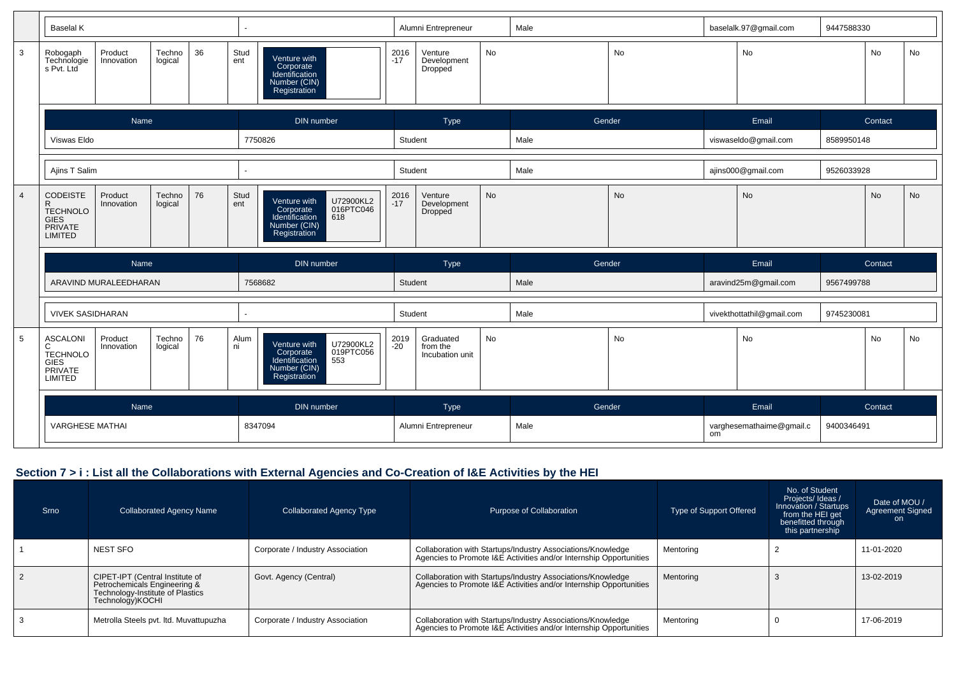|                | <b>Baselal K</b>                                                                    |                       |                   |      |                     |                                                                                                              |               | Alumni Entrepreneur                      |                                              | Male   |           |                      | baselalk.97@gmail.com     | 9447588330 |           |    |  |
|----------------|-------------------------------------------------------------------------------------|-----------------------|-------------------|------|---------------------|--------------------------------------------------------------------------------------------------------------|---------------|------------------------------------------|----------------------------------------------|--------|-----------|----------------------|---------------------------|------------|-----------|----|--|
| $\mathbf{3}$   | Robogaph<br>Technologie<br>s Pvt. Ltd                                               | Product<br>Innovation | Techno<br>logical | 36   | Stud<br>ent         | Venture with<br>Corporate<br>Identification<br>Number (CIN)<br>Registration                                  | $2016 - 17$   | Venture<br>Development<br>Dropped        | No                                           |        | No        |                      | No                        |            | No        | No |  |
|                |                                                                                     | Name                  |                   |      |                     | DIN number                                                                                                   |               | Type                                     |                                              | Gender |           |                      | Email                     |            | Contact   |    |  |
|                | Viswas Eldo                                                                         |                       |                   |      | 7750826             |                                                                                                              |               | Student                                  |                                              | Male   |           | viswaseldo@gmail.com |                           | 8589950148 |           |    |  |
|                | Ajins T Salim                                                                       |                       |                   |      |                     |                                                                                                              | Student       |                                          |                                              | Male   |           |                      | ajins000@gmail.com        | 9526033928 |           |    |  |
| $\overline{4}$ | <b>CODEISTE</b><br>R<br><b>TECHNOLO</b><br><b>GIES</b><br>PRIVATE<br><b>LIMITED</b> | Product<br>Innovation | Techno<br>logical | 76   | Stud<br>ent         | U72900KL2<br>016PTC046<br>Venture with<br>Corporate<br>Identification<br>618<br>Number (CIN)<br>Registration | $2016 - 17$   | Venture<br>Development<br>Dropped        | <b>No</b>                                    |        | <b>No</b> |                      | <b>No</b>                 |            | <b>No</b> | No |  |
|                |                                                                                     | Name                  |                   |      |                     | DIN number                                                                                                   |               | Type                                     |                                              | Gender |           |                      | Email                     |            | Contact   |    |  |
|                |                                                                                     | ARAVIND MURALEEDHARAN |                   |      |                     | 7568682                                                                                                      | Student       |                                          |                                              | Male   |           |                      | aravind25m@gmail.com      | 9567499788 |           |    |  |
|                | <b>VIVEK SASIDHARAN</b>                                                             |                       |                   |      |                     |                                                                                                              | Student       |                                          |                                              | Male   |           |                      | vivekthottathil@gmail.com | 9745230081 |           |    |  |
| 5              | <b>ASCALONI</b><br>С<br>TECHNOLO<br><b>GIES</b><br>PRIVATE<br>LIMITED               | Product<br>Innovation | Techno<br>logical | 76   | Alum<br>ni          | U72900KL2<br>Venture with<br>019PTC056<br>Corporate<br>Identification<br>553<br>Number (CIN)<br>Registration | 2019<br>$-20$ | Graduated<br>from the<br>Incubation unit | No                                           |        | No        |                      | No                        |            | No        | No |  |
|                | <b>Name</b><br>DIN number                                                           |                       |                   | Type |                     |                                                                                                              | Gender        |                                          | Email                                        |        | Contact   |                      |                           |            |           |    |  |
|                | <b>VARGHESE MATHAI</b><br>8347094                                                   |                       |                   |      | Alumni Entrepreneur |                                                                                                              | Male          |                                          | varghesemathaime@gmail.c<br>9400346491<br>om |        |           |                      |                           |            |           |    |  |

#### **Section 7 > i : List all the Collaborations with External Agencies and Co-Creation of I&E Activities by the HEI**

| Srno | <b>Collaborated Agency Name</b>                                                                                         | Collaborated Agency Type         | Purpose of Collaboration                                                                                                          | Type of Support Offered | No. of Student<br>Projects/Ideas/<br>Innovation / Startups<br>from the HEI get<br>benefitted through<br>this partnership | Date of MOU /<br><b>Agreement Signed</b><br>on. |
|------|-------------------------------------------------------------------------------------------------------------------------|----------------------------------|-----------------------------------------------------------------------------------------------------------------------------------|-------------------------|--------------------------------------------------------------------------------------------------------------------------|-------------------------------------------------|
|      | <b>NEST SFO</b>                                                                                                         | Corporate / Industry Association | Collaboration with Startups/Industry Associations/Knowledge<br>Agencies to Promote I&E Activities and/or Internship Opportunities | Mentoring               |                                                                                                                          | 11-01-2020                                      |
|      | CIPET-IPT (Central Institute of<br>Petrochemicals Engineering &<br>Technology-Institute of Plastics<br>Technology)KOCHI | Govt. Agency (Central)           | Collaboration with Startups/Industry Associations/Knowledge<br>Agencies to Promote I&E Activities and/or Internship Opportunities | Mentoring               |                                                                                                                          | 13-02-2019                                      |
|      | Metrolla Steels pvt. Itd. Muvattupuzha                                                                                  | Corporate / Industry Association | Collaboration with Startups/Industry Associations/Knowledge<br>Agencies to Promote I&E Activities and/or Internship Opportunities | Mentoring               |                                                                                                                          | 17-06-2019                                      |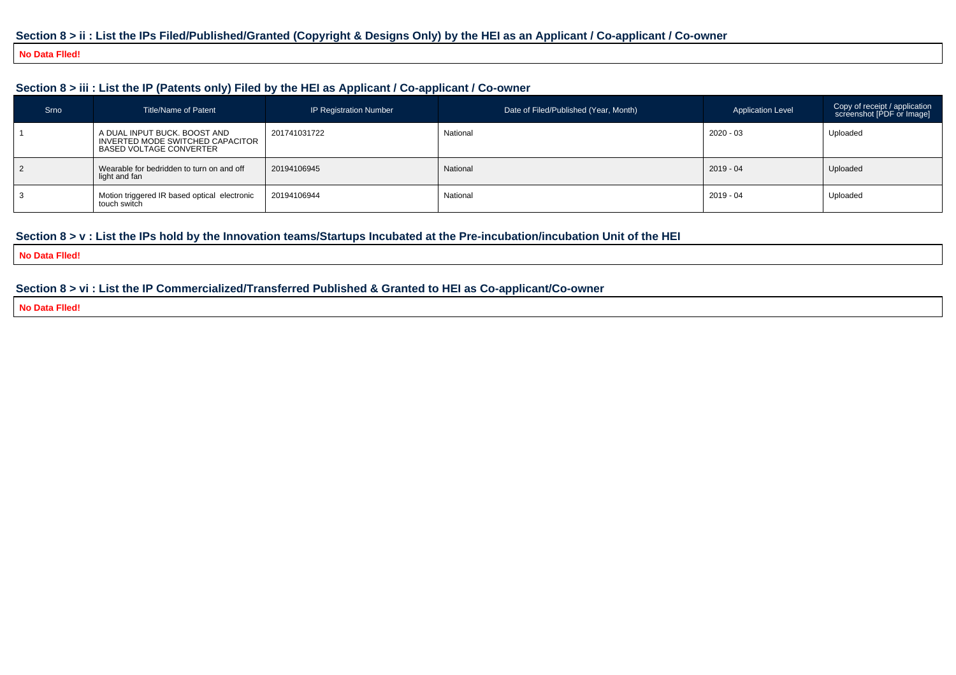#### **Section 8 > ii : List the IPs Filed/Published/Granted (Copyright & Designs Only) by the HEI as an Applicant / Co-applicant / Co-owner**

#### **No Data Flled!**

#### **Section 8 > iii : List the IP (Patents only) Filed by the HEI as Applicant / Co-applicant / Co-owner**

| Srno | <b>Title/Name of Patent</b>                                                                        | <b>IP Registration Number</b> | Date of Filed/Published (Year, Month) | <b>Application Level</b> | Copy of receipt / application<br>screenshot [PDF or Image] |
|------|----------------------------------------------------------------------------------------------------|-------------------------------|---------------------------------------|--------------------------|------------------------------------------------------------|
|      | A DUAL INPUT BUCK, BOOST AND<br>INVERTED MODE SWITCHED CAPACITOR<br><b>BASED VOLTAGE CONVERTER</b> | 201741031722                  | National                              | 2020 - 03                | Uploaded                                                   |
|      | Wearable for bedridden to turn on and off<br>light and fan                                         | 20194106945                   | National                              | 2019 - 04                | Uploaded                                                   |
|      | Motion triggered IR based optical electronic<br>touch switch                                       | 20194106944                   | National                              | 2019 - 04                | Uploaded                                                   |

#### **Section 8 > v : List the IPs hold by the Innovation teams/Startups Incubated at the Pre-incubation/incubation Unit of the HEI**

**No Data Flled!**

#### **Section 8 > vi : List the IP Commercialized/Transferred Published & Granted to HEI as Co-applicant/Co-owner**

**No Data Flled!**